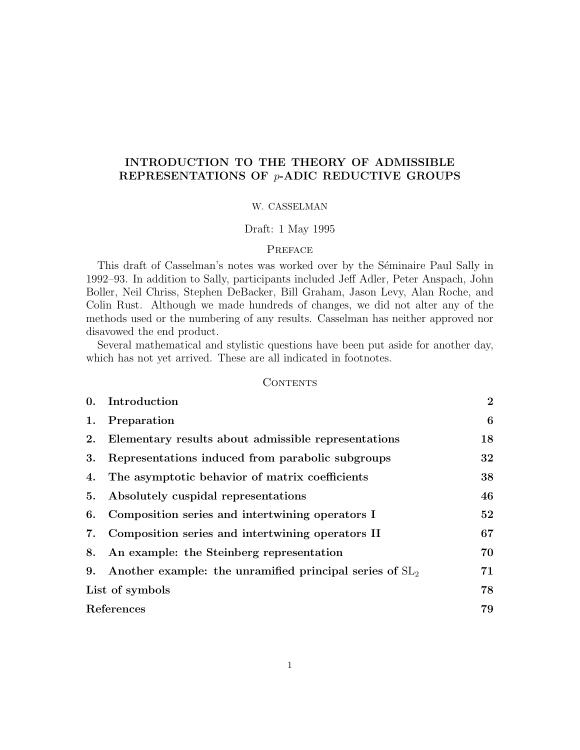# INTRODUCTION TO THE THEORY OF ADMISSIBLE REPRESENTATIONS OF p-ADIC REDUCTIVE GROUPS

## W. CASSELMAN

# Draft: 1 May 1995

# PREFACE

This draft of Casselman's notes was worked over by the Séminaire Paul Sally in 1992–93. In addition to Sally, participants included Jeff Adler, Peter Anspach, John Boller, Neil Chriss, Stephen DeBacker, Bill Graham, Jason Levy, Alan Roche, and Colin Rust. Although we made hundreds of changes, we did not alter any of the methods used or the numbering of any results. Casselman has neither approved nor disavowed the end product.

Several mathematical and stylistic questions have been put aside for another day, which has not yet arrived. These are all indicated in footnotes.

## **CONTENTS**

| 0.              | Introduction                                               | $\overline{2}$ |
|-----------------|------------------------------------------------------------|----------------|
| 1.              | Preparation                                                | 6              |
| 2.              | Elementary results about admissible representations        | 18             |
| 3.              | Representations induced from parabolic subgroups           | 32             |
| 4.              | The asymptotic behavior of matrix coefficients             | 38             |
| 5.              | Absolutely cuspidal representations                        | 46             |
| 6.              | Composition series and intertwining operators I            | 52             |
| 7.              | Composition series and intertwining operators II           | 67             |
| 8.              | An example: the Steinberg representation                   | 70             |
| 9.              | Another example: the unramified principal series of $SL_2$ | 71             |
| List of symbols |                                                            | 78             |
| References      |                                                            | 79             |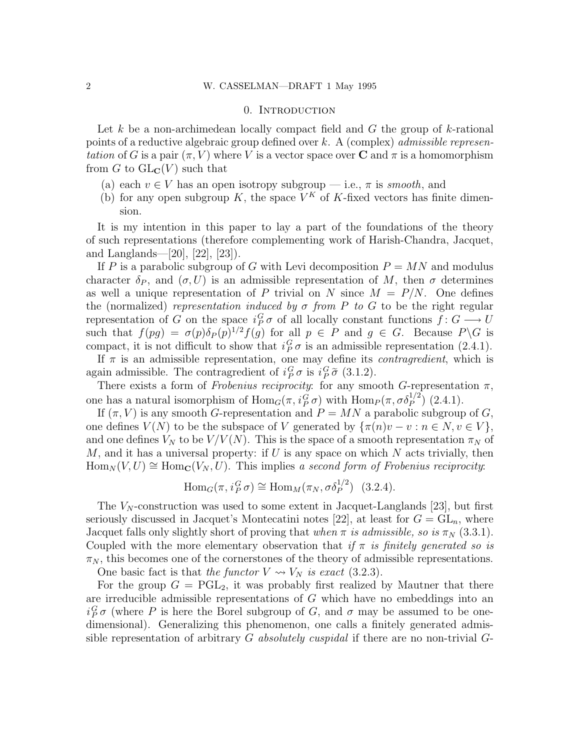#### 0. Introduction

Let k be a non-archimedean locally compact field and  $G$  the group of k-rational points of a reductive algebraic group defined over k. A (complex) *admissible represen*tation of G is a pair  $(\pi, V)$  where V is a vector space over **C** and  $\pi$  is a homomorphism from G to  $GL_{\mathbb{C}}(V)$  such that

- (a) each  $v \in V$  has an open isotropy subgroup i.e.,  $\pi$  is smooth, and
- (b) for any open subgroup K, the space  $V^K$  of K-fixed vectors has finite dimension.

It is my intention in this paper to lay a part of the foundations of the theory of such representations (therefore complementing work of Harish-Chandra, Jacquet, and Langlands—[20], [22], [23]).

If P is a parabolic subgroup of G with Levi decomposition  $P = MN$  and modulus character  $\delta_P$ , and  $(\sigma, U)$  is an admissible representation of M, then  $\sigma$  determines as well a unique representation of P trivial on N since  $M = P/N$ . One defines the (normalized) representation induced by  $\sigma$  from P to G to be the right regular representation of G on the space  $i_P^G \sigma$  of all locally constant functions  $f: G \longrightarrow U$ such that  $f(pg) = \sigma(p)\delta_P(p)^{1/2}f(g)$  for all  $p \in P$  and  $g \in G$ . Because  $P \backslash G$  is compact, it is not difficult to show that  $i_P^G \sigma$  is an admissible representation (2.4.1).

If  $\pi$  is an admissible representation, one may define its *contragredient*, which is again admissible. The contragredient of  $i_P^G \sigma$  is  $i_P^G \tilde{\sigma}$  (3.1.2).

There exists a form of Frobenius reciprocity: for any smooth G-representation  $\pi$ , one has a natural isomorphism of  $\text{Hom}_G(\pi, i_P^G \sigma)$  with  $\text{Hom}_P(\pi, \sigma \delta_P^{1/2})$  (2.4.1).

If  $(\pi, V)$  is any smooth G-representation and  $P = MN$  a parabolic subgroup of G, one defines  $V(N)$  to be the subspace of V generated by  $\{\pi(n)v - v : n \in N, v \in V\},\$ and one defines  $V_N$  to be  $V/V(N)$ . This is the space of a smooth representation  $\pi_N$  of  $M$ , and it has a universal property: if U is any space on which  $N$  acts trivially, then  $\text{Hom}_N(V, U) \cong \text{Hom}_{\mathbf{C}}(V_N, U)$ . This implies a second form of Frobenius reciprocity:

$$
\text{Hom}_G(\pi, i_P^G \sigma) \cong \text{Hom}_M(\pi_N, \sigma \delta_P^{1/2}) \quad (3.2.4).
$$

The  $V_N$ -construction was used to some extent in Jacquet-Langlands [23], but first seriously discussed in Jacquet's Montecatini notes [22], at least for  $G = GL_n$ , where Jacquet falls only slightly short of proving that when  $\pi$  is admissible, so is  $\pi_N$  (3.3.1). Coupled with the more elementary observation that if  $\pi$  is finitely generated so is  $\pi_N$ , this becomes one of the cornerstones of the theory of admissible representations.

One basic fact is that the functor  $V \rightsquigarrow V_N$  is exact (3.2.3).

For the group  $G = \text{PGL}_2$ , it was probably first realized by Mautner that there are irreducible admissible representations of G which have no embeddings into an  $i_P^G \sigma$  (where P is here the Borel subgroup of G, and  $\sigma$  may be assumed to be onedimensional). Generalizing this phenomenon, one calls a finitely generated admissible representation of arbitrary G absolutely cuspidal if there are no non-trivial  $G$ -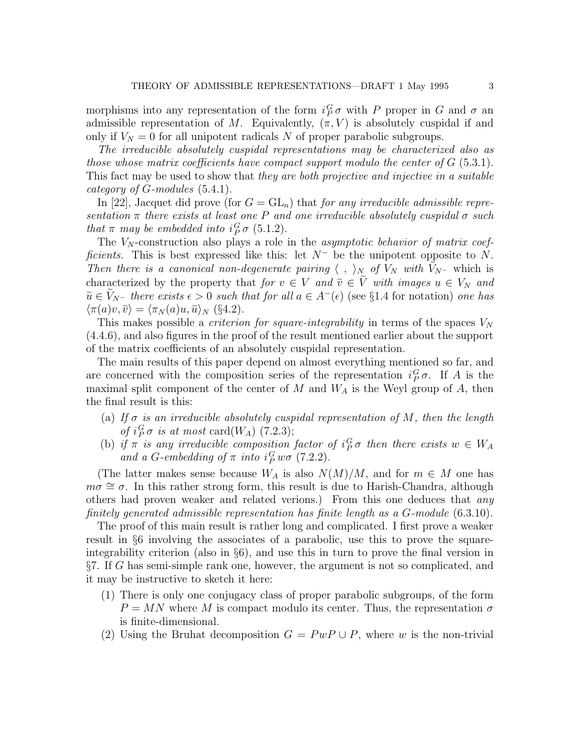morphisms into any representation of the form  $i_P^G \sigma$  with P proper in G and  $\sigma$  an admissible representation of M. Equivalently,  $(\pi, V)$  is absolutely cuspidal if and only if  $V_N = 0$  for all unipotent radicals N of proper parabolic subgroups.

The irreducible absolutely cuspidal representations may be characterized also as those whose matrix coefficients have compact support modulo the center of  $G$  (5.3.1). This fact may be used to show that they are both projective and injective in a suitable category of G-modules (5.4.1).

In [22], Jacquet did prove (for  $G = GL_n$ ) that for any irreducible admissible representation  $\pi$  there exists at least one P and one irreducible absolutely cuspidal  $\sigma$  such that  $\pi$  may be embedded into  $i_P^G \sigma$  (5.1.2).

The  $V_N$ -construction also plays a role in the *asymptotic behavior of matrix coef*ficients. This is best expressed like this: let  $N^-$  be the unipotent opposite to N. Then there is a canonical non-degenerate pairing  $\langle , \rangle_N$  of  $V_N$  with  $V_{N^-}$  which is characterized by the property that for  $v \in V$  and  $\tilde{v} \in \tilde{V}$  with images  $u \in V_N$  and  $\tilde{u} \in V_{N^-}$  there exists  $\epsilon > 0$  such that for all  $a \in A^-(\epsilon)$  (see §1.4 for notation) one has  $\langle \pi(a)v, \tilde{v} \rangle = \langle \pi_N(a)u, \tilde{u} \rangle_N$  (§4.2).

This makes possible a *criterion for square-integrability* in terms of the spaces  $V_N$ (4.4.6), and also figures in the proof of the result mentioned earlier about the support of the matrix coefficients of an absolutely cuspidal representation.

The main results of this paper depend on almost everything mentioned so far, and are concerned with the composition series of the representation  $i_P^G \sigma$ . If A is the maximal split component of the center of  $M$  and  $W_A$  is the Weyl group of  $A$ , then the final result is this:

- (a) If  $\sigma$  is an irreducible absolutely cuspidal representation of M, then the length of  $i_P^G \sigma$  is at most card( $W_A$ ) (7.2.3);
- (b) if  $\pi$  is any irreducible composition factor of  $i_P^G \sigma$  then there exists  $w \in W_A$ and a G-embedding of  $\pi$  into  $i_P^G w \sigma$  (7.2.2).

(The latter makes sense because  $W_A$  is also  $N(M)/M$ , and for  $m \in M$  one has  $m\sigma \cong \sigma$ . In this rather strong form, this result is due to Harish-Chandra, although others had proven weaker and related verions.) From this one deduces that any finitely generated admissible representation has finite length as a G-module (6.3.10).

The proof of this main result is rather long and complicated. I first prove a weaker result in §6 involving the associates of a parabolic, use this to prove the squareintegrability criterion (also in §6), and use this in turn to prove the final version in §7. If G has semi-simple rank one, however, the argument is not so complicated, and it may be instructive to sketch it here:

- (1) There is only one conjugacy class of proper parabolic subgroups, of the form  $P = MN$  where M is compact modulo its center. Thus, the representation  $\sigma$ is finite-dimensional.
- (2) Using the Bruhat decomposition  $G = PwP \cup P$ , where w is the non-trivial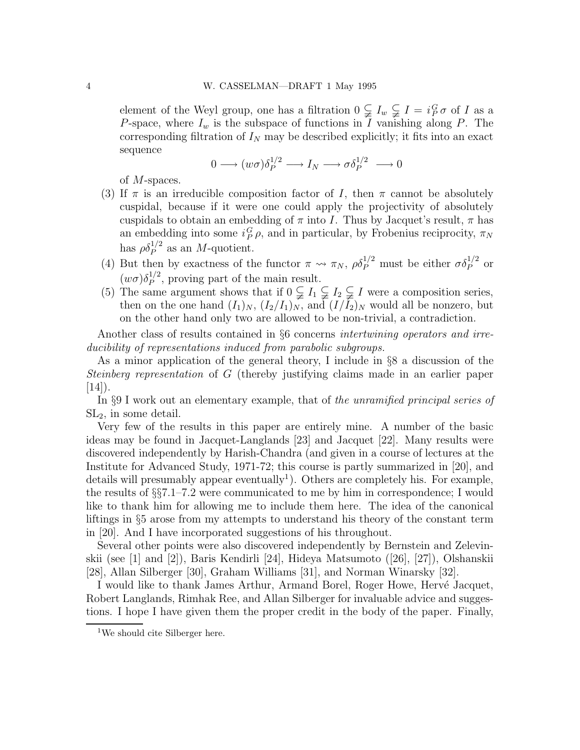element of the Weyl group, one has a filtration  $0 \subsetneq I_w \subsetneq I = i_P^G \sigma$  of I as a P-space, where  $I_w$  is the subspace of functions in I vanishing along P. The corresponding filtration of  $I_N$  may be described explicitly; it fits into an exact sequence

$$
0 \longrightarrow (w\sigma)\delta_P^{1/2} \longrightarrow I_N \longrightarrow \sigma \delta_P^{1/2} \longrightarrow 0
$$

of M-spaces.

- (3) If  $\pi$  is an irreducible composition factor of I, then  $\pi$  cannot be absolutely cuspidal, because if it were one could apply the projectivity of absolutely cuspidals to obtain an embedding of  $\pi$  into I. Thus by Jacquet's result,  $\pi$  has an embedding into some  $i_P^G \rho$ , and in particular, by Frobenius reciprocity,  $\pi_N$ has  $\rho \delta_P^{1/2}$  as an *M*-quotient.
- (4) But then by exactness of the functor  $\pi \leadsto \pi_N$ ,  $\rho \delta_P^{1/2}$  must be either  $\sigma \delta_P^{1/2}$  or  $(w\sigma)\delta_P^{1/2}$  $P_P^{1/2}$ , proving part of the main result.
- (5) The same argument shows that if  $0 \subsetneq I_1 \subsetneq I_2 \subsetneq I$  were a composition series, then on the one hand  $(I_1)_N$ ,  $(I_2/I_1)_N$ , and  $(I/I_2)_N$  would all be nonzero, but on the other hand only two are allowed to be non-trivial, a contradiction.

Another class of results contained in §6 concerns intertwining operators and irreducibility of representations induced from parabolic subgroups.

As a minor application of the general theory, I include in §8 a discussion of the Steinberg representation of G (thereby justifying claims made in an earlier paper  $|14\rangle$ .

In §9 I work out an elementary example, that of the unramified principal series of  $SL<sub>2</sub>$ , in some detail.

Very few of the results in this paper are entirely mine. A number of the basic ideas may be found in Jacquet-Langlands [23] and Jacquet [22]. Many results were discovered independently by Harish-Chandra (and given in a course of lectures at the Institute for Advanced Study, 1971-72; this course is partly summarized in [20], and details will presumably appear eventually<sup>1</sup>). Others are completely his. For example, the results of §§7.1–7.2 were communicated to me by him in correspondence; I would like to thank him for allowing me to include them here. The idea of the canonical liftings in §5 arose from my attempts to understand his theory of the constant term in [20]. And I have incorporated suggestions of his throughout.

Several other points were also discovered independently by Bernstein and Zelevinskii (see [1] and [2]), Baris Kendirli [24], Hideya Matsumoto ([26], [27]), Olshanskii [28], Allan Silberger [30], Graham Williams [31], and Norman Winarsky [32].

I would like to thank James Arthur, Armand Borel, Roger Howe, Hervé Jacquet, Robert Langlands, Rimhak Ree, and Allan Silberger for invaluable advice and suggestions. I hope I have given them the proper credit in the body of the paper. Finally,

<sup>1</sup>We should cite Silberger here.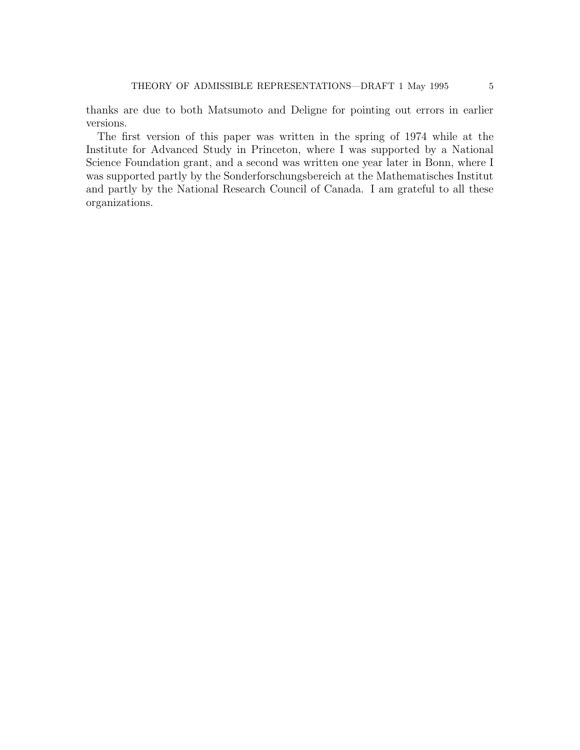thanks are due to both Matsumoto and Deligne for pointing out errors in earlier versions.

The first version of this paper was written in the spring of 1974 while at the Institute for Advanced Study in Princeton, where I was supported by a National Science Foundation grant, and a second was written one year later in Bonn, where I was supported partly by the Sonderforschungsbereich at the Mathematisches Institut and partly by the National Research Council of Canada. I am grateful to all these organizations.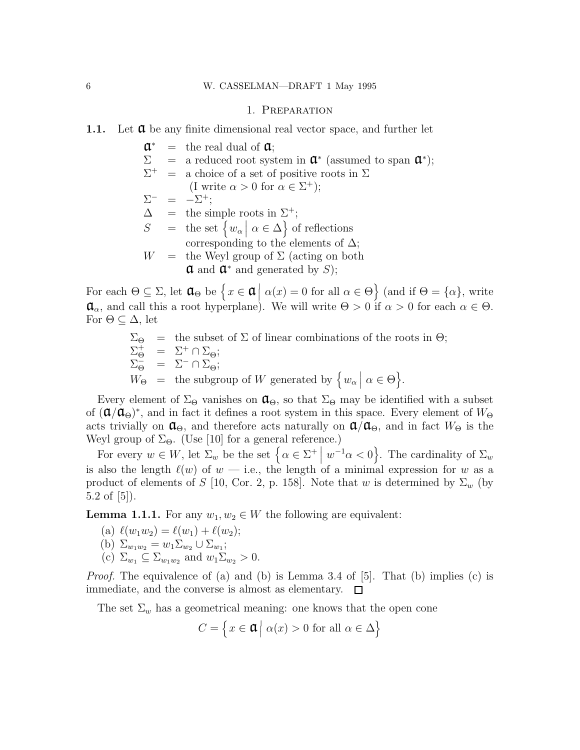#### 1. Preparation

- 1.1. Let  $\alpha$  be any finite dimensional real vector space, and further let
	- $a^*$  $=$  the real dual of  $\alpha$ ;  $\Sigma$  = a reduced root system in  $\mathfrak{a}^*$  (assumed to span  $\mathfrak{a}^*$ );  $\Sigma^+$  $\equiv$  a choice of a set of positive roots in  $\Sigma$ (I write  $\alpha > 0$  for  $\alpha \in \Sigma^+$ );  $\Sigma^-$  =  $-\Sigma^+;$  $\Delta$  = the simple roots in  $\Sigma^+$ ; S = the set  $\{w_\alpha \mid \alpha \in \Delta\}$  of reflections corresponding to the elements of  $\Delta$ ;  $W =$  the Weyl group of  $\Sigma$  (acting on both  $\mathfrak a$  and  $\mathfrak a^*$  and generated by S);

For each  $\Theta \subseteq \Sigma$ , let  $\mathfrak{a}_{\Theta}$  be  $\Big\{x \in \mathfrak{a} \Big| \alpha(x) = 0$  for all  $\alpha \in \Theta \Big\}$  (and if  $\Theta = {\alpha}$ ), write  $\mathfrak{a}_{\alpha}$ , and call this a root hyperplane). We will write  $\Theta > 0$  if  $\alpha > 0$  for each  $\alpha \in \Theta$ . For  $\Theta \subseteq \Delta$ , let

> $\Sigma_{\Theta}$  = the subset of  $\Sigma$  of linear combinations of the roots in  $\Theta$ ;  $\Sigma_{\Theta}^{+} = \Sigma^{+} \cap \Sigma_{\Theta};$  $\Sigma_{\Theta}^{-} = \Sigma^{-} \cap \Sigma_{\Theta}^{-}$ ;  $W_{\Theta}$  = the subgroup of W generated by  $\left\{ w_{\alpha} \mid \alpha \in \Theta \right\}$ .

Every element of  $\Sigma_{\Theta}$  vanishes on  $\mathfrak{a}_{\Theta}$ , so that  $\Sigma_{\Theta}$  may be identified with a subset of  $(\mathfrak{a}/\mathfrak{a}_{\Theta})^*$ , and in fact it defines a root system in this space. Every element of  $W_{\Theta}$ acts trivially on  $\mathfrak{a}_{\Theta}$ , and therefore acts naturally on  $\mathfrak{a}/\mathfrak{a}_{\Theta}$ , and in fact  $W_{\Theta}$  is the Weyl group of  $\Sigma_{\Theta}$ . (Use [10] for a general reference.)

For every  $w \in W$ , let  $\Sigma_w$  be the set  $\left\{ \alpha \in \Sigma^+ \mid w^{-1} \alpha < 0 \right\}$ . The cardinality of  $\Sigma_w$ is also the length  $\ell(w)$  of  $w$  — i.e., the length of a minimal expression for w as a product of elements of S [10, Cor. 2, p. 158]. Note that w is determined by  $\Sigma_w$  (by 5.2 of [5]).

**Lemma 1.1.1.** For any  $w_1, w_2 \in W$  the following are equivalent:

- (a)  $\ell(w_1w_2) = \ell(w_1) + \ell(w_2);$
- (b)  $\Sigma_{w_1w_2} = w_1 \Sigma_{w_2} \cup \Sigma_{w_1};$
- (c)  $\Sigma_{w_1} \subseteq \Sigma_{w_1w_2}$  and  $w_1\Sigma_{w_2} > 0$ .

*Proof.* The equivalence of (a) and (b) is Lemma 3.4 of [5]. That (b) implies (c) is immediate, and the converse is almost as elementary.  $\Box$ 

The set  $\Sigma_w$  has a geometrical meaning: one knows that the open cone

$$
C = \left\{ x \in \mathfrak{a} \mid \alpha(x) > 0 \text{ for all } \alpha \in \Delta \right\}
$$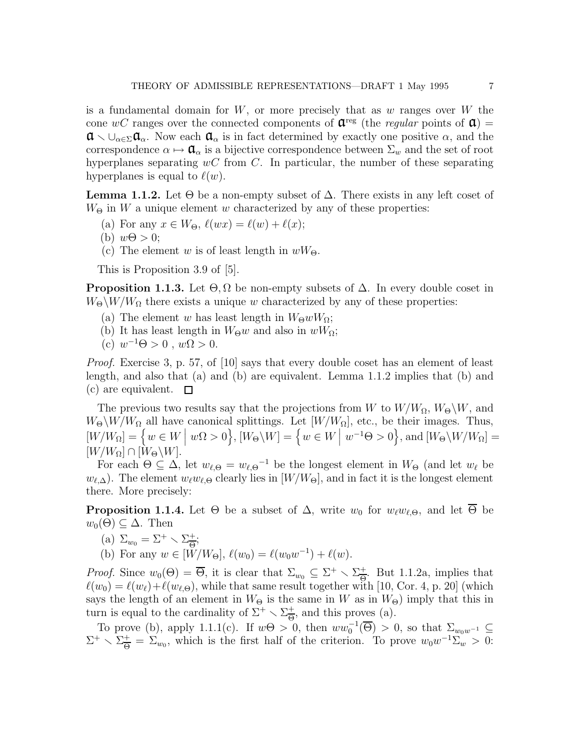is a fundamental domain for  $W$ , or more precisely that as  $w$  ranges over  $W$  the cone wC ranges over the connected components of  $\mathbf{\hat{a}}^{\text{reg}}$  (the *regular* points of  $\mathbf{\hat{a}}$ ) =  $\mathfrak{a} \setminus \cup_{\alpha \in \Sigma} \mathfrak{a}_{\alpha}$ . Now each  $\mathfrak{a}_{\alpha}$  is in fact determined by exactly one positive  $\alpha$ , and the correspondence  $\alpha \mapsto \mathbf{Q}_{\alpha}$  is a bijective correspondence between  $\Sigma_w$  and the set of root hyperplanes separating  $wC$  from C. In particular, the number of these separating hyperplanes is equal to  $\ell(w)$ .

**Lemma 1.1.2.** Let  $\Theta$  be a non-empty subset of  $\Delta$ . There exists in any left coset of  $W_{\Theta}$  in W a unique element w characterized by any of these properties:

- (a) For any  $x \in W_{\Theta}$ ,  $\ell(wx) = \ell(w) + \ell(x);$
- (b)  $w\Theta > 0$ ;
- (c) The element w is of least length in  $wW_{\Theta}$ .

This is Proposition 3.9 of [5].

**Proposition 1.1.3.** Let  $\Theta$ ,  $\Omega$  be non-empty subsets of  $\Delta$ . In every double coset in  $W_{\Theta} \backslash W / W_{\Omega}$  there exists a unique w characterized by any of these properties:

- (a) The element w has least length in  $W_{\Theta}wW_{\Omega}$ ;
- (b) It has least length in  $W_{\Theta}w$  and also in  $wW_{\Omega}$ ;
- (c)  $w^{-1}\Theta > 0$ ,  $w\Omega > 0$ .

Proof. Exercise 3, p. 57, of [10] says that every double coset has an element of least length, and also that (a) and (b) are equivalent. Lemma 1.1.2 implies that (b) and (c) are equivalent.  $\square$ 

The previous two results say that the projections from W to  $W/W_{\Omega}$ ,  $W_{\Theta}\backslash W$ , and  $W_{\Theta}\backslash W/W_{\Omega}$  all have canonical splittings. Let  $[W/W_{\Omega}]$ , etc., be their images. Thus,  $[W/W_{\Omega}] = \left\{ w \in W \mid w\Omega > 0 \right\}, [W_{\Theta}\backslash W] = \left\{ w \in W \mid w^{-1}\Theta > 0 \right\}$ , and  $[W_{\Theta}\backslash W/W_{\Omega}] =$  $[W/W_{\Omega}] \cap [W_{\Theta} \backslash W].$ 

For each  $\Theta \subseteq \Delta$ , let  $w_{\ell,\Theta} = w_{\ell,\Theta}^{-1}$  be the longest element in  $W_{\Theta}$  (and let  $w_{\ell}$  be  $w_{\ell,\Delta}$ ). The element  $w_{\ell}w_{\ell,\Theta}$  clearly lies in  $[W/W_{\Theta}],$  and in fact it is the longest element there. More precisely:

**Proposition 1.1.4.** Let  $\Theta$  be a subset of  $\Delta$ , write  $w_0$  for  $w_\ell w_{\ell,\Theta}$ , and let  $\overline{\Theta}$  be  $w_0(\Theta) \subseteq \Delta$ . Then

(a) 
$$
\Sigma_{w_0} = \Sigma^+ \setminus \Sigma_{\overline{\Theta}}^+
$$
;

(b) For any  $w \in [W/W_{\Theta}], \ell(w_0) = \ell(w_0 w^{-1}) + \ell(w)$ .

*Proof.* Since  $w_0(\Theta) = \overline{\Theta}$ , it is clear that  $\Sigma_{w_0} \subseteq \Sigma^+ \setminus \Sigma_{\overline{\Theta}}^+$  $\frac{+}{\Theta}$ . But 1.1.2a, implies that  $\ell(w_0) = \ell(w_\ell) + \ell(w_{\ell, \Theta})$ , while that same result together with [10, Cor. 4, p. 20] (which says the length of an element in  $W_{\Theta}$  is the same in W as in  $W_{\Theta}$ ) imply that this in turn is equal to the cardinality of  $\Sigma^+ \setminus \Sigma_{\overline{\Theta}}^+$  $\frac{+}{\Theta}$ , and this proves (a).

To prove (b), apply 1.1.1(c). If  $w\Theta > 0$ , then  $ww_0^{-1}(\overline{\Theta}) > 0$ , so that  $\Sigma_{w_0w^{-1}} \subseteq$  $\Sigma^+ \smallsetminus \Sigma^+_\Theta$  $\frac{+}{\Theta} = \Sigma_{w_0}$ , which is the first half of the criterion. To prove  $w_0 w^{-1} \Sigma_w > 0$ :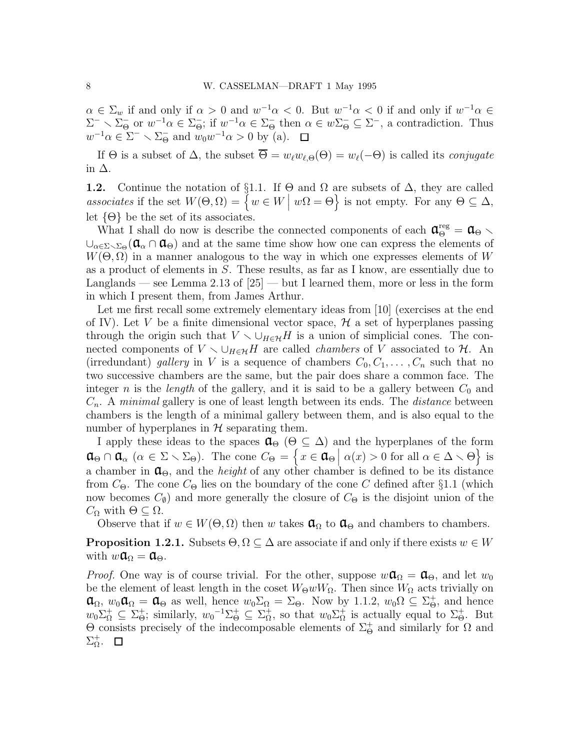$\alpha \in \Sigma_w$  if and only if  $\alpha > 0$  and  $w^{-1}\alpha < 0$ . But  $w^{-1}\alpha < 0$  if and only if  $w^{-1}\alpha \in$  $\Sigma^- \setminus \Sigma^-_{\Theta}$  or  $w^{-1}\alpha \in \Sigma^-_{\Theta}$ ; if  $w^{-1}\alpha \in \Sigma^-_{\Theta}$  then  $\alpha \in w\Sigma^-_{\Theta} \subseteq \Sigma^-$ , a contradiction. Thus  $w^{-1}\alpha \in \Sigma^- \setminus \Sigma^-_\Theta$  and  $w_0w^{-1}\alpha > 0$  by (a).

If  $\Theta$  is a subset of  $\Delta$ , the subset  $\overline{\Theta} = w_{\ell}w_{\ell,\Theta}(\Theta) = w_{\ell}(-\Theta)$  is called its *conjugate* in ∆.

**1.2.** Continue the notation of §1.1. If  $\Theta$  and  $\Omega$  are subsets of  $\Delta$ , they are called associates if the set  $W(\Theta, \Omega) = \{ w \in W \mid w\Omega = \Theta \}$  is not empty. For any  $\Theta \subseteq \Delta$ , let  $\{\Theta\}$  be the set of its associates.

What I shall do now is describe the connected components of each  $\mathfrak{a}_{\Theta}^{\text{reg}} = \mathfrak{a}_{\Theta}$  $\cup_{\alpha \in \Sigma_0}$   $(\mathfrak{a}_{\alpha} \cap \mathfrak{a}_{\Theta})$  and at the same time show how one can express the elements of  $W(\Theta, \Omega)$  in a manner analogous to the way in which one expresses elements of W as a product of elements in S. These results, as far as I know, are essentially due to Langlands — see Lemma 2.13 of [25] — but I learned them, more or less in the form in which I present them, from James Arthur.

Let me first recall some extremely elementary ideas from [10] (exercises at the end of IV). Let V be a finite dimensional vector space,  $\mathcal H$  a set of hyperplanes passing through the origin such that  $V \setminus \cup_{H \in H}$  is a union of simplicial cones. The connected components of  $V \setminus \cup_{H \in H} H$  are called *chambers* of V associated to H. An (irredundant) gallery in V is a sequence of chambers  $C_0, C_1, \ldots, C_n$  such that no two successive chambers are the same, but the pair does share a common face. The integer n is the length of the gallery, and it is said to be a gallery between  $C_0$  and  $C_n$ . A *minimal* gallery is one of least length between its ends. The *distance* between chambers is the length of a minimal gallery between them, and is also equal to the number of hyperplanes in  $H$  separating them.

I apply these ideas to the spaces  $\mathfrak{a}_{\Theta}$  ( $\Theta \subseteq \Delta$ ) and the hyperplanes of the form  $\mathfrak{a}_{\Theta} \cap \mathfrak{a}_{\alpha} \ (\alpha \in \Sigma \setminus \Sigma_{\Theta}).$  The cone  $C_{\Theta} = \{x \in \mathfrak{a}_{\Theta} \ | \ \alpha(x) > 0 \text{ for all } \alpha \in \Delta \setminus \Theta \}$  is a chamber in  $\mathfrak{a}_{\Theta}$ , and the *height* of any other chamber is defined to be its distance from  $C_{\Theta}$ . The cone  $C_{\Theta}$  lies on the boundary of the cone C defined after §1.1 (which now becomes  $C_{\emptyset}$  and more generally the closure of  $C_{\Theta}$  is the disjoint union of the  $C_{\Omega}$  with  $\Theta \subseteq \Omega$ .

Observe that if  $w \in W(\Theta, \Omega)$  then w takes  $\mathfrak{a}_{\Omega}$  to  $\mathfrak{a}_{\Theta}$  and chambers to chambers.

**Proposition 1.2.1.** Subsets  $\Theta, \Omega \subseteq \Delta$  are associate if and only if there exists  $w \in W$ with  $w\mathfrak{a}_{\Omega}=\mathfrak{a}_{\Theta}$ .

*Proof.* One way is of course trivial. For the other, suppose  $w\mathfrak{a}_{\Omega} = \mathfrak{a}_{\Theta}$ , and let  $w_0$ be the element of least length in the coset  $W_{\Theta}wW_{\Omega}$ . Then since  $W_{\Omega}$  acts trivially on  $\mathfrak{a}_{\Omega}, w_0\mathfrak{a}_{\Omega} = \mathfrak{a}_{\Theta}$  as well, hence  $w_0\Sigma_{\Omega} = \Sigma_{\Theta}$ . Now by 1.1.2,  $w_0\Omega \subseteq \Sigma_{\Theta}^+$ , and hence  $w_0 \Sigma^+_{\Omega} \subseteq \Sigma^+_{\Theta};$  similarly,  $w_0^{-1} \Sigma^+_{\Theta} \subseteq \Sigma^+_{\Omega}$ , so that  $w_0 \Sigma^+_{\Omega}$  is actually equal to  $\Sigma^+_{\Theta}$ . But  $\Theta$  consists precisely of the indecomposable elements of  $\Sigma_{\Theta}^{+}$  and similarly for  $\Omega$  and  $\Sigma^+_\Omega.$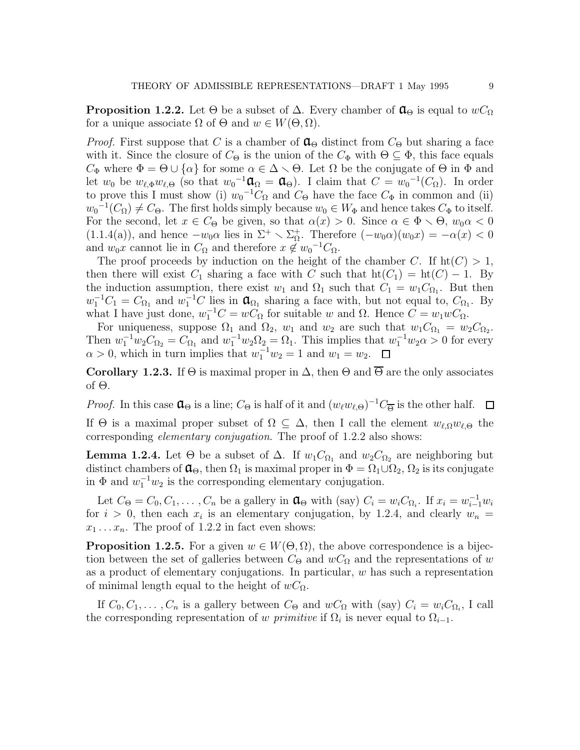**Proposition 1.2.2.** Let  $\Theta$  be a subset of  $\Delta$ . Every chamber of  $\mathfrak{a}_{\Theta}$  is equal to  $wC_{\Omega}$ for a unique associate  $\Omega$  of  $\Theta$  and  $w \in W(\Theta, \Omega)$ .

*Proof.* First suppose that C is a chamber of  $\mathfrak{a}_{\Theta}$  distinct from  $C_{\Theta}$  but sharing a face with it. Since the closure of  $C_{\Theta}$  is the union of the  $C_{\Phi}$  with  $\Theta \subseteq \Phi$ , this face equals  $C_{\Phi}$  where  $\Phi = \Theta \cup \{\alpha\}$  for some  $\alpha \in \Delta \setminus \Theta$ . Let  $\Omega$  be the conjugate of  $\Theta$  in  $\Phi$  and let  $w_0$  be  $w_{\ell, \Phi} w_{\ell, \Theta}$  (so that  $w_0^{-1} \mathfrak{a}_{\Omega} = \mathfrak{a}_{\Theta}$ ). I claim that  $C = w_0^{-1}(C_{\Omega})$ . In order to prove this I must show (i)  $w_0^{-1}C_{\Omega}$  and  $C_{\Theta}$  have the face  $C_{\Phi}$  in common and (ii)  $w_0^{-1}(C_{\Omega}) \neq C_{\Theta}$ . The first holds simply because  $w_0 \in W_{\Phi}$  and hence takes  $C_{\Phi}$  to itself. For the second, let  $x \in C_{\Theta}$  be given, so that  $\alpha(x) > 0$ . Since  $\alpha \in \Phi \setminus \Theta$ ,  $w_0 \alpha < 0$  $(1.1.4(a))$ , and hence  $-w_0\alpha$  lies in  $\Sigma^+ \setminus \Sigma^+_{\Omega}$ . Therefore  $(-w_0\alpha)(w_0x) = -\alpha(x) < 0$ and  $w_0x$  cannot lie in  $C_{\Omega}$  and therefore  $x \notin w_0^{-1}C_{\Omega}$ .

The proof proceeds by induction on the height of the chamber C. If  $\text{ht}(C) > 1$ , then there will exist  $C_1$  sharing a face with C such that  $\text{ht}(C_1) = \text{ht}(C) - 1$ . By the induction assumption, there exist  $w_1$  and  $\Omega_1$  such that  $C_1 = w_1 C_{\Omega_1}$ . But then  $w_1^{-1}C_1 = C_{\Omega_1}$  and  $w_1^{-1}C$  lies in  $\mathfrak{a}_{\Omega_1}$  sharing a face with, but not equal to,  $C_{\Omega_1}$ . By what I have just done,  $w_1^{-1}C = wC_{\Omega}$  for suitable w and  $\Omega$ . Hence  $C = w_1wC_{\Omega}$ .

For uniqueness, suppose  $\Omega_1$  and  $\Omega_2$ ,  $w_1$  and  $w_2$  are such that  $w_1C_{\Omega_1} = w_2C_{\Omega_2}$ . Then  $w_1^{-1}w_2C_{\Omega_2} = C_{\Omega_1}$  and  $w_1^{-1}w_2\Omega_2 = \Omega_1$ . This implies that  $w_1^{-1}w_2\alpha > 0$  for every  $\alpha > 0$ , which in turn implies that  $w_1^{-1}w_2 = 1$  and  $w_1 = w_2$ .

Corollary 1.2.3. If  $\Theta$  is maximal proper in  $\Delta$ , then  $\Theta$  and  $\Theta$  are the only associates of Θ.

*Proof.* In this case  $\mathfrak{a}_{\Theta}$  is a line;  $C_{\Theta}$  is half of it and  $(w_{\ell}w_{\ell,\Theta})^{-1}C_{\overline{\Theta}}$  is the other half.

If  $\Theta$  is a maximal proper subset of  $\Omega \subseteq \Delta$ , then I call the element  $w_{\ell,\Omega}w_{\ell,\Theta}$  the corresponding elementary conjugation. The proof of 1.2.2 also shows:

**Lemma 1.2.4.** Let  $\Theta$  be a subset of  $\Delta$ . If  $w_1C_{\Omega_1}$  and  $w_2C_{\Omega_2}$  are neighboring but distinct chambers of  $\mathfrak{a}_{\Theta}$ , then  $\Omega_1$  is maximal proper in  $\Phi = \Omega_1 \cup \Omega_2$ ,  $\Omega_2$  is its conjugate in  $\Phi$  and  $w_1^{-1}w_2$  is the corresponding elementary conjugation.

Let  $C_{\Theta} = C_0, C_1, \ldots, C_n$  be a gallery in  $\mathfrak{a}_{\Theta}$  with (say)  $C_i = w_i C_{\Omega_i}$ . If  $x_i = w_{i-1}^{-1} w_i$ for  $i > 0$ , then each  $x_i$  is an elementary conjugation, by 1.2.4, and clearly  $w_n =$  $x_1 \ldots x_n$ . The proof of 1.2.2 in fact even shows:

**Proposition 1.2.5.** For a given  $w \in W(\Theta, \Omega)$ , the above correspondence is a bijection between the set of galleries between  $C_{\Theta}$  and  $wC_{\Omega}$  and the representations of w as a product of elementary conjugations. In particular,  $w$  has such a representation of minimal length equal to the height of  $wC_{\Omega}$ .

If  $C_0, C_1, \ldots, C_n$  is a gallery between  $C_{\Theta}$  and  $wC_{\Omega}$  with (say)  $C_i = w_iC_{\Omega_i}$ , I call the corresponding representation of w *primitive* if  $\Omega_i$  is never equal to  $\Omega_{i-1}$ .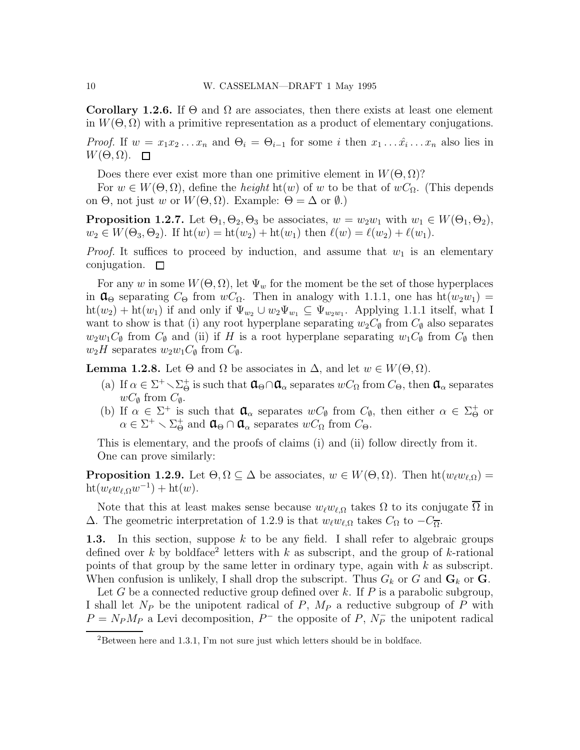Corollary 1.2.6. If  $\Theta$  and  $\Omega$  are associates, then there exists at least one element in  $W(\Theta, \Omega)$  with a primitive representation as a product of elementary conjugations.

*Proof.* If  $w = x_1 x_2 ... x_n$  and  $\Theta_i = \Theta_{i-1}$  for some i then  $x_1 ... \hat{x}_i ... x_n$  also lies in  $W(\Theta,\Omega)$ .  $\Box$ 

Does there ever exist more than one primitive element in  $W(\Theta, \Omega)$ ?

For  $w \in W(\Theta, \Omega)$ , define the *height* ht(w) of w to be that of  $wC_{\Omega}$ . (This depends on  $\Theta$ , not just w or  $W(\Theta, \Omega)$ . Example:  $\Theta = \Delta$  or  $\emptyset$ .)

**Proposition 1.2.7.** Let  $\Theta_1, \Theta_2, \Theta_3$  be associates,  $w = w_2w_1$  with  $w_1 \in W(\Theta_1, \Theta_2)$ ,  $w_2 \in W(\Theta_3, \Theta_2)$ . If  $ht(w) = ht(w_2) + ht(w_1)$  then  $\ell(w) = \ell(w_2) + \ell(w_1)$ .

*Proof.* It suffices to proceed by induction, and assume that  $w_1$  is an elementary conjugation.  $\square$ 

For any w in some  $W(\Theta, \Omega)$ , let  $\Psi_w$  for the moment be the set of those hyperplaces in  $\mathfrak{a}_{\Theta}$  separating  $C_{\Theta}$  from  $wC_{\Omega}$ . Then in analogy with 1.1.1, one has  $\text{ht}(w_2w_1)$  =  $\mathrm{ht}(w_2)+\mathrm{ht}(w_1)$  if and only if  $\Psi_{w_2}\cup w_2\Psi_{w_1}\subseteq\Psi_{w_2w_1}$ . Applying 1.1.1 itself, what I want to show is that (i) any root hyperplane separating  $w_2C_{\emptyset}$  from  $C_{\emptyset}$  also separates  $w_2w_1C_{\emptyset}$  from  $C_{\emptyset}$  and (ii) if H is a root hyperplane separating  $w_1C_{\emptyset}$  from  $C_{\emptyset}$  then  $w_2H$  separates  $w_2w_1C_{\emptyset}$  from  $C_{\emptyset}$ .

**Lemma 1.2.8.** Let  $\Theta$  and  $\Omega$  be associates in  $\Delta$ , and let  $w \in W(\Theta, \Omega)$ .

- (a) If  $\alpha \in \Sigma^+ \setminus \Sigma_\Theta^+$  is such that  $\mathfrak{a}_\Theta \cap \mathfrak{a}_\alpha$  separates  $wC_\Omega$  from  $C_\Theta$ , then  $\mathfrak{a}_\alpha$  separates  $wC_{\emptyset}$  from  $C_{\emptyset}$ .
- (b) If  $\alpha \in \Sigma^+$  is such that  $\mathfrak{a}_{\alpha}$  separates  $wC_{\emptyset}$  from  $C_{\emptyset}$ , then either  $\alpha \in \Sigma^+_{\Theta}$  or  $\alpha \in \Sigma^+ \setminus \Sigma^+_{\Theta}$  and  $\mathfrak{a}_{\Theta} \cap \mathfrak{a}_{\alpha}$  separates  $wC_{\Omega}$  from  $C_{\Theta}$ .

This is elementary, and the proofs of claims (i) and (ii) follow directly from it. One can prove similarly:

**Proposition 1.2.9.** Let  $\Theta, \Omega \subseteq \Delta$  be associates,  $w \in W(\Theta, \Omega)$ . Then  $ht(w_{\ell}w_{\ell,\Omega}) =$  $\mathrm{ht}(w_\ell w_{\ell,\Omega} w^{-1}) + \mathrm{ht}(w).$ 

Note that this at least makes sense because  $w_\ell w_{\ell,\Omega}$  takes  $\Omega$  to its conjugate  $\Omega$  in  $\Delta$ . The geometric interpretation of 1.2.9 is that  $w_\ell w_{\ell,\Omega}$  takes  $C_{\Omega}$  to  $-C_{\overline{\Omega}}$ .

1.3. In this section, suppose  $k$  to be any field. I shall refer to algebraic groups defined over k by boldface<sup>2</sup> letters with k as subscript, and the group of k-rational points of that group by the same letter in ordinary type, again with  $k$  as subscript. When confusion is unlikely, I shall drop the subscript. Thus  $G_k$  or  $G$  and  $G_k$  or  $G$ .

Let G be a connected reductive group defined over k. If  $P$  is a parabolic subgroup, I shall let  $N_P$  be the unipotent radical of P,  $M_P$  a reductive subgroup of P with  $P = N_P M_P$  a Levi decomposition,  $P^-$  the opposite of P,  $N_P^-$  the unipotent radical

<sup>2</sup>Between here and 1.3.1, I'm not sure just which letters should be in boldface.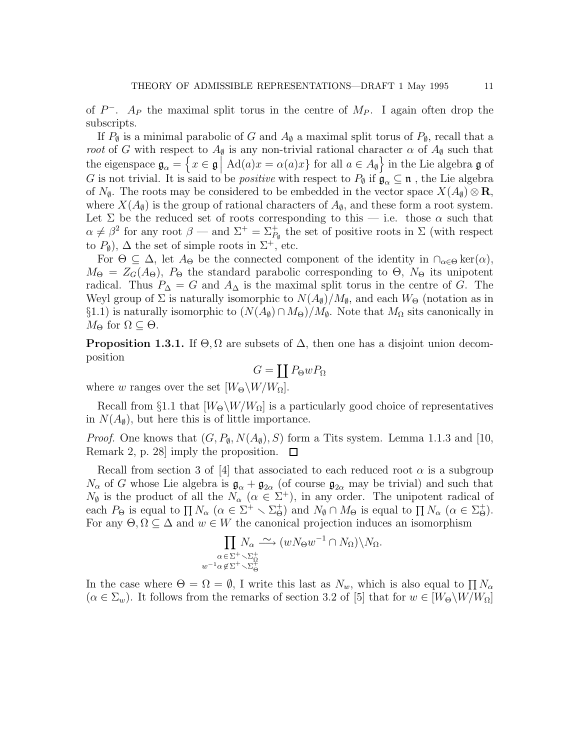of  $P^-$ . A<sub>P</sub> the maximal split torus in the centre of  $M_P$ . I again often drop the subscripts.

If  $P_{\emptyset}$  is a minimal parabolic of G and  $A_{\emptyset}$  a maximal split torus of  $P_{\emptyset}$ , recall that a root of G with respect to  $A_{\emptyset}$  is any non-trivial rational character  $\alpha$  of  $A_{\emptyset}$  such that the eigenspace  $\mathfrak{g}_{\alpha} = \left\{ x \in \mathfrak{g} \mid \text{Ad}(a)x = \alpha(a)x \right\}$  for all  $a \in A_{\emptyset}$  in the Lie algebra  $\mathfrak{g}$  of G is not trivial. It is said to be *positive* with respect to  $P_{\emptyset}$  if  $\mathfrak{g}_{\alpha} \subseteq \mathfrak{n}$ , the Lie algebra of  $N_{\phi}$ . The roots may be considered to be embedded in the vector space  $X(A_{\phi})\otimes \mathbf{R}$ , where  $X(A_{\emptyset})$  is the group of rational characters of  $A_{\emptyset}$ , and these form a root system. Let  $\Sigma$  be the reduced set of roots corresponding to this — i.e. those  $\alpha$  such that  $\alpha \neq \beta^2$  for any root  $\beta$  — and  $\Sigma^+ = \Sigma^+_{P_{\emptyset}}$  the set of positive roots in  $\Sigma$  (with respect to  $P_{\emptyset}$ ),  $\Delta$  the set of simple roots in  $\Sigma^{+}$ , etc.

For  $\Theta \subseteq \Delta$ , let  $A_{\Theta}$  be the connected component of the identity in  $\cap_{\alpha \in \Theta} \ker(\alpha)$ ,  $M_{\Theta} = Z_G(A_{\Theta}), P_{\Theta}$  the standard parabolic corresponding to  $\Theta$ ,  $N_{\Theta}$  its unipotent radical. Thus  $P_{\Delta} = G$  and  $A_{\Delta}$  is the maximal split torus in the centre of G. The Weyl group of  $\Sigma$  is naturally isomorphic to  $N(A_{\emptyset})/M_{\emptyset}$ , and each  $W_{\Theta}$  (notation as in §1.1) is naturally isomorphic to  $(N(A_{\emptyset}) \cap M_{\Theta})/M_{\emptyset}$ . Note that  $M_{\Omega}$  sits canonically in  $M_{\Theta}$  for  $\Omega \subseteq \Theta$ .

**Proposition 1.3.1.** If  $\Theta$ ,  $\Omega$  are subsets of  $\Delta$ , then one has a disjoint union decomposition

$$
G=\coprod P_{\Theta}wP_{\Omega}
$$

where w ranges over the set  $[W_{\Theta} \backslash W / W_{\Omega}]$ .

Recall from §1.1 that  $[W_{\Theta}\backslash W/W_{\Omega}]$  is a particularly good choice of representatives in  $N(A_{\emptyset})$ , but here this is of little importance.

*Proof.* One knows that  $(G, P_{\emptyset}, N(A_{\emptyset}), S)$  form a Tits system. Lemma 1.1.3 and [10, Remark 2, p. 28] imply the proposition.  $\Box$ 

Recall from section 3 of [4] that associated to each reduced root  $\alpha$  is a subgroup  $N_{\alpha}$  of G whose Lie algebra is  $\mathfrak{g}_{\alpha} + \mathfrak{g}_{2\alpha}$  (of course  $\mathfrak{g}_{2\alpha}$  may be trivial) and such that  $N_{\emptyset}$  is the product of all the  $N_{\alpha}$  ( $\alpha \in \Sigma^{+}$ ), in any order. The unipotent radical of each  $P_{\Theta}$  is equal to  $\prod N_{\alpha}$   $(\alpha \in \Sigma^{+} \setminus \Sigma_{\Theta}^{+})$  and  $N_{\emptyset} \cap M_{\Theta}$  is equal to  $\prod N_{\alpha}$   $(\alpha \in \Sigma_{\Theta}^{+})$ . For any  $\Theta, \Omega \subseteq \Delta$  and  $w \in W$  the canonical projection induces an isomorphism

$$
\prod_{\substack{\alpha \in \Sigma^+ \setminus \Sigma_{\Omega}^+\\w^{-1} \alpha \notin \Sigma^+ \setminus \Sigma_{\Theta}^+}} N_{\alpha} \xrightarrow{\sim} (w N_{\Theta} w^{-1} \cap N_{\Omega}) \setminus N_{\Omega}.
$$

In the case where  $\Theta = \Omega = \emptyset$ , I write this last as  $N_w$ , which is also equal to  $\prod N_\alpha$  $(\alpha \in \Sigma_w)$ . It follows from the remarks of section 3.2 of [5] that for  $w \in [W_\Theta \backslash W/W_\Omega]$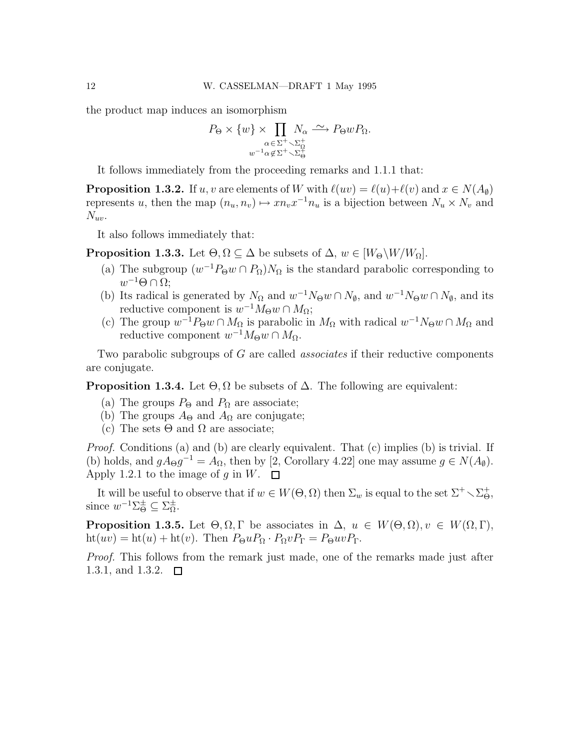the product map induces an isomorphism

$$
P_{\Theta} \times \{w\} \times \prod_{\substack{\alpha \in \Sigma^+ \setminus \Sigma_{\Omega}^+\\w^{-1}\alpha \notin \Sigma^+ \setminus \Sigma_{\Theta}^+}} N_{\alpha} \xrightarrow{\sim} P_{\Theta} w P_{\Omega}.
$$

It follows immediately from the proceeding remarks and 1.1.1 that:

**Proposition 1.3.2.** If u, v are elements of W with  $\ell(uv) = \ell(u)+\ell(v)$  and  $x \in N(A_0)$ represents u, then the map  $(n_u, n_v) \mapsto xn_vx^{-1}n_u$  is a bijection between  $N_u \times N_v$  and  $N_{uv}$ .

It also follows immediately that:

**Proposition 1.3.3.** Let  $\Theta, \Omega \subseteq \Delta$  be subsets of  $\Delta, w \in [W_{\Theta} \backslash W / W_{\Omega}]$ .

- (a) The subgroup  $(w^{-1}P_{\Theta}w \cap P_{\Omega})N_{\Omega}$  is the standard parabolic corresponding to  $w^{-1}\Theta \cap \Omega;$
- (b) Its radical is generated by  $N_{\Omega}$  and  $w^{-1}N_{\Theta}w \cap N_{\emptyset}$ , and  $w^{-1}N_{\Theta}w \cap N_{\emptyset}$ , and its reductive component is  $w^{-1}M_{\Theta}w \cap M_{\Omega}$ ;
- (c) The group  $w^{-1}P_{\Theta}w \cap M_{\Omega}$  is parabolic in  $M_{\Omega}$  with radical  $w^{-1}N_{\Theta}w \cap M_{\Omega}$  and reductive component  $w^{-1}M_{\Theta}w \cap M_{\Omega}$ .

Two parabolic subgroups of G are called *associates* if their reductive components are conjugate.

**Proposition 1.3.4.** Let  $\Theta, \Omega$  be subsets of  $\Delta$ . The following are equivalent:

- (a) The groups  $P_{\Theta}$  and  $P_{\Omega}$  are associate;
- (b) The groups  $A_{\Theta}$  and  $A_{\Omega}$  are conjugate;
- (c) The sets  $\Theta$  and  $\Omega$  are associate;

Proof. Conditions (a) and (b) are clearly equivalent. That (c) implies (b) is trivial. If (b) holds, and  $gA_{\Theta}g^{-1} = A_{\Omega}$ , then by [2, Corollary 4.22] one may assume  $g \in N(A_{\emptyset})$ . Apply 1.2.1 to the image of q in W.  $\Box$ 

It will be useful to observe that if  $w \in W(\Theta, \Omega)$  then  $\Sigma_w$  is equal to the set  $\Sigma^+ \setminus \Sigma^+_{\Theta}$ , since  $w^{-1}\Sigma_{\Theta}^{\pm} \subseteq \Sigma_{\Omega}^{\pm}$ .

**Proposition 1.3.5.** Let  $\Theta, \Omega, \Gamma$  be associates in  $\Delta, u \in W(\Theta, \Omega), v \in W(\Omega, \Gamma)$ , ht(uv) = ht(u) + ht(v). Then  $P_{\Theta}uP_{\Omega} \cdot P_{\Omega}vP_{\Gamma} = P_{\Theta}uvP_{\Gamma}$ .

Proof. This follows from the remark just made, one of the remarks made just after 1.3.1, and 1.3.2.  $\square$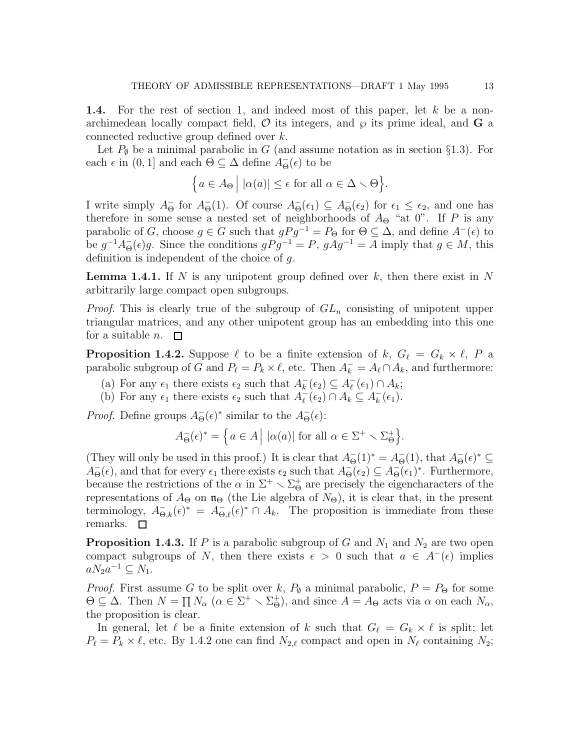1.4. For the rest of section 1, and indeed most of this paper, let k be a nonarchimedean locally compact field,  $\mathcal O$  its integers, and  $\wp$  its prime ideal, and G a connected reductive group defined over k.

Let  $P_{\emptyset}$  be a minimal parabolic in G (and assume notation as in section §1.3). For each  $\epsilon$  in  $(0, 1]$  and each  $\Theta \subseteq \Delta$  define  $A_{\Theta}^{-}(\epsilon)$  to be

$$
\Big\{ a \in A_{\Theta} \Big| \, |\alpha(a)| \le \epsilon \text{ for all } \alpha \in \Delta \setminus \Theta \Big\}.
$$

I write simply  $A_{\Theta}^-$  for  $A_{\Theta}^-$ (1). Of course  $A_{\Theta}^-$ ( $\epsilon_1$ )  $\subseteq A_{\Theta}^-$ ( $\epsilon_2$ ) for  $\epsilon_1 \leq \epsilon_2$ , and one has therefore in some sense a nested set of neighborhoods of  $A_{\Theta}$  "at 0". If P is any parabolic of G, choose  $g \in G$  such that  $gPg^{-1} = P_{\Theta}$  for  $\Theta \subseteq \Delta$ , and define  $A^{-}(\epsilon)$  to be  $g^{-1}A_{\Theta}^{-}(\epsilon)g$ . Since the conditions  $gPg^{-1} = P$ ,  $gAg^{-1} = A$  imply that  $g \in M$ , this definition is independent of the choice of g.

**Lemma 1.4.1.** If N is any unipotent group defined over k, then there exist in N arbitrarily large compact open subgroups.

*Proof.* This is clearly true of the subgroup of  $GL_n$  consisting of unipotent upper triangular matrices, and any other unipotent group has an embedding into this one for a suitable *n*.  $\square$ 

**Proposition 1.4.2.** Suppose  $\ell$  to be a finite extension of k,  $G_{\ell} = G_k \times \ell$ , P a parabolic subgroup of G and  $P_{\ell} = P_k \times \ell$ , etc. Then  $A_k^- = A_{\ell} \cap A_k$ , and furthermore:

- (a) For any  $\epsilon_1$  there exists  $\epsilon_2$  such that  $A_k^-(\epsilon_2) \subseteq A_\ell^-(\epsilon_1) \cap A_k$ ;
- (b) For any  $\epsilon_1$  there exists  $\epsilon_2$  such that  $A_{\ell}^ \frac{1}{\ell}(\epsilon_2) \cap A_k \subseteq A_k^ \overline{k}(\epsilon_1)$ .

*Proof.* Define groups  $A_{\Theta}^{-}(\epsilon)^{*}$  similar to the  $A_{\Theta}^{-}(\epsilon)$ :

$$
A_{\Theta}^{-}(\epsilon)^{*} = \Big\{ a \in A \Big| \ |\alpha(a)| \text{ for all } \alpha \in \Sigma^{+} \setminus \Sigma_{\Theta}^{+} \Big\}.
$$

(They will only be used in this proof.) It is clear that  $A_{\Theta}^{-}(1)^{*} = A_{\Theta}^{-}(1)$ , that  $A_{\Theta}^{-}(\epsilon)^{*} \subseteq$  $A_{\Theta}^{-}(\epsilon)$ , and that for every  $\epsilon_1$  there exists  $\epsilon_2$  such that  $A_{\Theta}^{-}(\epsilon_2) \subseteq A_{\Theta}^{-}(\epsilon_1)^*$ . Furthermore, because the restrictions of the  $\alpha$  in  $\Sigma^+ \setminus \Sigma^+_\Theta$  are precisely the eigencharacters of the representations of  $A_{\Theta}$  on  $\mathfrak{n}_{\Theta}$  (the Lie algebra of  $N_{\Theta}$ ), it is clear that, in the present terminology,  $A_{\Theta,k}^-(\epsilon)^* = A_{\Theta,\ell}^-(\epsilon)^* \cap A_k$ . The proposition is immediate from these remarks.  $\square$ 

**Proposition 1.4.3.** If P is a parabolic subgroup of G and  $N_1$  and  $N_2$  are two open compact subgroups of N, then there exists  $\epsilon > 0$  such that  $a \in A^-(\epsilon)$  implies  $aN_2a^{-1} \subseteq N_1.$ 

*Proof.* First assume G to be split over k,  $P_{\emptyset}$  a minimal parabolic,  $P = P_{\Theta}$  for some  $\Theta \subseteq \Delta$ . Then  $N = \prod N_{\alpha}$   $(\alpha \in \Sigma^{+} \setminus \Sigma_{\Theta}^{+})$ , and since  $A = A_{\Theta}$  acts via  $\alpha$  on each  $N_{\alpha}$ , the proposition is clear.

In general, let  $\ell$  be a finite extension of k such that  $G_{\ell} = G_k \times \ell$  is split; let  $P_{\ell} = P_{k} \times \ell$ , etc. By 1.4.2 one can find  $N_{2,\ell}$  compact and open in  $N_{\ell}$  containing  $N_{2}$ ;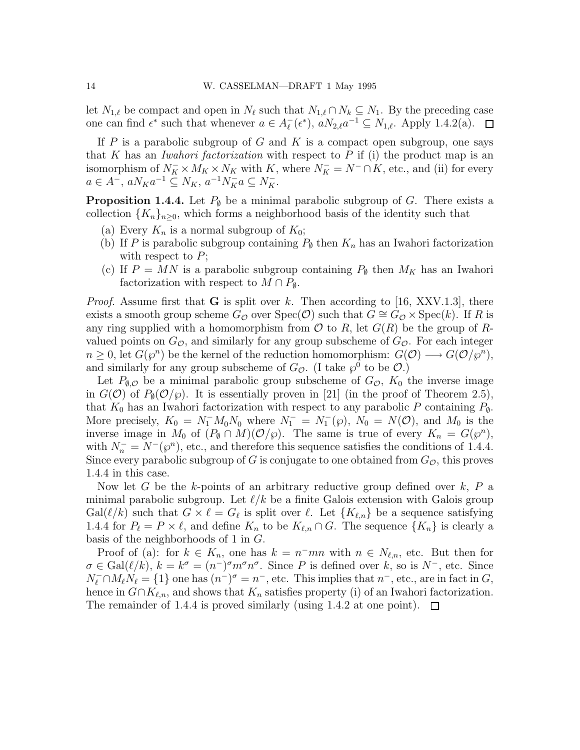let  $N_{1,\ell}$  be compact and open in  $N_{\ell}$  such that  $N_{1,\ell} \cap N_k \subseteq N_1$ . By the preceding case one can find  $\epsilon^*$  such that whenever  $a \in A_{\ell}^ _{\ell}^{-}(\epsilon^*), aN_{2,\ell}a^{-1} \subseteq N_{1,\ell}.$  Apply 1.4.2(a).  $\Box$ 

If  $P$  is a parabolic subgroup of  $G$  and  $K$  is a compact open subgroup, one says that K has an *Iwahori factorization* with respect to  $P$  if (i) the product map is an isomorphism of  $N_K^- \times M_K \times N_K$  with K, where  $N_K^- = N^- \cap K$ , etc., and (ii) for every  $a \in A^{-}, aN_{K}a^{-1} \subseteq N_{K}, a^{-1}N_{K}^{-}a \subseteq N_{K}^{-}.$ 

**Proposition 1.4.4.** Let  $P_{\emptyset}$  be a minimal parabolic subgroup of G. There exists a collection  $\{K_n\}_{n\geq 0}$ , which forms a neighborhood basis of the identity such that

- (a) Every  $K_n$  is a normal subgroup of  $K_0$ ;
- (b) If P is parabolic subgroup containing  $P_{\emptyset}$  then  $K_n$  has an Iwahori factorization with respect to  $P$ ;
- (c) If  $P = MN$  is a parabolic subgroup containing  $P_{\emptyset}$  then  $M_K$  has an Iwahori factorization with respect to  $M \cap P_{\emptyset}$ .

*Proof.* Assume first that **G** is split over k. Then according to [16, XXV.1.3], there exists a smooth group scheme  $G_{\mathcal{O}}$  over  $Spec(\mathcal{O})$  such that  $G \cong G_{\mathcal{O}} \times Spec(k)$ . If R is any ring supplied with a homomorphism from  $\mathcal O$  to R, let  $G(R)$  be the group of Rvalued points on  $G_{\mathcal{O}}$ , and similarly for any group subscheme of  $G_{\mathcal{O}}$ . For each integer  $n \geq 0$ , let  $G(\wp^n)$  be the kernel of the reduction homomorphism:  $G(\mathcal{O}) \longrightarrow G(\mathcal{O}/\wp^n)$ , and similarly for any group subscheme of  $G_{\mathcal{O}}$ . (I take  $\wp^0$  to be  $\mathcal{O}$ .)

Let  $P_{\emptyset,\mathcal{O}}$  be a minimal parabolic group subscheme of  $G_{\mathcal{O}}$ ,  $K_0$  the inverse image in  $G(\mathcal{O})$  of  $P_{\emptyset}(\mathcal{O}/\wp)$ . It is essentially proven in [21] (in the proof of Theorem 2.5), that  $K_0$  has an Iwahori factorization with respect to any parabolic P containing  $P_{\phi}$ . More precisely,  $K_0 = N_1^- M_0 N_0$  where  $N_1^- = N_1^- (\wp)$ ,  $N_0 = N(\mathcal{O})$ , and  $M_0$  is the inverse image in  $M_0$  of  $(P_\emptyset \cap M)(\mathcal{O}/\wp)$ . The same is true of every  $K_n = G(\wp^n)$ , with  $N_n^- = N^-(\wp^n)$ , etc., and therefore this sequence satisfies the conditions of 1.4.4. Since every parabolic subgroup of G is conjugate to one obtained from  $G_{\mathcal{O}}$ , this proves 1.4.4 in this case.

Now let G be the k-points of an arbitrary reductive group defined over  $k$ ,  $P$  a minimal parabolic subgroup. Let  $\ell/k$  be a finite Galois extension with Galois group  $Gal(\ell/k)$  such that  $G \times \ell = G_{\ell}$  is split over  $\ell$ . Let  $\{K_{\ell,n}\}\$  be a sequence satisfying 1.4.4 for  $P_\ell = P \times \ell$ , and define  $K_n$  to be  $K_{\ell,n} \cap G$ . The sequence  $\{K_n\}$  is clearly a basis of the neighborhoods of 1 in G.

Proof of (a): for  $k \in K_n$ , one has  $k = n^{-}mn$  with  $n \in N_{\ell,n}$ , etc. But then for  $\sigma \in \text{Gal}(\ell/k), k = k^{\sigma} = (n^{-})^{\sigma} m^{\sigma} n^{\sigma}$ . Since P is defined over k, so is  $N^{-}$ , etc. Since  $N_{\ell}^- \cap M_{\ell}N_{\ell} = \{1\}$  one has  $(n^-)^{\sigma} = n^-$ , etc. This implies that  $n^-$ , etc., are in fact in  $G$ , hence in  $G \cap K_{\ell,n}$ , and shows that  $K_n$  satisfies property (i) of an Iwahori factorization. The remainder of 1.4.4 is proved similarly (using 1.4.2 at one point).  $\Box$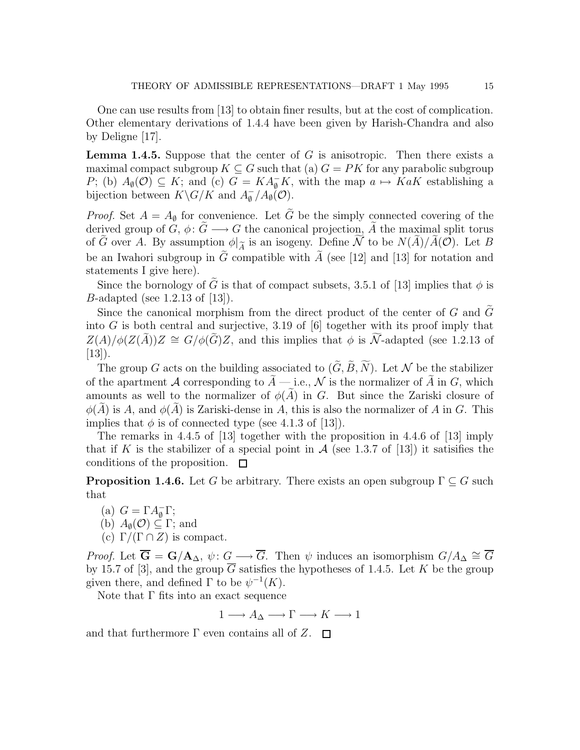One can use results from [13] to obtain finer results, but at the cost of complication. Other elementary derivations of 1.4.4 have been given by Harish-Chandra and also by Deligne [17].

**Lemma 1.4.5.** Suppose that the center of  $G$  is anisotropic. Then there exists a maximal compact subgroup  $K \subseteq G$  such that (a)  $G = PK$  for any parabolic subgroup P; (b)  $A_{\emptyset}(\mathcal{O}) \subseteq K$ ; and (c)  $G = KA_{\emptyset}^-K$ , with the map  $a \mapsto KaK$  establishing a bijection between  $K\backslash G/K$  and  $A_{\emptyset}^ _{\emptyset}^{-}/A_{\emptyset}(\mathcal{O}).$ 

*Proof.* Set  $A = A_{\emptyset}$  for convenience. Let  $\tilde{G}$  be the simply connected covering of the derived group of G,  $\phi: \tilde{G} \longrightarrow G$  the canonical projection,  $\tilde{A}$  the maximal split torus of G over A. By assumption  $\phi|_{\widetilde{A}}$  is an isogeny. Define N to be  $N(A)/A(\mathcal{O})$ . Let B be an Iwahori subgroup in  $\tilde{G}$  compatible with  $\tilde{A}$  (see [12] and [13] for notation and statements I give here).

Since the bornology of  $\tilde{G}$  is that of compact subsets, 3.5.1 of [13] implies that  $\phi$  is B-adapted (see 1.2.13 of [13]).

Since the canonical morphism from the direct product of the center of G and  $\tilde{G}$ into G is both central and surjective, 3.19 of  $[6]$  together with its proof imply that  $Z(A)/\phi(Z(\tilde{A}))Z \cong G/\phi(\tilde{G})Z$ , and this implies that  $\phi$  is  $\tilde{\mathcal{N}}$ -adapted (see 1.2.13 of  $[13]$ .

The group G acts on the building associated to  $(\tilde{G}, \tilde{B}, \tilde{N})$ . Let N be the stabilizer of the apartment A corresponding to  $\tilde{A}$  — i.e., N is the normalizer of  $\tilde{A}$  in G, which amounts as well to the normalizer of  $\phi(\tilde{A})$  in G. But since the Zariski closure of  $\phi(\tilde{A})$  is A, and  $\phi(\tilde{A})$  is Zariski-dense in A, this is also the normalizer of A in G. This implies that  $\phi$  is of connected type (see 4.1.3 of [13]).

The remarks in 4.4.5 of [13] together with the proposition in 4.4.6 of [13] imply that if K is the stabilizer of a special point in  $\mathcal A$  (see 1.3.7 of [13]) it satisfies the conditions of the proposition.  $\Box$ 

**Proposition 1.4.6.** Let G be arbitrary. There exists an open subgroup  $\Gamma \subseteq G$  such that

(a)  $G = \Gamma A_{\emptyset}^{-} \Gamma;$ (b)  $A_{\emptyset}(\mathcal{O}) \subseteq \Gamma$ ; and

(c)  $\Gamma/(\Gamma \cap Z)$  is compact.

*Proof.* Let  $\overline{G} = G/A_{\Delta}, \psi: G \longrightarrow \overline{G}$ . Then  $\psi$  induces an isomorphism  $G/A_{\Delta} \cong \overline{G}$ by 15.7 of [3], and the group  $\overline{G}$  satisfies the hypotheses of 1.4.5. Let K be the group given there, and defined  $\Gamma$  to be  $\psi^{-1}(K)$ .

Note that  $\Gamma$  fits into an exact sequence

 $1 \longrightarrow A_{\Delta} \longrightarrow \Gamma \longrightarrow K \longrightarrow 1$ 

and that furthermore  $\Gamma$  even contains all of  $Z$ .  $\Box$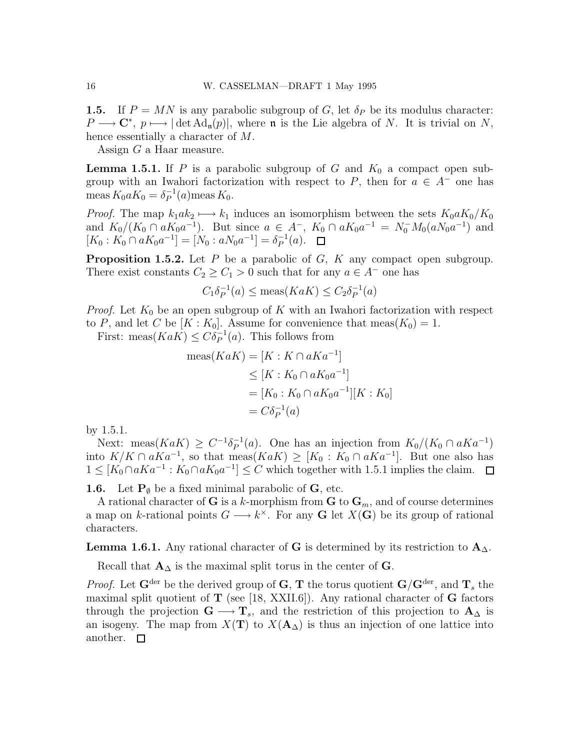**1.5.** If  $P = MN$  is any parabolic subgroup of G, let  $\delta_P$  be its modulus character:  $P \longrightarrow \mathbb{C}^*, p \longmapsto |\det \mathrm{Ad}_{\mathfrak{n}}(p)|$ , where  $\mathfrak{n}$  is the Lie algebra of N. It is trivial on N, hence essentially a character of M.

Assign G a Haar measure.

**Lemma 1.5.1.** If P is a parabolic subgroup of G and  $K_0$  a compact open subgroup with an Iwahori factorization with respect to P, then for  $a \in A^-$  one has meas  $K_0 a K_0 = \delta_P^{-1}(a)$ meas  $K_0$ .

*Proof.* The map  $k_1 a k_2 \mapsto k_1$  induces an isomorphism between the sets  $K_0 a K_0/K_0$ and  $K_0/(K_0 \cap aK_0a^{-1})$ . But since  $a \in A^-$ ,  $K_0 \cap aK_0a^{-1} = N_0^-M_0(aN_0a^{-1})$  and  $[K_0: K_0 \cap aK_0a^{-1}] = [N_0: aN_0a^{-1}] = \delta_P^{-1}(a).$ 

**Proposition 1.5.2.** Let  $P$  be a parabolic of  $G$ ,  $K$  any compact open subgroup. There exist constants  $C_2 \ge C_1 > 0$  such that for any  $a \in A^-$  one has

$$
C_1 \delta_P^{-1}(a) \le \text{meas}(KaK) \le C_2 \delta_P^{-1}(a)
$$

*Proof.* Let  $K_0$  be an open subgroup of K with an Iwahori factorization with respect to P, and let C be  $[K: K_0]$ . Assume for convenience that meas $(K_0) = 1$ .

First: meas $(KaK) \leq C\delta_P^{-1}(a)$ . This follows from

$$
\begin{aligned} \text{meas}(KaK) &= [K:K \cap aKa^{-1}] \\ &\leq [K:K_0 \cap aK_0a^{-1}] \\ &= [K_0:K_0 \cap aK_0a^{-1}][K:K_0] \\ &= C\delta_P^{-1}(a) \end{aligned}
$$

by 1.5.1.

Next: meas $(KaK) \geq C^{-1}\delta_P^{-1}(a)$ . One has an injection from  $K_0/(K_0 \cap aKa^{-1})$ into  $K/K \cap aKa^{-1}$ , so that meas $(KaK) \geq [K_0: K_0 \cap aKa^{-1}]$ . But one also has  $1 \leq [K_0 \cap aKa^{-1} : K_0 \cap aK_0a^{-1}] \leq C$  which together with 1.5.1 implies the claim.

**1.6.** Let  $P_{\emptyset}$  be a fixed minimal parabolic of G, etc.

A rational character of **G** is a k-morphism from **G** to  $\mathbf{G}_m$ , and of course determines a map on k-rational points  $G \longrightarrow k^{\times}$ . For any G let  $X(G)$  be its group of rational characters.

**Lemma 1.6.1.** Any rational character of G is determined by its restriction to  $A_{\Delta}$ .

Recall that  $\mathbf{A}_{\Delta}$  is the maximal split torus in the center of G.

*Proof.* Let  $G^{\text{der}}$  be the derived group of G, T the torus quotient  $G/G^{\text{der}}$ , and  $T_s$  the maximal split quotient of  $T$  (see [18, XXII.6]). Any rational character of  $G$  factors through the projection  $G \longrightarrow T_s$ , and the restriction of this projection to  $A_\Delta$  is an isogeny. The map from  $X(T)$  to  $X(A_{\Delta})$  is thus an injection of one lattice into another.  $\square$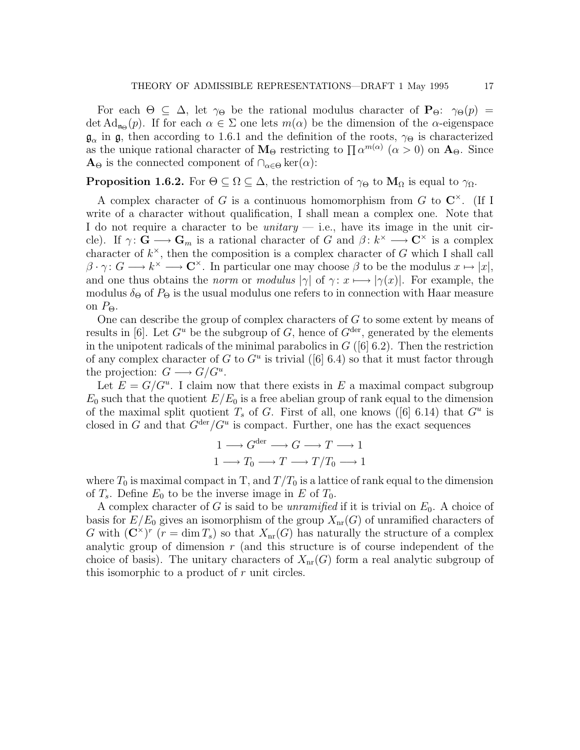For each  $\Theta \subseteq \Delta$ , let  $\gamma_{\Theta}$  be the rational modulus character of  $P_{\Theta}$ :  $\gamma_{\Theta}(p)$  = det  $\mathrm{Ad}_{\mathfrak{n}_{\Theta}}(p)$ . If for each  $\alpha \in \Sigma$  one lets  $m(\alpha)$  be the dimension of the  $\alpha$ -eigenspace  $\mathfrak{g}_{\alpha}$  in  $\mathfrak{g}$ , then according to 1.6.1 and the definition of the roots,  $\gamma_{\Theta}$  is characterized as the unique rational character of  $M_{\Theta}$  restricting to  $\prod \alpha^{m(\alpha)}$   $(\alpha > 0)$  on  $A_{\Theta}$ . Since  $\mathbf{A}_{\Theta}$  is the connected component of  $\cap_{\alpha \in \Theta} \ker(\alpha)$ :

## **Proposition 1.6.2.** For  $\Theta \subseteq \Omega \subseteq \Delta$ , the restriction of  $\gamma_{\Theta}$  to  $M_{\Omega}$  is equal to  $\gamma_{\Omega}$ .

A complex character of G is a continuous homomorphism from G to  $\mathbb{C}^{\times}$ . (If I write of a character without qualification, I shall mean a complex one. Note that I do not require a character to be *unitary*  $-$  i.e., have its image in the unit circle). If  $\gamma: \mathbf{G} \longrightarrow \mathbf{G}_m$  is a rational character of G and  $\beta: k^{\times} \longrightarrow \mathbf{C}^{\times}$  is a complex character of  $k^{\times}$ , then the composition is a complex character of G which I shall call  $\beta \cdot \gamma: G \longrightarrow k^{\times} \longrightarrow \mathbb{C}^{\times}$ . In particular one may choose  $\beta$  to be the modulus  $x \mapsto |x|$ , and one thus obtains the *norm* or modulus  $|\gamma|$  of  $\gamma: x \mapsto |\gamma(x)|$ . For example, the modulus  $\delta_{\Theta}$  of  $P_{\Theta}$  is the usual modulus one refers to in connection with Haar measure on  $P_{\Theta}$ .

One can describe the group of complex characters of G to some extent by means of results in [6]. Let  $G^u$  be the subgroup of G, hence of  $G^{\text{der}}$ , generated by the elements in the unipotent radicals of the minimal parabolics in  $G$  ([6] 6.2). Then the restriction of any complex character of G to  $G^u$  is trivial ([6] 6.4) so that it must factor through the projection:  $G \longrightarrow G/G^u$ .

Let  $E = G/G^u$ . I claim now that there exists in E a maximal compact subgroup  $E_0$  such that the quotient  $E/E_0$  is a free abelian group of rank equal to the dimension of the maximal split quotient  $T_s$  of G. First of all, one knows ([6] 6.14) that  $G^u$  is closed in G and that  $G^{\text{der}}/G^u$  is compact. Further, one has the exact sequences

$$
1 \longrightarrow G^{\text{der}} \longrightarrow G \longrightarrow T \longrightarrow 1
$$

$$
1 \longrightarrow T_0 \longrightarrow T \longrightarrow T/T_0 \longrightarrow 1
$$

where  $T_0$  is maximal compact in T, and  $T/T_0$  is a lattice of rank equal to the dimension of  $T_s$ . Define  $E_0$  to be the inverse image in E of  $T_0$ .

A complex character of G is said to be *unramified* if it is trivial on  $E_0$ . A choice of basis for  $E/E_0$  gives an isomorphism of the group  $X_{nr}(G)$  of unramified characters of G with  $(\mathbb{C}^{\times})^{r}$   $(r = \dim T_s)$  so that  $X_{nr}(G)$  has naturally the structure of a complex analytic group of dimension  $r$  (and this structure is of course independent of the choice of basis). The unitary characters of  $X_{nr}(G)$  form a real analytic subgroup of this isomorphic to a product of r unit circles.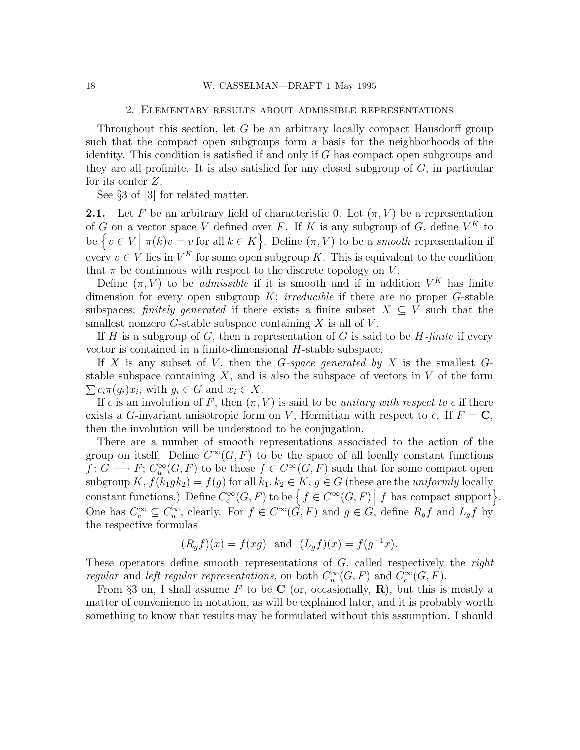#### 18 W. CASSELMAN—DRAFT 1 May 1995

#### 2. Elementary results about admissible representations

Throughout this section, let G be an arbitrary locally compact Hausdorff group such that the compact open subgroups form a basis for the neighborhoods of the identity. This condition is satisfied if and only if G has compact open subgroups and they are all profinite. It is also satisfied for any closed subgroup of  $G$ , in particular for its center Z.

See §3 of [3] for related matter.

**2.1.** Let F be an arbitrary field of characteristic 0. Let  $(\pi, V)$  be a representation of G on a vector space V defined over F. If K is any subgroup of G, define  $V^K$  to be  $\{v \in V \mid \pi(k)v = v \text{ for all } k \in K\}$ . Define  $(\pi, V)$  to be a *smooth* representation if every  $v \in V$  lies in  $V^K$  for some open subgroup K. This is equivalent to the condition that  $\pi$  be continuous with respect to the discrete topology on V.

Define  $(\pi, V)$  to be *admissible* if it is smooth and if in addition  $V^K$  has finite dimension for every open subgroup  $K$ ; *irreducible* if there are no proper  $G$ -stable subspaces; finitely generated if there exists a finite subset  $X \subseteq V$  such that the smallest nonzero  $G$ -stable subspace containing  $X$  is all of  $V$ .

If H is a subgroup of G, then a representation of G is said to be  $H$ -finite if every vector is contained in a finite-dimensional H-stable subspace.

If X is any subset of V, then the G-space generated by X is the smallest  $G$ stable subspace containing  $X$ , and is also the subspace of vectors in  $V$  of the form  $\sum c_i \pi(g_i) x_i$ , with  $g_i \in G$  and  $x_i \in X$ .

If  $\epsilon$  is an involution of F, then  $(\pi, V)$  is said to be unitary with respect to  $\epsilon$  if there exists a G-invariant anisotropic form on V, Hermitian with respect to  $\epsilon$ . If  $F = \mathbf{C}$ , then the involution will be understood to be conjugation.

There are a number of smooth representations associated to the action of the group on itself. Define  $C^{\infty}(G, F)$  to be the space of all locally constant functions  $f: G \longrightarrow F$ ;  $C_u^{\infty}(G, F)$  to be those  $f \in C^{\infty}(G, F)$  such that for some compact open subgroup K,  $f(k_1gk_2) = f(g)$  for all  $k_1, k_2 \in K$ ,  $g \in G$  (these are the uniformly locally constant functions.) Define  $C_c^{\infty}(G, F)$  to be  $\left\{f \in C^{\infty}(G, F) \Big| f$  has compact support $\right\}$ . One has  $C_c^{\infty} \subseteq C_u^{\infty}$ , clearly. For  $f \in C^{\infty}(G, F)$  and  $g \in G$ , define  $R_g f$  and  $L_g f$  by the respective formulas

$$
(R_g f)(x) = f(xg)
$$
 and  $(L_g f)(x) = f(g^{-1}x)$ .

These operators define smooth representations of  $G$ , called respectively the *right* regular and left regular representations, on both  $C_u^{\infty}(G, F)$  and  $C_c^{\infty}(G, F)$ .

From §3 on, I shall assume F to be C (or, occasionally, R), but this is mostly a matter of convenience in notation, as will be explained later, and it is probably worth something to know that results may be formulated without this assumption. I should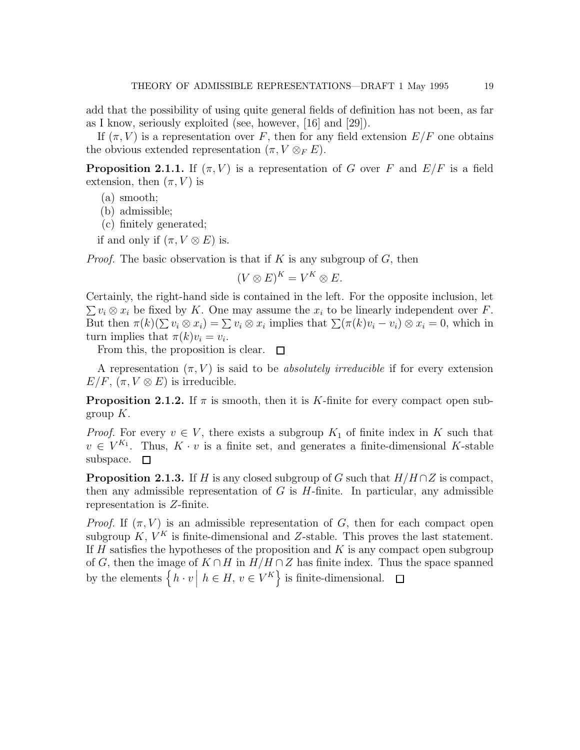add that the possibility of using quite general fields of definition has not been, as far as I know, seriously exploited (see, however, [16] and [29]).

If  $(\pi, V)$  is a representation over F, then for any field extension  $E/F$  one obtains the obvious extended representation  $(\pi, V \otimes_F E)$ .

**Proposition 2.1.1.** If  $(\pi, V)$  is a representation of G over F and  $E/F$  is a field extension, then  $(\pi, V)$  is

- (a) smooth;
- (b) admissible;
- (c) finitely generated;
- if and only if  $(\pi, V \otimes E)$  is.

*Proof.* The basic observation is that if K is any subgroup of G, then

$$
(V \otimes E)^K = V^K \otimes E.
$$

Certainly, the right-hand side is contained in the left. For the opposite inclusion, let  $\sum v_i \otimes x_i$  be fixed by K. One may assume the  $x_i$  to be linearly independent over F. But then  $\pi(k)(\sum v_i \otimes x_i) = \sum v_i \otimes x_i$  implies that  $\sum (\pi(k)v_i - v_i) \otimes x_i = 0$ , which in turn implies that  $\pi(k)v_i = v_i$ .

From this, the proposition is clear.  $\square$ 

A representation  $(\pi, V)$  is said to be *absolutely irreducible* if for every extension  $E/F, (\pi, V \otimes E)$  is irreducible.

**Proposition 2.1.2.** If  $\pi$  is smooth, then it is K-finite for every compact open subgroup  $K$ .

*Proof.* For every  $v \in V$ , there exists a subgroup  $K_1$  of finite index in K such that  $v \in V^{K_1}$ . Thus,  $K \cdot v$  is a finite set, and generates a finite-dimensional K-stable subspace.  $\square$ 

**Proposition 2.1.3.** If H is any closed subgroup of G such that  $H/H \cap Z$  is compact, then any admissible representation of  $G$  is  $H$ -finite. In particular, any admissible representation is Z-finite.

*Proof.* If  $(\pi, V)$  is an admissible representation of G, then for each compact open subgroup  $K, V^K$  is finite-dimensional and Z-stable. This proves the last statement. If  $H$  satisfies the hypotheses of the proposition and  $K$  is any compact open subgroup of G, then the image of  $K \cap H$  in  $H/H \cap Z$  has finite index. Thus the space spanned by the elements  $\left\{ h \cdot v \mid h \in H, v \in V^K \right\}$  is finite-dimensional.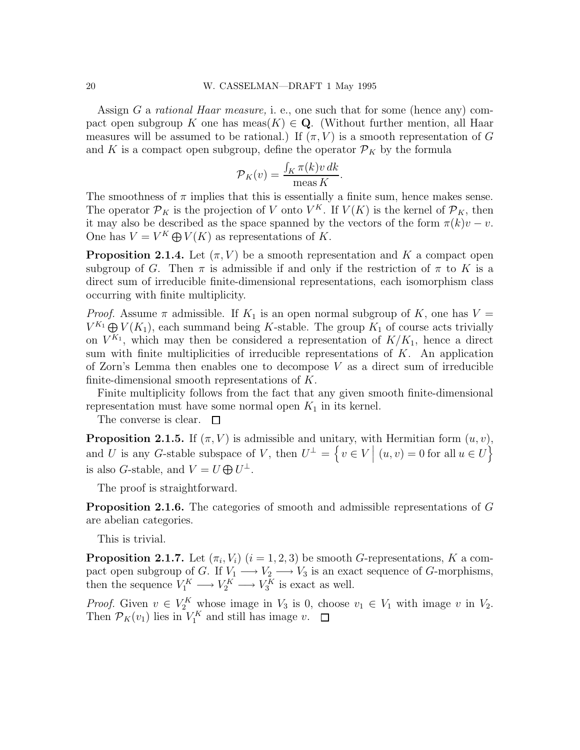Assign G a rational Haar measure, i. e., one such that for some (hence any) compact open subgroup K one has meas $(K) \in \mathbf{Q}$ . (Without further mention, all Haar measures will be assumed to be rational.) If  $(\pi, V)$  is a smooth representation of G and K is a compact open subgroup, define the operator  $\mathcal{P}_K$  by the formula

$$
\mathcal{P}_K(v) = \frac{\int_K \pi(k)v \, dk}{\text{meas } K}.
$$

The smoothness of  $\pi$  implies that this is essentially a finite sum, hence makes sense. The operator  $\mathcal{P}_K$  is the projection of V onto  $V^K$ . If  $V(K)$  is the kernel of  $\mathcal{P}_K$ , then it may also be described as the space spanned by the vectors of the form  $\pi(k)v - v$ . One has  $V = V^K \bigoplus V(K)$  as representations of K.

**Proposition 2.1.4.** Let  $(\pi, V)$  be a smooth representation and K a compact open subgroup of G. Then  $\pi$  is admissible if and only if the restriction of  $\pi$  to K is a direct sum of irreducible finite-dimensional representations, each isomorphism class occurring with finite multiplicity.

*Proof.* Assume  $\pi$  admissible. If  $K_1$  is an open normal subgroup of K, one has  $V =$  $V^{K_1} \oplus V(K_1)$ , each summand being K-stable. The group  $K_1$  of course acts trivially on  $V^{K_1}$ , which may then be considered a representation of  $K/K_1$ , hence a direct sum with finite multiplicities of irreducible representations of  $K$ . An application of Zorn's Lemma then enables one to decompose  $V$  as a direct sum of irreducible finite-dimensional smooth representations of K.

Finite multiplicity follows from the fact that any given smooth finite-dimensional representation must have some normal open  $K_1$  in its kernel.

The converse is clear.  $\square$ 

**Proposition 2.1.5.** If  $(\pi, V)$  is admissible and unitary, with Hermitian form  $(u, v)$ , and U is any G-stable subspace of V, then  $U^{\perp} = \{v \in V \mid (u, v) = 0 \text{ for all } u \in U\}$ is also *G*-stable, and  $V = U \bigoplus U^{\perp}$ .

The proof is straightforward.

Proposition 2.1.6. The categories of smooth and admissible representations of G are abelian categories.

This is trivial.

**Proposition 2.1.7.** Let  $(\pi_i, V_i)$   $(i = 1, 2, 3)$  be smooth G-representations, K a compact open subgroup of G. If  $V_1 \longrightarrow V_2 \longrightarrow V_3$  is an exact sequence of G-morphisms, then the sequence  $V_1^K \longrightarrow V_2^K \longrightarrow V_3^K$  is exact as well.

*Proof.* Given  $v \in V_2^K$  whose image in  $V_3$  is 0, choose  $v_1 \in V_1$  with image v in  $V_2$ . Then  $\mathcal{P}_K(v_1)$  lies in  $V_1^K$  and still has image v.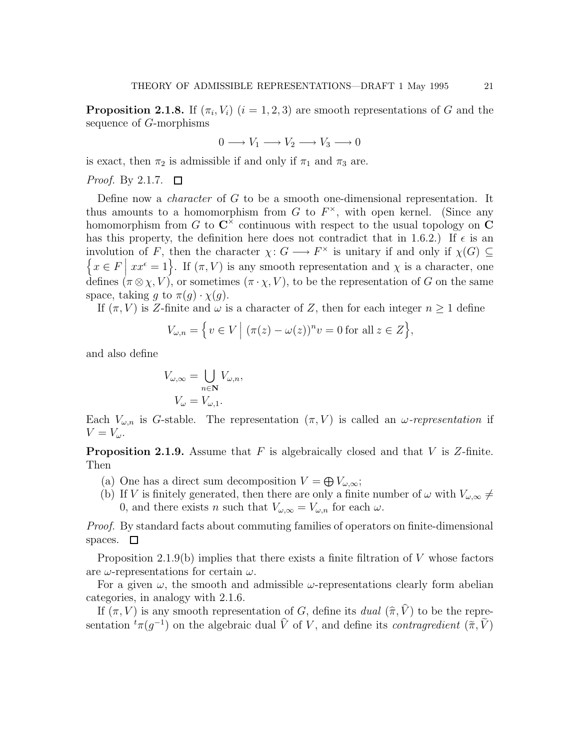**Proposition 2.1.8.** If  $(\pi_i, V_i)$   $(i = 1, 2, 3)$  are smooth representations of G and the sequence of G-morphisms

$$
0 \longrightarrow V_1 \longrightarrow V_2 \longrightarrow V_3 \longrightarrow 0
$$

is exact, then  $\pi_2$  is admissible if and only if  $\pi_1$  and  $\pi_3$  are.

*Proof.* By 2.1.7.  $\Box$ 

Define now a character of G to be a smooth one-dimensional representation. It thus amounts to a homomorphism from  $G$  to  $F^{\times}$ , with open kernel. (Since any homomorphism from G to  $\mathbb{C}^{\times}$  continuous with respect to the usual topology on C has this property, the definition here does not contradict that in 1.6.2.) If  $\epsilon$  is an involution of F, then the character  $\chi: G \longrightarrow F^{\times}$  is unitary if and only if  $\chi(G) \subseteq$  $\{x \in F \mid xx^{\epsilon} = 1\}$ . If  $(\pi, V)$  is any smooth representation and  $\chi$  is a character, one defines  $(\pi \otimes \chi, V)$ , or sometimes  $(\pi \cdot \chi, V)$ , to be the representation of G on the same space, taking g to  $\pi(g) \cdot \chi(g)$ .

If  $(\pi, V)$  is Z-finite and  $\omega$  is a character of Z, then for each integer  $n \geq 1$  define

$$
V_{\omega,n} = \left\{ v \in V \, \middle| \, (\pi(z) - \omega(z))^n v = 0 \text{ for all } z \in Z \right\},\
$$

and also define

$$
V_{\omega,\infty} = \bigcup_{n \in \mathbb{N}} V_{\omega,n},
$$

$$
V_{\omega} = V_{\omega,1}.
$$

Each  $V_{\omega,n}$  is G-stable. The representation  $(\pi, V)$  is called an  $\omega$ -representation if  $V = V_{\omega}$ .

**Proposition 2.1.9.** Assume that  $F$  is algebraically closed and that  $V$  is  $Z$ -finite. Then

- (a) One has a direct sum decomposition  $V = \bigoplus V_{\omega,\infty}$ ;
- (b) If V is finitely generated, then there are only a finite number of  $\omega$  with  $V_{\omega,\infty} \neq$ 0, and there exists n such that  $V_{\omega,\infty} = V_{\omega,n}$  for each  $\omega$ .

Proof. By standard facts about commuting families of operators on finite-dimensional spaces.  $\square$ 

Proposition 2.1.9(b) implies that there exists a finite filtration of  $V$  whose factors are  $\omega$ -representations for certain  $\omega$ .

For a given  $\omega$ , the smooth and admissible  $\omega$ -representations clearly form abelian categories, in analogy with 2.1.6.

If  $(\pi, V)$  is any smooth representation of G, define its dual  $(\hat{\pi}, V)$  to be the representation  ${}^t\pi(g^{-1})$  on the algebraic dual  $\hat{V}$  of V, and define its *contragredient*  $(\tilde{\pi}, \tilde{V})$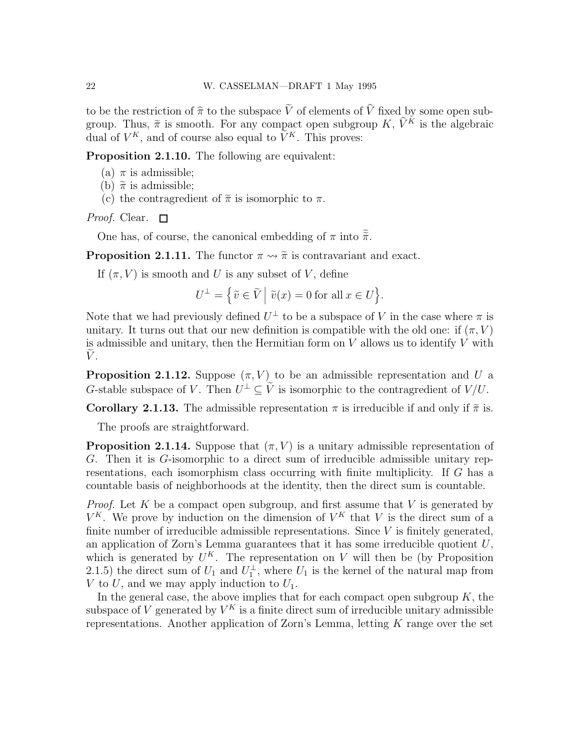to be the restriction of  $\hat{\pi}$  to the subspace  $\tilde{V}$  of elements of  $\hat{V}$  fixed by some open subgroup. Thus,  $\tilde{\pi}$  is smooth. For any compact open subgroup K,  $\tilde{V}^K$  is the algebraic dual of  $V^K$ , and of course also equal to  $\tilde{V}^K$ . This proves:

Proposition 2.1.10. The following are equivalent:

- (a)  $\pi$  is admissible;
- (b)  $\tilde{\pi}$  is admissible;
- (c) the contragredient of  $\tilde{\pi}$  is isomorphic to  $\pi$ .

*Proof.* Clear.  $\square$ 

One has, of course, the canonical embedding of  $\pi$  into  $\tilde{\tilde{\pi}}$ .

**Proposition 2.1.11.** The functor  $\pi \rightarrow \tilde{\pi}$  is contravariant and exact.

If  $(\pi, V)$  is smooth and U is any subset of V, define

$$
U^{\perp} = \left\{ \widetilde{v} \in \widetilde{V} \; \middle| \; \widetilde{v}(x) = 0 \text{ for all } x \in U \right\}.
$$

Note that we had previously defined  $U^{\perp}$  to be a subspace of V in the case where  $\pi$  is unitary. It turns out that our new definition is compatible with the old one: if  $(\pi, V)$ is admissible and unitary, then the Hermitian form on  $V$  allows us to identify  $V$  with  $V$ .

**Proposition 2.1.12.** Suppose  $(\pi, V)$  to be an admissible representation and U a G-stable subspace of V. Then  $U^{\perp} \subseteq \tilde{V}$  is isomorphic to the contragredient of  $V/U$ .

**Corollary 2.1.13.** The admissible representation  $\pi$  is irreducible if and only if  $\tilde{\pi}$  is.

The proofs are straightforward.

**Proposition 2.1.14.** Suppose that  $(\pi, V)$  is a unitary admissible representation of G. Then it is G-isomorphic to a direct sum of irreducible admissible unitary representations, each isomorphism class occurring with finite multiplicity. If G has a countable basis of neighborhoods at the identity, then the direct sum is countable.

*Proof.* Let  $K$  be a compact open subgroup, and first assume that  $V$  is generated by  $V^K$ . We prove by induction on the dimension of  $V^K$  that V is the direct sum of a finite number of irreducible admissible representations. Since  $V$  is finitely generated, an application of Zorn's Lemma guarantees that it has some irreducible quotient  $U$ , which is generated by  $U^K$ . The representation on V will then be (by Proposition 2.1.5) the direct sum of  $U_1$  and  $U_1^{\perp}$ , where  $U_1$  is the kernel of the natural map from V to U, and we may apply induction to  $U_1$ .

In the general case, the above implies that for each compact open subgroup  $K$ , the subspace of V generated by  $V^K$  is a finite direct sum of irreducible unitary admissible representations. Another application of Zorn's Lemma, letting  $K$  range over the set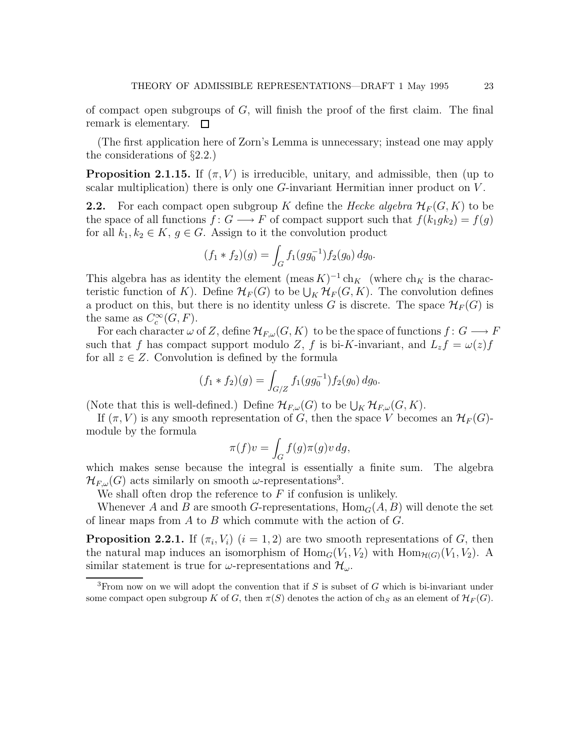of compact open subgroups of  $G$ , will finish the proof of the first claim. The final remark is elementary.  $\square$ 

(The first application here of Zorn's Lemma is unnecessary; instead one may apply the considerations of §2.2.)

**Proposition 2.1.15.** If  $(\pi, V)$  is irreducible, unitary, and admissible, then (up to scalar multiplication) there is only one  $G$ -invariant Hermitian inner product on  $V$ .

**2.2.** For each compact open subgroup K define the Hecke algebra  $\mathcal{H}_F(G, K)$  to be the space of all functions  $f: G \longrightarrow F$  of compact support such that  $f(k_1gk_2) = f(g)$ for all  $k_1, k_2 \in K$ ,  $g \in G$ . Assign to it the convolution product

$$
(f_1 * f_2)(g) = \int_G f_1(gg_0^{-1}) f_2(g_0) dg_0.
$$

This algebra has as identity the element  $(\text{meas } K)^{-1}$  ch<sub>K</sub> (where ch<sub>K</sub> is the characteristic function of K). Define  $\mathcal{H}_F(G)$  to be  $\bigcup_K \mathcal{H}_F(G, K)$ . The convolution defines a product on this, but there is no identity unless G is discrete. The space  $\mathcal{H}_F(G)$  is the same as  $C_c^{\infty}(G, F)$ .

For each character  $\omega$  of Z, define  $\mathcal{H}_{F,\omega}(G,K)$  to be the space of functions  $f: G \longrightarrow F$ such that f has compact support modulo Z, f is bi-K-invariant, and  $L_z f = \omega(z) f$ for all  $z \in Z$ . Convolution is defined by the formula

$$
(f_1 * f_2)(g) = \int_{G/Z} f_1(gg_0^{-1}) f_2(g_0) dg_0.
$$

(Note that this is well-defined.) Define  $\mathcal{H}_{F,\omega}(G)$  to be  $\bigcup_K \mathcal{H}_{F,\omega}(G,K)$ .

If  $(\pi, V)$  is any smooth representation of G, then the space V becomes an  $\mathcal{H}_F(G)$ module by the formula

$$
\pi(f)v = \int_G f(g)\pi(g)v\,dg,
$$

which makes sense because the integral is essentially a finite sum. The algebra  $\mathcal{H}_{F,\omega}(G)$  acts similarly on smooth  $\omega$ -representations<sup>3</sup>.

We shall often drop the reference to  $F$  if confusion is unlikely.

Whenever A and B are smooth G-representations,  $\text{Hom}_G(A, B)$  will denote the set of linear maps from  $A$  to  $B$  which commute with the action of  $G$ .

**Proposition 2.2.1.** If  $(\pi_i, V_i)$   $(i = 1, 2)$  are two smooth representations of G, then the natural map induces an isomorphism of  $\text{Hom}_G(V_1, V_2)$  with  $\text{Hom}_{H(G)}(V_1, V_2)$ . A similar statement is true for  $\omega$ -representations and  $\mathcal{H}_{\omega}$ .

<sup>&</sup>lt;sup>3</sup>From now on we will adopt the convention that if S is subset of G which is bi-invariant under some compact open subgroup K of G, then  $\pi(S)$  denotes the action of ch<sub>S</sub> as an element of  $\mathcal{H}_F(G)$ .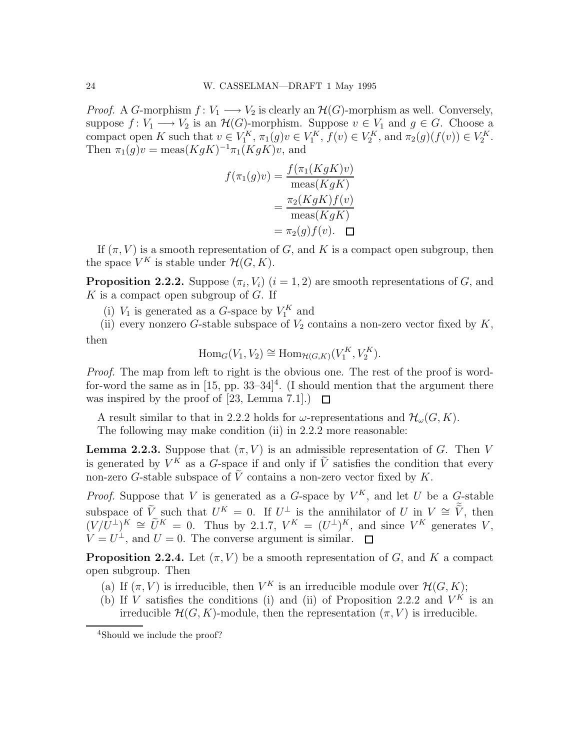*Proof.* A G-morphism  $f: V_1 \longrightarrow V_2$  is clearly an  $\mathcal{H}(G)$ -morphism as well. Conversely, suppose  $f: V_1 \longrightarrow V_2$  is an  $\mathcal{H}(G)$ -morphism. Suppose  $v \in V_1$  and  $g \in G$ . Choose a compact open K such that  $v \in V_1^K$ ,  $\pi_1(g)v \in V_1^K$ ,  $f(v) \in V_2^K$ , and  $\pi_2(g)(f(v)) \in V_2^K$ . Then  $\pi_1(g)v = \text{meas}(KgK)^{-1}\pi_1(KgK)v$ , and

$$
f(\pi_1(g)v) = \frac{f(\pi_1(KgK)v)}{\text{meas}(KgK)}
$$

$$
= \frac{\pi_2(KgK)f(v)}{\text{meas}(KgK)}
$$

$$
= \pi_2(g)f(v). \quad \Box
$$

If  $(\pi, V)$  is a smooth representation of G, and K is a compact open subgroup, then the space  $V^K$  is stable under  $\mathcal{H}(G,K)$ .

**Proposition 2.2.2.** Suppose  $(\pi_i, V_i)$   $(i = 1, 2)$  are smooth representations of G, and  $K$  is a compact open subgroup of  $G$ . If

(i)  $V_1$  is generated as a G-space by  $V_1^K$  and

(ii) every nonzero G-stable subspace of  $V_2$  contains a non-zero vector fixed by K, then

$$
\operatorname{Hom}_G(V_1, V_2) \cong \operatorname{Hom}_{\mathcal{H}(G,K)}(V_1^K, V_2^K).
$$

Proof. The map from left to right is the obvious one. The rest of the proof is wordfor-word the same as in  $[15, pp. 33-34]^4$ . (I should mention that the argument there was inspired by the proof of [23, Lemma 7.1].)  $\Box$ 

A result similar to that in 2.2.2 holds for  $\omega$ -representations and  $\mathcal{H}_{\omega}(G, K)$ .

The following may make condition (ii) in 2.2.2 more reasonable:

**Lemma 2.2.3.** Suppose that  $(\pi, V)$  is an admissible representation of G. Then V is generated by  $V^K$  as a G-space if and only if  $\tilde{V}$  satisfies the condition that every non-zero G-stable subspace of  $\tilde{V}$  contains a non-zero vector fixed by K.

*Proof.* Suppose that V is generated as a G-space by  $V^K$ , and let U be a G-stable subspace of  $\tilde{V}$  such that  $U^K = 0$ . If  $U^{\perp}$  is the annihilator of U in  $V \cong \tilde{V}$ , then  $(V/\tilde{U}^{\perp})^K \cong \tilde{U}^K = 0$ . Thus by 2.1.7,  $V^K = (U^{\perp})^K$ , and since  $V^K$  generates V,  $V = U^{\perp}$ , and  $U = 0$ . The converse argument is similar.

**Proposition 2.2.4.** Let  $(\pi, V)$  be a smooth representation of G, and K a compact open subgroup. Then

- (a) If  $(\pi, V)$  is irreducible, then  $V^K$  is an irreducible module over  $\mathcal{H}(G, K)$ ;
- (b) If V satisfies the conditions (i) and (ii) of Proposition 2.2.2 and  $V^K$  is an irreducible  $\mathcal{H}(G, K)$ -module, then the representation  $(\pi, V)$  is irreducible.

<sup>4</sup>Should we include the proof?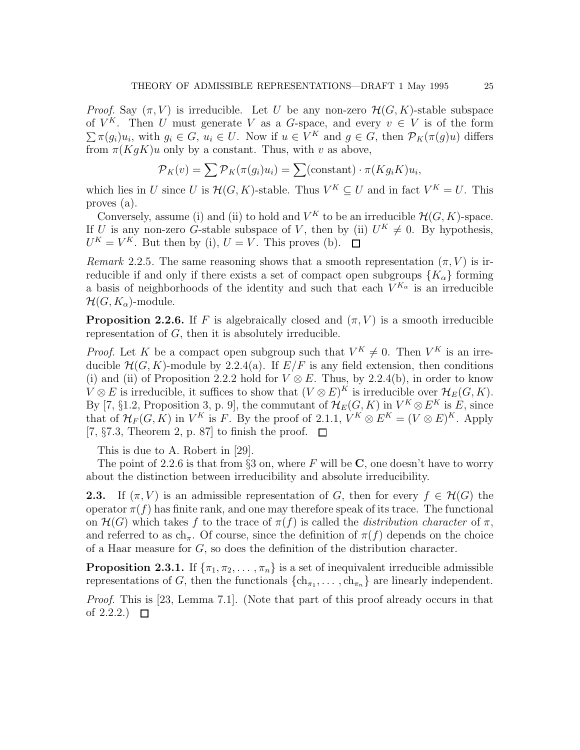*Proof.* Say  $(\pi, V)$  is irreducible. Let U be any non-zero  $\mathcal{H}(G, K)$ -stable subspace of  $V^K$ . Then U must generate V as a G-space, and every  $v \in V$  is of the form  $\sum \pi(g_i)u_i$ , with  $g_i \in G$ ,  $u_i \in U$ . Now if  $u \in V^K$  and  $g \in G$ , then  $\mathcal{P}_K(\pi(g)u)$  differs from  $\pi(KgK)u$  only by a constant. Thus, with v as above,

$$
\mathcal{P}_K(v) = \sum \mathcal{P}_K(\pi(g_i)u_i) = \sum \text{(constant)} \cdot \pi(Kg_i K)u_i,
$$

which lies in U since U is  $\mathcal{H}(G,K)$ -stable. Thus  $V^K \subseteq U$  and in fact  $V^K = U$ . This proves (a).

Conversely, assume (i) and (ii) to hold and  $V^K$  to be an irreducible  $\mathcal{H}(G,K)$ -space. If U is any non-zero G-stable subspace of V, then by (ii)  $U^K \neq 0$ . By hypothesis,  $U^K = V^K$ . But then by (i),  $U = V$ . This proves (b).

Remark 2.2.5. The same reasoning shows that a smooth representation  $(\pi, V)$  is irreducible if and only if there exists a set of compact open subgroups  ${K_{\alpha}}$  forming a basis of neighborhoods of the identity and such that each  $V^{K_{\alpha}}$  is an irreducible  $\mathcal{H}(G, K_{\alpha})$ -module.

**Proposition 2.2.6.** If F is algebraically closed and  $(\pi, V)$  is a smooth irreducible representation of G, then it is absolutely irreducible.

*Proof.* Let K be a compact open subgroup such that  $V^K \neq 0$ . Then  $V^K$  is an irreducible  $H(G, K)$ -module by 2.2.4(a). If  $E/F$  is any field extension, then conditions (i) and (ii) of Proposition 2.2.2 hold for  $V \otimes E$ . Thus, by 2.2.4(b), in order to know  $V \otimes E$  is irreducible, it suffices to show that  $(V \otimes E)^K$  is irreducible over  $\mathcal{H}_E(G, K)$ . By [7, §1.2, Proposition 3, p. 9], the commutant of  $\mathcal{H}_E(G,K)$  in  $V^K \otimes E^K$  is E, since that of  $\mathcal{H}_F(G,K)$  in  $V^K$  is F. By the proof of 2.1.1,  $V^K \otimes E^K = (V \otimes E)^K$ . Apply [7,  $\S 7.3$ , Theorem 2, p. 87] to finish the proof.  $\square$ 

This is due to A. Robert in [29].

The point of 2.2.6 is that from  $\S3$  on, where F will be C, one doesn't have to worry about the distinction between irreducibility and absolute irreducibility.

**2.3.** If  $(\pi, V)$  is an admissible representation of G, then for every  $f \in \mathcal{H}(G)$  the operator  $\pi(f)$  has finite rank, and one may therefore speak of its trace. The functional on  $\mathcal{H}(G)$  which takes f to the trace of  $\pi(f)$  is called the *distribution character* of  $\pi$ , and referred to as  $ch_{\pi}$ . Of course, since the definition of  $\pi(f)$  depends on the choice of a Haar measure for G, so does the definition of the distribution character.

**Proposition 2.3.1.** If  $\{\pi_1, \pi_2, \dots, \pi_n\}$  is a set of inequivalent irreducible admissible representations of G, then the functionals  $\{\text{ch}_{\pi_1}, \ldots, \text{ch}_{\pi_n}\}\$  are linearly independent.

Proof. This is [23, Lemma 7.1]. (Note that part of this proof already occurs in that of 2.2.2.)  $\Box$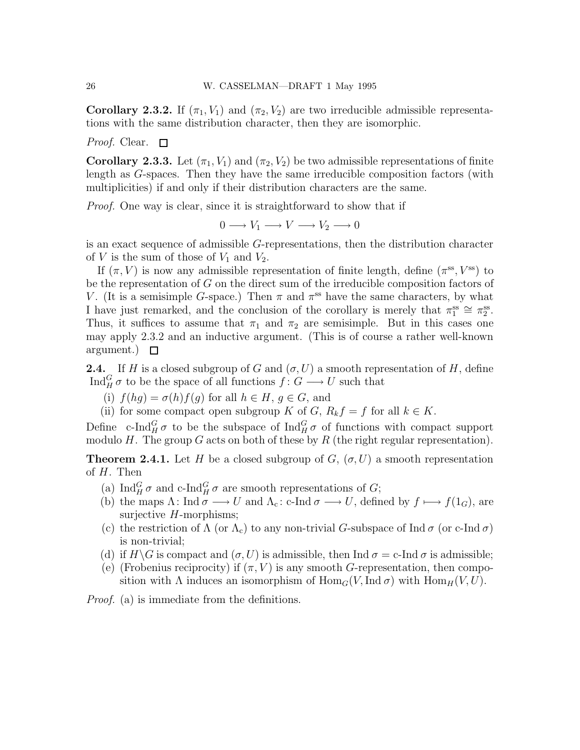**Corollary 2.3.2.** If  $(\pi_1, V_1)$  and  $(\pi_2, V_2)$  are two irreducible admissible representations with the same distribution character, then they are isomorphic.

Proof. Clear.  $\Box$ 

Corollary 2.3.3. Let  $(\pi_1, V_1)$  and  $(\pi_2, V_2)$  be two admissible representations of finite length as G-spaces. Then they have the same irreducible composition factors (with multiplicities) if and only if their distribution characters are the same.

*Proof.* One way is clear, since it is straightforward to show that if

$$
0 \longrightarrow V_1 \longrightarrow V \longrightarrow V_2 \longrightarrow 0
$$

is an exact sequence of admissible G-representations, then the distribution character of V is the sum of those of  $V_1$  and  $V_2$ .

If  $(\pi, V)$  is now any admissible representation of finite length, define  $(\pi^{\text{ss}}, V^{\text{ss}})$  to be the representation of G on the direct sum of the irreducible composition factors of V. (It is a semisimple G-space.) Then  $\pi$  and  $\pi^{\text{ss}}$  have the same characters, by what I have just remarked, and the conclusion of the corollary is merely that  $\pi_1^{\text{ss}} \cong \pi_2^{\text{ss}}$ . Thus, it suffices to assume that  $\pi_1$  and  $\pi_2$  are semisimple. But in this cases one may apply 2.3.2 and an inductive argument. (This is of course a rather well-known argument.)  $\Box$ 

**2.4.** If H is a closed subgroup of G and  $(\sigma, U)$  a smooth representation of H, define  $\text{Ind}_{H}^{G} \sigma$  to be the space of all functions  $f: G \longrightarrow U$  such that

- (i)  $f(hg) = \sigma(h)f(g)$  for all  $h \in H, g \in G$ , and
- (ii) for some compact open subgroup K of G,  $R_k f = f$  for all  $k \in K$ .

Define c-Ind $_G^G \sigma$  to be the subspace of Ind $_G^G \sigma$  of functions with compact support modulo H. The group G acts on both of these by R (the right regular representation).

**Theorem 2.4.1.** Let H be a closed subgroup of G,  $(\sigma, U)$  a smooth representation of H. Then

- (a)  $\text{Ind}_{H}^{G} \sigma$  and c-Ind $_{H}^{G} \sigma$  are smooth representations of G;
- (b) the maps  $\Lambda$ : Ind  $\sigma \longrightarrow U$  and  $\Lambda_c$ : c-Ind  $\sigma \longrightarrow U$ , defined by  $f \longmapsto f(1_G)$ , are surjective  $H$ -morphisms;
- (c) the restriction of  $\Lambda$  (or  $\Lambda_c$ ) to any non-trivial G-subspace of Ind  $\sigma$  (or c-Ind  $\sigma$ ) is non-trivial;
- (d) if  $H\backslash G$  is compact and  $(\sigma, U)$  is admissible, then Ind  $\sigma = c$ -Ind  $\sigma$  is admissible;
- (e) (Frobenius reciprocity) if  $(\pi, V)$  is any smooth G-representation, then composition with  $\Lambda$  induces an isomorphism of  $\text{Hom}_G(V, \text{Ind }\sigma)$  with  $\text{Hom}_H(V, U)$ .

Proof. (a) is immediate from the definitions.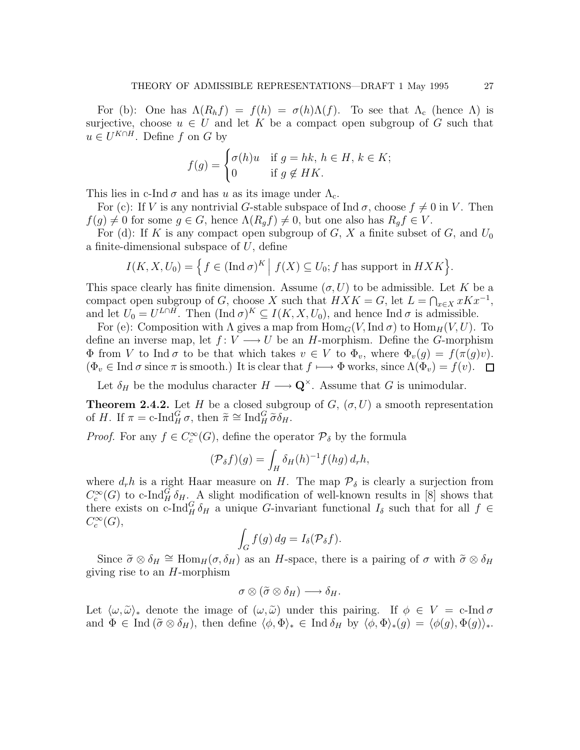For (b): One has  $\Lambda(R_h f) = f(h) = \sigma(h)\Lambda(f)$ . To see that  $\Lambda_c$  (hence  $\Lambda$ ) is surjective, choose  $u \in U$  and let K be a compact open subgroup of G such that  $u \in U^{K \cap H}$ . Define f on G by

$$
f(g) = \begin{cases} \sigma(h)u & \text{if } g = hk, \, h \in H, \, k \in K; \\ 0 & \text{if } g \notin HK. \end{cases}
$$

This lies in c-Ind  $\sigma$  and has u as its image under  $\Lambda_c$ .

For (c): If V is any nontrivial G-stable subspace of Ind  $\sigma$ , choose  $f \neq 0$  in V. Then  $f(g) \neq 0$  for some  $g \in G$ , hence  $\Lambda(R_q f) \neq 0$ , but one also has  $R_q f \in V$ .

For (d): If K is any compact open subgroup of G, X a finite subset of G, and  $U_0$ a finite-dimensional subspace of  $U$ , define

$$
I(K, X, U_0) = \left\{ f \in (\text{Ind } \sigma)^K \mid f(X) \subseteq U_0; f \text{ has support in } H X K \right\}.
$$

This space clearly has finite dimension. Assume  $(\sigma, U)$  to be admissible. Let K be a compact open subgroup of G, choose X such that  $H X K = G$ , let  $L = \bigcap_{x \in X} x K x^{-1}$ , and let  $U_0 = U^{L \cap H}$ . Then  $(\text{Ind } \sigma)^K \subseteq I(K, X, U_0)$ , and hence Ind  $\sigma$  is admissible.

For (e): Composition with  $\Lambda$  gives a map from  $\text{Hom}_G(V, \text{Ind }\sigma)$  to  $\text{Hom}_H(V, U)$ . To define an inverse map, let  $f: V \longrightarrow U$  be an H-morphism. Define the G-morphism  $\Phi$  from V to Ind  $\sigma$  to be that which takes  $v \in V$  to  $\Phi_v$ , where  $\Phi_v(g) = f(\pi(g)v)$ .  $(\Phi_v \in \text{Ind } \sigma \text{ since } \pi \text{ is smooth.)}$  It is clear that  $f \mapsto \Phi$  works, since  $\Lambda(\Phi_v) = f(v)$ .  $\Box$ 

Let  $\delta_H$  be the modulus character  $H \longrightarrow \mathbf{Q}^{\times}$ . Assume that G is unimodular.

**Theorem 2.4.2.** Let H be a closed subgroup of  $G$ ,  $(\sigma, U)$  a smooth representation of H. If  $\pi = \text{c-Ind}_{H}^{G} \sigma$ , then  $\tilde{\pi} \cong \text{Ind}_{H}^{G} \tilde{\sigma} \delta_{H}$ .

*Proof.* For any  $f \in C_c^{\infty}(G)$ , define the operator  $\mathcal{P}_{\delta}$  by the formula

$$
(\mathcal{P}_{\delta}f)(g) = \int_H \delta_H(h)^{-1} f(hg) d_r h,
$$

where  $d_r h$  is a right Haar measure on H. The map  $\mathcal{P}_{\delta}$  is clearly a surjection from  $C_c^{\infty}(G)$  to c-Ind<sub>H</sub> $\delta_{H}$ . A slight modification of well-known results in [8] shows that there exists on c-Ind<sub>H</sub>  $\delta_H$  a unique G-invariant functional  $I_\delta$  such that for all  $f \in$  $C_c^{\infty}(G)$ ,

$$
\int_G f(g) \, dg = I_\delta(\mathcal{P}_\delta f).
$$

Since  $\tilde{\sigma} \otimes \delta_H \cong \text{Hom}_H(\sigma, \delta_H)$  as an H-space, there is a pairing of  $\sigma$  with  $\tilde{\sigma} \otimes \delta_H$ giving rise to an  $H$ -morphism

$$
\sigma\otimes (\widetilde{\sigma}\otimes \delta_H)\longrightarrow \delta_H.
$$

Let  $\langle \omega, \tilde{\omega} \rangle_*$  denote the image of  $(\omega, \tilde{\omega})$  under this pairing. If  $\phi \in V = c$ -Ind  $\sigma$ and  $\Phi \in \text{Ind}(\tilde{\sigma} \otimes \delta_H)$ , then define  $\langle \phi, \Phi \rangle_* \in \text{Ind } \delta_H$  by  $\langle \phi, \Phi \rangle_*(g) = \langle \phi(g), \Phi(g) \rangle_*$ .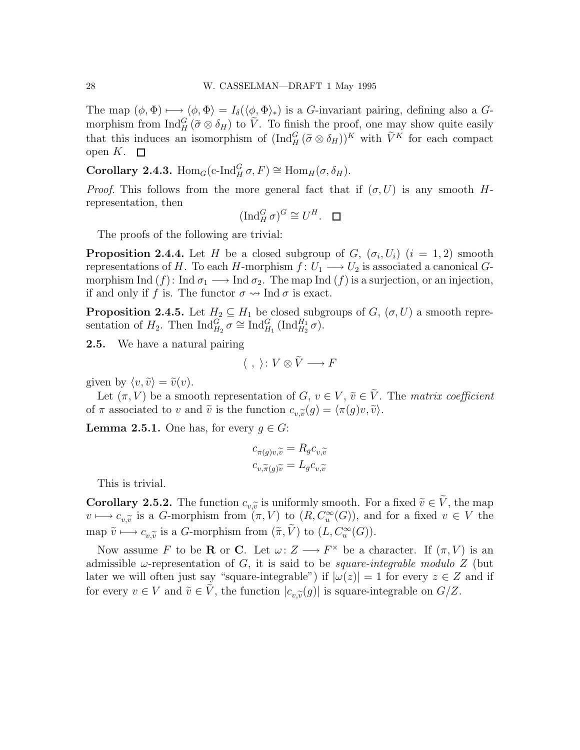The map  $(\phi, \Phi) \longrightarrow \langle \phi, \Phi \rangle = I_{\delta}(\langle \phi, \Phi \rangle_{*})$  is a G-invariant pairing, defining also a Gmorphism from  $\text{Ind}_{H}^{G}(\tilde{\sigma}\otimes \delta_{H})$  to  $\tilde{V}$ . To finish the proof, one may show quite easily that this induces an isomorphism of  $(\text{Ind}_{H}^{G}(\tilde{\sigma}\otimes \delta_{H}))^{K}$  with  $\tilde{V}^{K}$  for each compact open  $K$ .  $\square$ 

**Corollary 2.4.3.** Hom<sub>G</sub>(c-Ind $_G^G \sigma$ ,  $F$ ) ≅ Hom<sub>H</sub>( $\sigma$ ,  $\delta_H$ ).

*Proof.* This follows from the more general fact that if  $(\sigma, U)$  is any smooth Hrepresentation, then

$$
(\operatorname{Ind}_H^G \sigma)^G \cong U^H. \quad \Box
$$

The proofs of the following are trivial:

**Proposition 2.4.4.** Let H be a closed subgroup of  $G$ ,  $(\sigma_i, U_i)$   $(i = 1, 2)$  smooth representations of H. To each H-morphism  $f: U_1 \longrightarrow U_2$  is associated a canonical Gmorphism Ind  $(f)$ : Ind  $\sigma_1 \longrightarrow \text{Ind } \sigma_2$ . The map Ind  $(f)$  is a surjection, or an injection, if and only if f is. The functor  $\sigma \rightarrow \text{Ind } \sigma$  is exact.

**Proposition 2.4.5.** Let  $H_2 \subseteq H_1$  be closed subgroups of  $G$ ,  $(\sigma, U)$  a smooth representation of  $H_2$ . Then  $\text{Ind}_{H_2}^G \overline{\sigma} \cong \text{Ind}_{H_1}^G (\text{Ind}_{H_2}^{H_1} \sigma)$ .

2.5. We have a natural pairing

$$
\langle ,\ \rangle\colon V\otimes \widetilde{V}\longrightarrow F
$$

given by  $\langle v, \tilde{v} \rangle = \tilde{v}(v)$ .

Let  $(\pi, V)$  be a smooth representation of G,  $v \in V$ ,  $\tilde{v} \in \tilde{V}$ . The matrix coefficient of  $\pi$  associated to v and  $\tilde{v}$  is the function  $c_{v,\tilde{v}}(g) = \langle \pi(g)v, \tilde{v} \rangle$ .

**Lemma 2.5.1.** One has, for every  $g \in G$ :

$$
c_{\pi(g)v,\widetilde{v}} = R_g c_{v,\widetilde{v}}
$$

$$
c_{v,\widetilde{\pi}(g)\widetilde{v}} = L_g c_{v,\widetilde{v}}
$$

This is trivial.

**Corollary 2.5.2.** The function  $c_{v,\tilde{v}}$  is uniformly smooth. For a fixed  $\tilde{v} \in V$ , the map  $c_{v,1}$  is a  $G$  morphism from  $(\pi, V)$  to  $(B, C^{\infty}(G))$  and for a fixed  $v \in V$  the  $v \mapsto c_{v,\widetilde{v}}$  is a G-morphism from  $(\pi, V)$  to  $(R, C_u^{\infty}(G))$ , and for a fixed  $v \in V$  the map  $\tilde{v} \longmapsto c_{v,\tilde{v}}$  is a *G*-morphism from  $(\tilde{\pi}, \tilde{V})$  to  $(L, C_u^{\infty}(G))$ .

Now assume F to be **R** or C. Let  $\omega: Z \longrightarrow F^{\times}$  be a character. If  $(\pi, V)$  is an admissible  $\omega$ -representation of G, it is said to be *square-integrable modulo Z* (but later we will often just say "square-integrable") if  $|\omega(z)| = 1$  for every  $z \in Z$  and if for every  $v \in V$  and  $\tilde{v} \in V$ , the function  $|c_{v,\tilde{v}}(g)|$  is square-integrable on  $G/Z$ .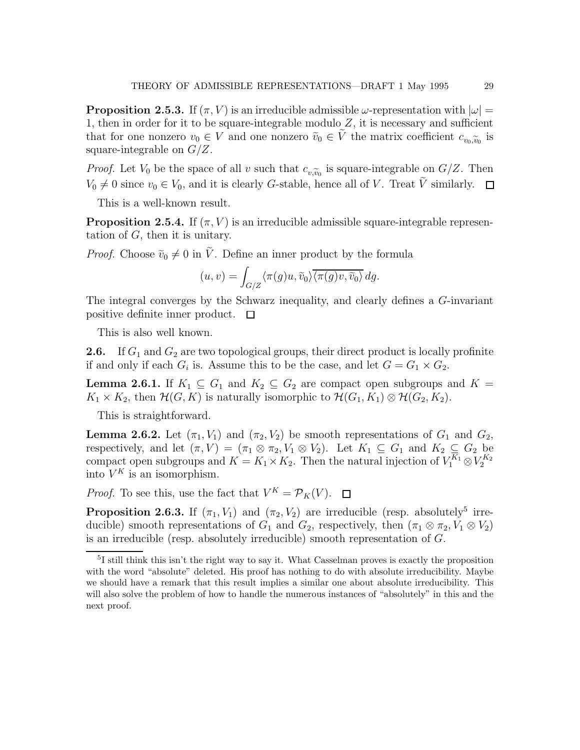**Proposition 2.5.3.** If  $(\pi, V)$  is an irreducible admissible  $\omega$ -representation with  $|\omega|$ 1, then in order for it to be square-integrable modulo  $Z$ , it is necessary and sufficient that for one nonzero  $v_0 \in V$  and one nonzero  $\tilde{v}_0 \in V$  the matrix coefficient  $c_{v_0,\tilde{v}_0}$  is<br>square integrable on  $C/Z$ square-integrable on  $G/Z$ .

*Proof.* Let  $V_0$  be the space of all v such that  $c_{v,\widetilde{v}_0}$  is square-integrable on  $G/Z$ . Then  $V_0 \neq 0$  since  $v_0 \in V_0$ , and it is clearly G-stable, hence all of V. Treat  $\tilde{V}$  similarly.  $\Box$ 

This is a well-known result.

**Proposition 2.5.4.** If  $(\pi, V)$  is an irreducible admissible square-integrable representation of  $G$ , then it is unitary.

*Proof.* Choose  $\tilde{v}_0 \neq 0$  in  $\tilde{V}$ . Define an inner product by the formula

$$
(u,v) = \int_{G/Z} \langle \pi(g)u, \tilde{v}_0 \rangle \overline{\langle \pi(g)v, \tilde{v}_0 \rangle} \, dg.
$$

The integral converges by the Schwarz inequality, and clearly defines a G-invariant positive definite inner product.  $\Box$ 

This is also well known.

**2.6.** If  $G_1$  and  $G_2$  are two topological groups, their direct product is locally profinite if and only if each  $G_i$  is. Assume this to be the case, and let  $G = G_1 \times G_2$ .

**Lemma 2.6.1.** If  $K_1 \subseteq G_1$  and  $K_2 \subseteq G_2$  are compact open subgroups and  $K =$  $K_1 \times K_2$ , then  $\mathcal{H}(G, K)$  is naturally isomorphic to  $\mathcal{H}(G_1, K_1) \otimes \mathcal{H}(G_2, K_2)$ .

This is straightforward.

**Lemma 2.6.2.** Let  $(\pi_1, V_1)$  and  $(\pi_2, V_2)$  be smooth representations of  $G_1$  and  $G_2$ , respectively, and let  $(\pi, V) = (\pi_1 \otimes \pi_2, V_1 \otimes V_2)$ . Let  $K_1 \subseteq G_1$  and  $K_2 \subseteq G_2$  be compact open subgroups and  $K = K_1 \times K_2$ . Then the natural injection of  $V_1^{K_1} \otimes V_2^{K_2}$ into  $V^K$  is an isomorphism.

*Proof.* To see this, use the fact that  $V^K = \mathcal{P}_K(V)$ .

**Proposition 2.6.3.** If  $(\pi_1, V_1)$  and  $(\pi_2, V_2)$  are irreducible (resp. absolutely<sup>5</sup> irreducible) smooth representations of  $G_1$  and  $G_2$ , respectively, then  $(\pi_1 \otimes \pi_2, V_1 \otimes V_2)$ is an irreducible (resp. absolutely irreducible) smooth representation of G.

<sup>5</sup> I still think this isn't the right way to say it. What Casselman proves is exactly the proposition with the word "absolute" deleted. His proof has nothing to do with absolute irreducibility. Maybe we should have a remark that this result implies a similar one about absolute irreducibility. This will also solve the problem of how to handle the numerous instances of "absolutely" in this and the next proof.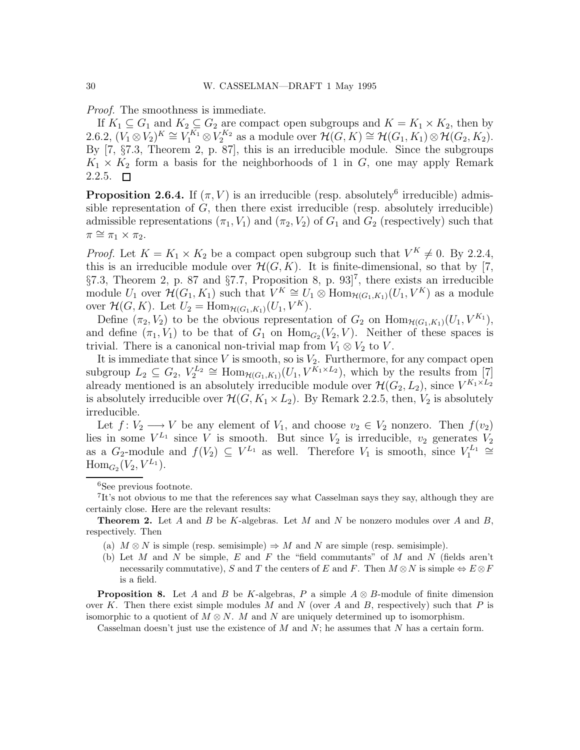Proof. The smoothness is immediate.

If  $K_1 \subseteq G_1$  and  $K_2 \subseteq G_2$  are compact open subgroups and  $K = K_1 \times K_2$ , then by 2.6.2,  $(\overline{V_1 \otimes V_2})^K \cong \overline{V_1^{K_1} \otimes V_2^{K_2}}$  as a module over  $\mathcal{H}(G, K) \cong \mathcal{H}(G_1, K_1) \otimes \mathcal{H}(G_2, K_2)$ . By [7, §7.3, Theorem 2, p. 87], this is an irreducible module. Since the subgroups  $K_1 \times K_2$  form a basis for the neighborhoods of 1 in G, one may apply Remark  $2.2.5. \Box$ 

**Proposition 2.6.4.** If  $(\pi, V)$  is an irreducible (resp. absolutely<sup>6</sup> irreducible) admissible representation of  $G$ , then there exist irreducible (resp. absolutely irreducible) admissible representations  $(\pi_1, V_1)$  and  $(\pi_2, V_2)$  of  $G_1$  and  $G_2$  (respectively) such that  $\pi \cong \pi_1 \times \pi_2$ .

*Proof.* Let  $K = K_1 \times K_2$  be a compact open subgroup such that  $V^K \neq 0$ . By 2.2.4, this is an irreducible module over  $\mathcal{H}(G, K)$ . It is finite-dimensional, so that by [7,  $\S 7.3$ , Theorem 2, p. 87 and  $\S 7.7$ , Proposition 8, p. 93<sup> $7$ </sup>, there exists an irreducible module  $U_1$  over  $\mathcal{H}(G_1, K_1)$  such that  $V^K \cong U_1 \otimes \text{Hom}_{\mathcal{H}(G_1, K_1)}(U_1, V^K)$  as a module over  $\mathcal{H}(G, K)$ . Let  $U_2 = \text{Hom}_{\mathcal{H}(G_1, K_1)}(U_1, V^K)$ .

Define  $(\pi_2, V_2)$  to be the obvious representation of  $G_2$  on  $\text{Hom}_{\mathcal{H}(G_1, K_1)}(U_1, V^{K_1}),$ and define  $(\pi_1, V_1)$  to be that of  $G_1$  on  $\text{Hom}_{G_2}(V_2, V)$ . Neither of these spaces is trivial. There is a canonical non-trivial map from  $V_1 \otimes V_2$  to V.

It is immediate that since  $V$  is smooth, so is  $V_2$ . Furthermore, for any compact open subgroup  $L_2 \subseteq G_2$ ,  $V_2^{L_2} \cong \text{Hom}_{\mathcal{H}(G_1,K_1)}(U_1, V^{\overline{K_1} \times L_2})$ , which by the results from [7] already mentioned is an absolutely irreducible module over  $\mathcal{H}(G_2, L_2)$ , since  $V^{K_1 \times L_2}$ is absolutely irreducible over  $\mathcal{H}(G, K_1 \times L_2)$ . By Remark 2.2.5, then,  $V_2$  is absolutely irreducible.

Let  $f: V_2 \longrightarrow V$  be any element of  $V_1$ , and choose  $v_2 \in V_2$  nonzero. Then  $f(v_2)$ lies in some  $V^{L_1}$  since V is smooth. But since  $V_2$  is irreducible,  $v_2$  generates  $V_2$ as a  $G_2$ -module and  $f(V_2) \subseteq V^{L_1}$  as well. Therefore  $V_1$  is smooth, since  $V_1^{L_1} \cong$  $\text{Hom}_{G_2}(V_2, V^{L_1}).$ 

- (a)  $M \otimes N$  is simple (resp. semisimple)  $\Rightarrow M$  and N are simple (resp. semisimple).
- (b) Let  $M$  and  $N$  be simple,  $E$  and  $F$  the "field commutants" of  $M$  and  $N$  (fields aren't necessarily commutative), S and T the centers of E and F. Then  $M \otimes N$  is simple  $\Leftrightarrow E \otimes F$ is a field.

**Proposition 8.** Let A and B be K-algebras, P a simple  $A \otimes B$ -module of finite dimension over K. Then there exist simple modules M and N (over A and B, respectively) such that P is isomorphic to a quotient of  $M \otimes N$ . M and N are uniquely determined up to isomorphism.

Casselman doesn't just use the existence of  $M$  and  $N$ ; he assumes that  $N$  has a certain form.

<sup>6</sup>See previous footnote.

<sup>&</sup>lt;sup>7</sup>It's not obvious to me that the references say what Casselman says they say, although they are certainly close. Here are the relevant results:

**Theorem 2.** Let A and B be K-algebras. Let M and N be nonzero modules over A and B, respectively. Then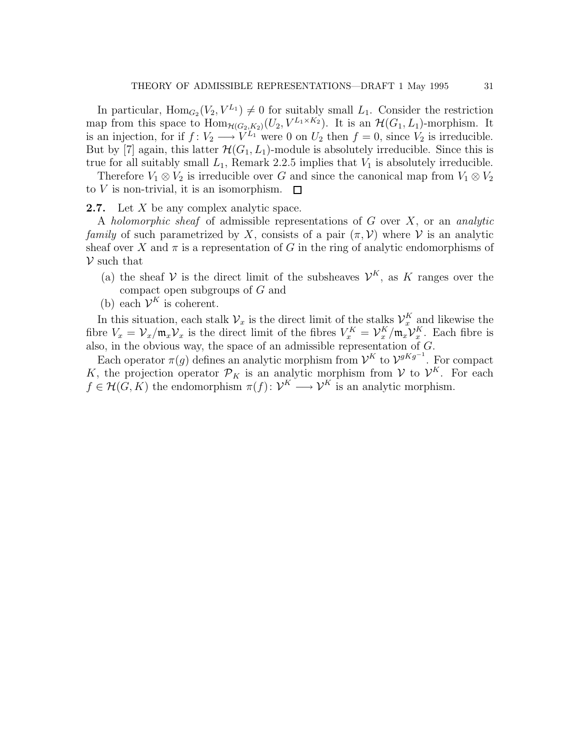In particular,  $\text{Hom}_{G_2}(V_2, V^{L_1}) \neq 0$  for suitably small  $L_1$ . Consider the restriction map from this space to  $\text{Hom}_{\mathcal{H}(G_2,K_2)}(U_2, V^{L_1\times K_2})$ . It is an  $\mathcal{H}(G_1, L_1)$ -morphism. It is an injection, for if  $f: V_2 \longrightarrow V^{L_1}$  were 0 on  $U_2$  then  $f = 0$ , since  $V_2$  is irreducible. But by [7] again, this latter  $\mathcal{H}(G_1, L_1)$ -module is absolutely irreducible. Since this is true for all suitably small  $L_1$ , Remark 2.2.5 implies that  $V_1$  is absolutely irreducible.

Therefore  $V_1 \otimes V_2$  is irreducible over G and since the canonical map from  $V_1 \otimes V_2$ to V is non-trivial, it is an isomorphism.  $\Box$ 

**2.7.** Let  $X$  be any complex analytic space.

A holomorphic sheaf of admissible representations of  $G$  over  $X$ , or an analytic family of such parametrized by X, consists of a pair  $(\pi, V)$  where V is an analytic sheaf over X and  $\pi$  is a representation of G in the ring of analytic endomorphisms of  $\mathcal V$  such that

- (a) the sheaf V is the direct limit of the subsheaves  $\mathcal{V}^K$ , as K ranges over the compact open subgroups of G and
- (b) each  $\mathcal{V}^K$  is coherent.

In this situation, each stalk  $\mathcal{V}_x$  is the direct limit of the stalks  $\mathcal{V}_x^K$  and likewise the fibre  $V_x = \mathcal{V}_x / \mathfrak{m}_x \mathcal{V}_x$  is the direct limit of the fibres  $V_x^K = \mathcal{V}_x^K / \mathfrak{m}_x \mathcal{V}_x^K$ . Each fibre is also, in the obvious way, the space of an admissible representation of  $G$ .

Each operator  $\pi(g)$  defines an analytic morphism from  $\mathcal{V}^K$  to  $\mathcal{V}^{gKg^{-1}}$ . For compact K, the projection operator  $\mathcal{P}_K$  is an analytic morphism from V to  $\mathcal{V}^K$ . For each  $f \in \mathcal{H}(G, K)$  the endomorphism  $\pi(f) \colon \mathcal{V}^K \longrightarrow \mathcal{V}^K$  is an analytic morphism.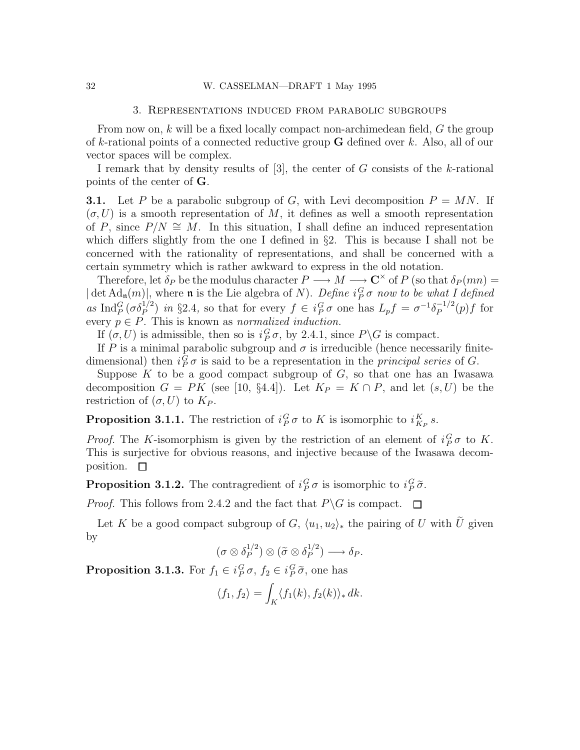#### 3. Representations induced from parabolic subgroups

From now on, k will be a fixed locally compact non-archimedean field, G the group of k-rational points of a connected reductive group  $G$  defined over k. Also, all of our vector spaces will be complex.

I remark that by density results of  $[3]$ , the center of G consists of the k-rational points of the center of G.

**3.1.** Let P be a parabolic subgroup of G, with Levi decomposition  $P = MN$ . If  $(\sigma, U)$  is a smooth representation of M, it defines as well a smooth representation of P, since  $P/N \cong M$ . In this situation, I shall define an induced representation which differs slightly from the one I defined in  $\S$ 2. This is because I shall not be concerned with the rationality of representations, and shall be concerned with a certain symmetry which is rather awkward to express in the old notation.

Therefore, let  $\delta_P$  be the modulus character  $P \longrightarrow M \longrightarrow \mathbb{C}^\times$  of P (so that  $\delta_P(mn) =$  $|\det \text{Ad}_{\mathfrak{n}}(m)|$ , where  $\mathfrak n$  is the Lie algebra of N). Define  $i_P^G \sigma$  now to be what I defined as Ind<sub>P</sub> $(\sigma \delta_P^{1/2})$  in §2.4, so that for every  $f \in i_P^G \sigma$  one has  $L_p f = \sigma^{-1} \delta_P^{-1/2}$  $P^{-1/2}(p)f$  for every  $p \in P$ . This is known as *normalized induction*.

If  $(\sigma, U)$  is admissible, then so is  $i_P^G \sigma$ , by 2.4.1, since  $P \backslash G$  is compact.

If P is a minimal parabolic subgroup and  $\sigma$  is irreducible (hence necessarily finitedimensional) then  $i_P^G \sigma$  is said to be a representation in the *principal series* of G.

Suppose  $K$  to be a good compact subgroup of  $G$ , so that one has an Iwasawa decomposition  $G = PK$  (see [10, §4.4]). Let  $K_P = K \cap P$ , and let  $(s, U)$  be the restriction of  $(\sigma, U)$  to  $K_P$ .

**Proposition 3.1.1.** The restriction of  $i_P^G \sigma$  to K is isomorphic to  $i_{K_P}^K s$ .

*Proof.* The K-isomorphism is given by the restriction of an element of  $i_P^G \sigma$  to K. This is surjective for obvious reasons, and injective because of the Iwasawa decomposition.  $\square$ 

**Proposition 3.1.2.** The contragredient of  $i_P^G \sigma$  is isomorphic to  $i_P^G \tilde{\sigma}$ .

*Proof.* This follows from 2.4.2 and the fact that  $P\backslash G$  is compact.  $\Box$ 

Let K be a good compact subgroup of G,  $\langle u_1, u_2 \rangle_*$  the pairing of U with  $\tilde{U}$  given by

$$
(\sigma \otimes \delta_P^{1/2}) \otimes (\tilde{\sigma} \otimes \delta_P^{1/2}) \longrightarrow \delta_P.
$$

**Proposition 3.1.3.** For  $f_1 \in i_P^G \sigma$ ,  $f_2 \in i_P^G \tilde{\sigma}$ , one has

$$
\langle f_1, f_2 \rangle = \int_K \langle f_1(k), f_2(k) \rangle_* dk.
$$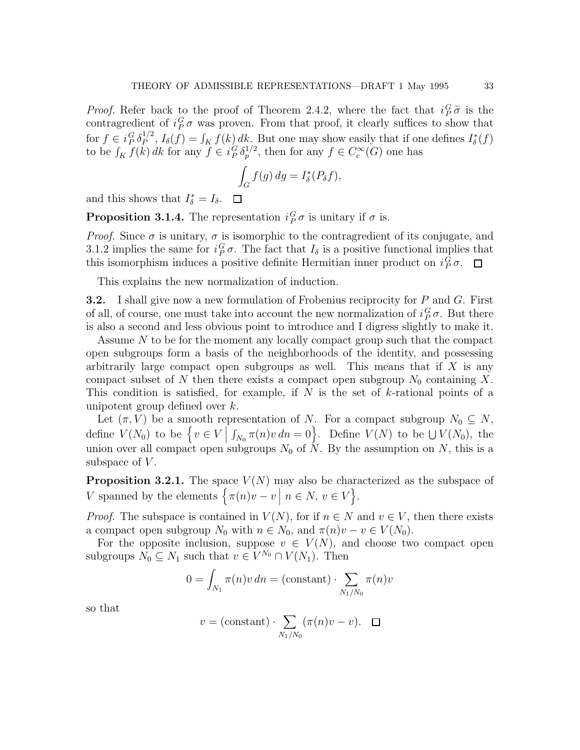*Proof.* Refer back to the proof of Theorem 2.4.2, where the fact that  $i_P^G \tilde{\sigma}$  is the contragredient of  $i_P^G \sigma$  was proven. From that proof, it clearly suffices to show that for  $f \in i_P^G \delta_P^{1/2}$  $L_P^{1/2}$ ,  $I_\delta(f) = \int_K f(k) dk$ . But one may show easily that if one defines  $I_\delta^*(f)$ to be  $\int_K f(k) \, dk$  for any  $f \in i_P^G \delta_p^{1/2}$ , then for any  $f \in C_c^{\infty}(G)$  one has

$$
\int_G f(g) \, dg = I^*_\delta(P_\delta f),
$$

and this shows that  $I_{\delta}^* = I_{\delta}$ .

**Proposition 3.1.4.** The representation  $i_P^G \sigma$  is unitary if  $\sigma$  is.

*Proof.* Since  $\sigma$  is unitary,  $\sigma$  is isomorphic to the contragredient of its conjugate, and 3.1.2 implies the same for  $i_P^G \sigma$ . The fact that  $I_\delta$  is a positive functional implies that this isomorphism induces a positive definite Hermitian inner product on  $i_P^G \sigma$ .

This explains the new normalization of induction.

**3.2.** I shall give now a new formulation of Frobenius reciprocity for  $P$  and  $G$ . First of all, of course, one must take into account the new normalization of  $i_P^G \sigma$ . But there is also a second and less obvious point to introduce and I digress slightly to make it.

Assume N to be for the moment any locally compact group such that the compact open subgroups form a basis of the neighborhoods of the identity, and possessing arbitrarily large compact open subgroups as well. This means that if  $X$  is any compact subset of N then there exists a compact open subgroup  $N_0$  containing X. This condition is satisfied, for example, if  $N$  is the set of  $k$ -rational points of a unipotent group defined over k.

Let  $(\pi, V)$  be a smooth representation of N. For a compact subgroup  $N_0 \subseteq N$ , define  $V(N_0)$  to be  $\left\{v \in V \middle| \right\}$  $\int_{N_0} \pi(n)v \, dn = 0$ . Define  $V(N)$  to be  $\bigcup V(N_0)$ , the union over all compact open subgroups  $N_0$  of N. By the assumption on N, this is a subspace of  $V$ .

**Proposition 3.2.1.** The space  $V(N)$  may also be characterized as the subspace of V spanned by the elements  $\left\{ \pi(n)v - v \mid n \in N, v \in V \right\}$ .

*Proof.* The subspace is contained in  $V(N)$ , for if  $n \in N$  and  $v \in V$ , then there exists a compact open subgroup  $N_0$  with  $n \in N_0$ , and  $\pi(n)v - v \in V(N_0)$ .

For the opposite inclusion, suppose  $v \in V(N)$ , and choose two compact open subgroups  $N_0 \subseteq N_1$  such that  $v \in V^{N_0} \cap V(N_1)$ . Then

$$
0 = \int_{N_1} \pi(n)v \, dn = \text{(constant)} \cdot \sum_{N_1/N_0} \pi(n)v
$$

so that

$$
v = (\text{constant}) \cdot \sum_{N_1/N_0} (\pi(n)v - v). \quad \Box
$$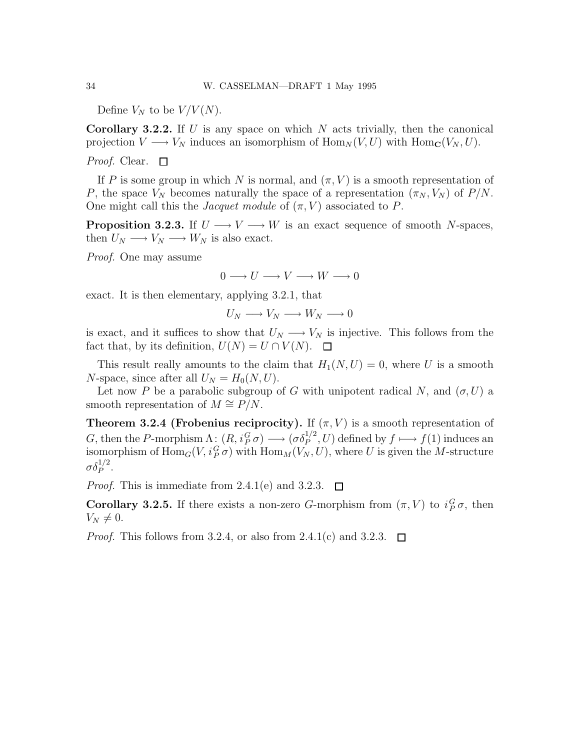Define  $V_N$  to be  $V/V(N)$ .

**Corollary 3.2.2.** If U is any space on which N acts trivially, then the canonical projection  $V \longrightarrow V_N$  induces an isomorphism of  $\text{Hom}_N(V, U)$  with  $\text{Hom}_\mathbf{C}(V_N, U)$ .

Proof. Clear.  $\Box$ 

If P is some group in which N is normal, and  $(\pi, V)$  is a smooth representation of P, the space  $V_N$  becomes naturally the space of a representation  $(\pi_N, V_N)$  of  $P/N$ . One might call this the *Jacquet module* of  $(\pi, V)$  associated to P.

**Proposition 3.2.3.** If  $U \longrightarrow V \longrightarrow W$  is an exact sequence of smooth N-spaces, then  $U_N \longrightarrow V_N \longrightarrow W_N$  is also exact.

Proof. One may assume

 $0 \longrightarrow U \longrightarrow V \longrightarrow W \longrightarrow 0$ 

exact. It is then elementary, applying 3.2.1, that

$$
U_N\longrightarrow V_N\longrightarrow W_N\longrightarrow 0
$$

is exact, and it suffices to show that  $U_N \longrightarrow V_N$  is injective. This follows from the fact that, by its definition,  $U(N) = U \cap V(N)$ .  $\Box$ 

This result really amounts to the claim that  $H_1(N, U) = 0$ , where U is a smooth N-space, since after all  $U_N = H_0(N, U)$ .

Let now P be a parabolic subgroup of G with unipotent radical N, and  $(\sigma, U)$  a smooth representation of  $M \cong P/N$ .

Theorem 3.2.4 (Frobenius reciprocity). If  $(\pi, V)$  is a smooth representation of G, then the P-morphism  $\Lambda: (R, i_P^G \sigma) \longrightarrow (\sigma \delta_P^{1/2}, U)$  defined by  $f \longmapsto f(1)$  induces an isomorphism of  $\mathrm{Hom}_G(V, i_P^G \sigma)$  with  $\mathrm{Hom}_M(V_N, U)$ , where U is given the M-structure  $\sigma\delta_P^{1/2}.$ 

*Proof.* This is immediate from 2.4.1(e) and 3.2.3.  $\Box$ 

**Corollary 3.2.5.** If there exists a non-zero G-morphism from  $(\pi, V)$  to  $i_P^G \sigma$ , then  $V_N \neq 0.$ 

*Proof.* This follows from 3.2.4, or also from 2.4.1(c) and 3.2.3.  $\Box$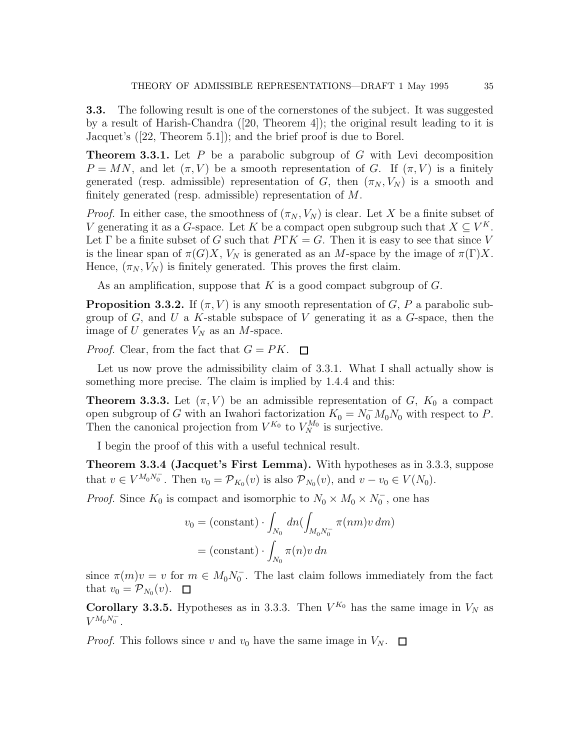3.3. The following result is one of the cornerstones of the subject. It was suggested by a result of Harish-Chandra ([20, Theorem 4]); the original result leading to it is Jacquet's ([22, Theorem 5.1]); and the brief proof is due to Borel.

**Theorem 3.3.1.** Let  $P$  be a parabolic subgroup of  $G$  with Levi decomposition  $P = MN$ , and let  $(\pi, V)$  be a smooth representation of G. If  $(\pi, V)$  is a finitely generated (resp. admissible) representation of G, then  $(\pi_N, V_N)$  is a smooth and finitely generated (resp. admissible) representation of M.

*Proof.* In either case, the smoothness of  $(\pi_N, V_N)$  is clear. Let X be a finite subset of V generating it as a G-space. Let K be a compact open subgroup such that  $X \subseteq V^K$ . Let  $\Gamma$  be a finite subset of G such that  $P\Gamma K = G$ . Then it is easy to see that since V is the linear span of  $\pi(G)X$ ,  $V_N$  is generated as an M-space by the image of  $\pi(\Gamma)X$ . Hence,  $(\pi_N, V_N)$  is finitely generated. This proves the first claim.

As an amplification, suppose that  $K$  is a good compact subgroup of  $G$ .

**Proposition 3.3.2.** If  $(\pi, V)$  is any smooth representation of G, P a parabolic subgroup of  $G$ , and  $U$  a K-stable subspace of  $V$  generating it as a  $G$ -space, then the image of U generates  $V_N$  as an M-space.

*Proof.* Clear, from the fact that  $G = PK$ .  $\Box$ 

Let us now prove the admissibility claim of 3.3.1. What I shall actually show is something more precise. The claim is implied by 1.4.4 and this:

**Theorem 3.3.3.** Let  $(\pi, V)$  be an admissible representation of G,  $K_0$  a compact open subgroup of G with an Iwahori factorization  $K_0 = N_0^- M_0 N_0$  with respect to P. Then the canonical projection from  $V^{K_0}$  to  $V_N^{M_0}$  is surjective.

I begin the proof of this with a useful technical result.

Theorem 3.3.4 (Jacquet's First Lemma). With hypotheses as in 3.3.3, suppose that  $v \in V^{M_0 N_0^-}$ . Then  $v_0 = \mathcal{P}_{K_0}(v)$  is also  $\mathcal{P}_{N_0}(v)$ , and  $v - v_0 \in V(N_0)$ .

*Proof.* Since  $K_0$  is compact and isomorphic to  $N_0 \times M_0 \times N_0^-$ , one has

$$
v_0 = \text{(constant)} \cdot \int_{N_0} dn \bigl( \int_{M_0 N_0^-} \pi(nm) v \, dm \bigr)
$$

$$
= \text{(constant)} \cdot \int_{N_0} \pi(n) v \, dn
$$

since  $\pi(m)v = v$  for  $m \in M_0N_0^-$ . The last claim follows immediately from the fact that  $v_0 = \mathcal{P}_{N_0}(v)$ .

**Corollary 3.3.5.** Hypotheses as in 3.3.3. Then  $V^{K_0}$  has the same image in  $V_N$  as  $V^{M_0 N_0^-}$ .

*Proof.* This follows since v and  $v_0$  have the same image in  $V_N$ .  $\Box$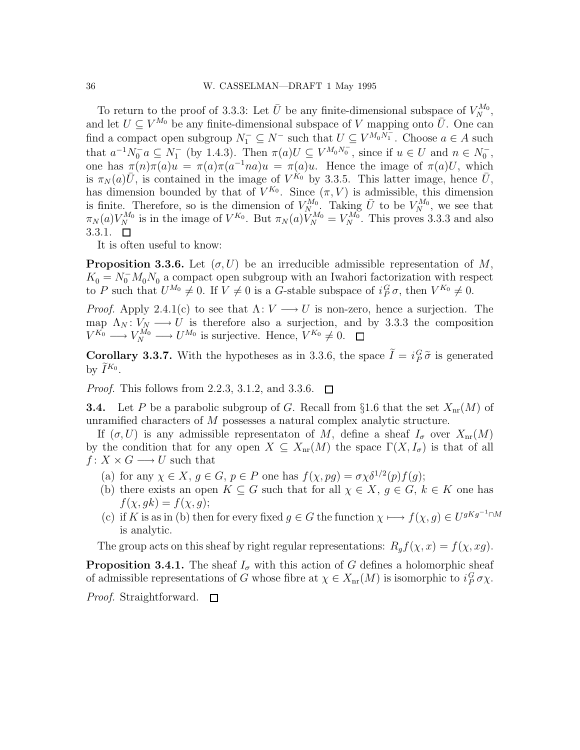To return to the proof of 3.3.3: Let  $\bar{U}$  be any finite-dimensional subspace of  $V_N^{M_0}$ , and let  $U \subseteq V^{M_0}$  be any finite-dimensional subspace of V mapping onto  $\overline{U}$ . One can find a compact open subgroup  $N_1^- \subseteq N^-$  such that  $U \subseteq V^{M_0 N_1^-}$ . Choose  $a \in A$  such that  $a^{-1}N_0^-a \subseteq N_1^-$  (by 1.4.3). Then  $\pi(a)U \subseteq V^{M_0N_0^-}$ , since if  $u \in U$  and  $n \in N_0^-$ , one has  $\pi(n)\pi(a)u = \pi(a)\pi(a^{-1}na)u = \pi(a)u$ . Hence the image of  $\pi(a)U$ , which is  $\pi_N(a)\overline{U}$ , is contained in the image of  $V^{\hat{K}_0}$  by 3.3.5. This latter image, hence  $\overline{U}$ , has dimension bounded by that of  $V^{K_0}$ . Since  $(\pi, V)$  is admissible, this dimension is finite. Therefore, so is the dimension of  $V_{N}^{M_0}$ . Taking  $\bar{U}$  to be  $V_{N}^{M_0}$ , we see that  $\pi_N(a)V_N^{M_0}$  is in the image of  $V^{K_0}$ . But  $\pi_N(a)V_N^{M_0} = V_N^{M_0}$ . This proves 3.3.3 and also 3.3.1.  $\Box$ 

It is often useful to know:

**Proposition 3.3.6.** Let  $(\sigma, U)$  be an irreducible admissible representation of M,  $K_0 = N_0^- M_0 N_0$  a compact open subgroup with an Iwahori factorization with respect to P such that  $U^{M_0} \neq 0$ . If  $V \neq 0$  is a G-stable subspace of  $i_P^G \sigma$ , then  $V^{K_0} \neq 0$ .

*Proof.* Apply 2.4.1(c) to see that  $\Lambda: V \longrightarrow U$  is non-zero, hence a surjection. The map  $\Lambda_N : V_N \longrightarrow U$  is therefore also a surjection, and by 3.3.3 the composition  $V^{K_0} \longrightarrow V_N^{M_0} \longrightarrow U^{M_0}$  is surjective. Hence,  $V^{K_0} \neq 0$ .

**Corollary 3.3.7.** With the hypotheses as in 3.3.6, the space  $I = i_P^G \tilde{\sigma}$  is generated by  $\tilde{I}^{K_0}$ .

*Proof.* This follows from 2.2.3, 3.1.2, and 3.3.6.  $\Box$ 

**3.4.** Let P be a parabolic subgroup of G. Recall from §1.6 that the set  $X_{nr}(M)$  of unramified characters of M possesses a natural complex analytic structure.

If  $(\sigma, U)$  is any admissible representaton of M, define a sheaf  $I_{\sigma}$  over  $X_{\text{nr}}(M)$ by the condition that for any open  $X \subseteq X_{nr}(M)$  the space  $\Gamma(X, I_{\sigma})$  is that of all  $f: X \times G \longrightarrow U$  such that

- (a) for any  $\chi \in X$ ,  $g \in G$ ,  $p \in P$  one has  $f(\chi, pg) = \sigma \chi \delta^{1/2}(p) f(g)$ ;
- (b) there exists an open  $K \subseteq G$  such that for all  $\chi \in X$ ,  $g \in G$ ,  $k \in K$  one has  $f(\chi, gk) = f(\chi, g);$
- (c) if K is as in (b) then for every fixed  $g \in G$  the function  $\chi \longmapsto f(\chi, g) \in U^{gKg^{-1} \cap M}$ is analytic.

The group acts on this sheaf by right regular representations:  $R_g f(\chi, x) = f(\chi, xg)$ .

**Proposition 3.4.1.** The sheaf  $I_{\sigma}$  with this action of G defines a holomorphic sheaf of admissible representations of G whose fibre at  $\chi \in X_{nr}(M)$  is isomorphic to  $i_P^G \sigma \chi$ .

*Proof.* Straightforward.  $\Box$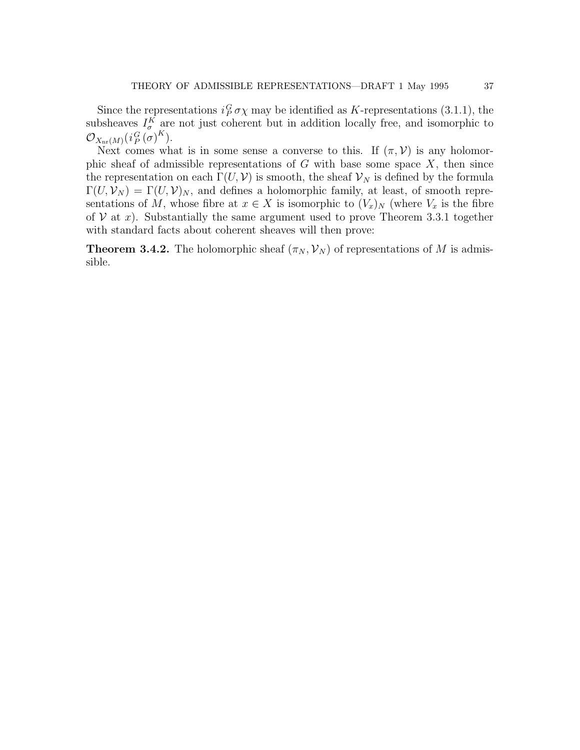Since the representations  $i_P^G \sigma \chi$  may be identified as K-representations (3.1.1), the subsheaves  $I_{\sigma}^{K}$  are not just coherent but in addition locally free, and isomorphic to  $\mathcal O_{X_\mathrm{nr} (M)}(i_P^G\left(\sigma\right)^K).$ 

Next comes what is in some sense a converse to this. If  $(\pi, \mathcal{V})$  is any holomorphic sheaf of admissible representations of  $G$  with base some space  $X$ , then since the representation on each  $\Gamma(U, V)$  is smooth, the sheaf  $V_N$  is defined by the formula  $\Gamma(U, \mathcal{V}_N) = \Gamma(U, \mathcal{V})_N$ , and defines a holomorphic family, at least, of smooth representations of M, whose fibre at  $x \in X$  is isomorphic to  $(V_x)_N$  (where  $V_x$  is the fibre of  $V$  at x). Substantially the same argument used to prove Theorem 3.3.1 together with standard facts about coherent sheaves will then prove:

**Theorem 3.4.2.** The holomorphic sheaf  $(\pi_N, \mathcal{V}_N)$  of representations of M is admissible.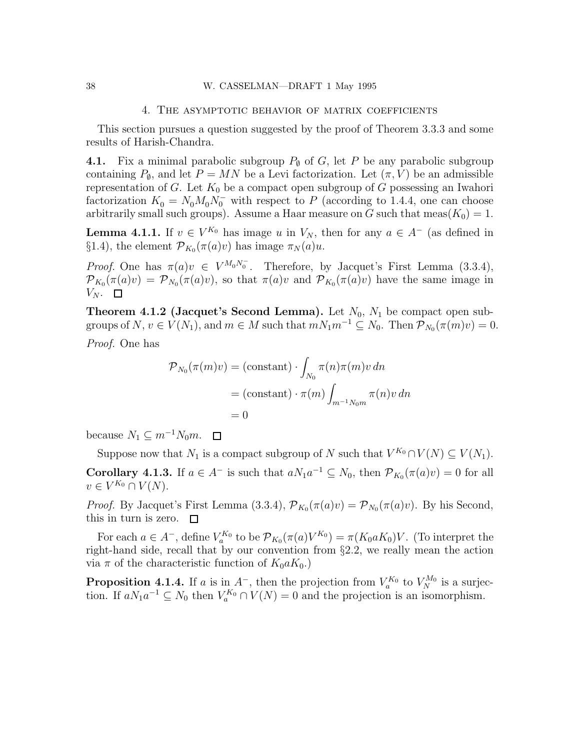### 4. The asymptotic behavior of matrix coefficients

This section pursues a question suggested by the proof of Theorem 3.3.3 and some results of Harish-Chandra.

4.1. Fix a minimal parabolic subgroup  $P_{\emptyset}$  of G, let P be any parabolic subgroup containing  $P_{\emptyset}$ , and let  $P = MN$  be a Levi factorization. Let  $(\pi, V)$  be an admissible representation of G. Let  $K_0$  be a compact open subgroup of G possessing an Iwahori factorization  $K_0 = N_0 M_0 N_0^-$  with respect to P (according to 1.4.4, one can choose arbitrarily small such groups). Assume a Haar measure on G such that  $meas(K_0) = 1$ .

**Lemma 4.1.1.** If  $v \in V^{K_0}$  has image u in  $V_N$ , then for any  $a \in A^-$  (as defined in §1.4), the element  $\mathcal{P}_{K_0}(\pi(a)v)$  has image  $\pi_N(a)u$ .

Proof. One has  $\pi(a)v \in V^{M_0N_0^-}$ . Therefore, by Jacquet's First Lemma (3.3.4),  $\mathcal{P}_{K_0}(\pi(a)v) = \mathcal{P}_{N_0}(\pi(a)v)$ , so that  $\pi(a)v$  and  $\mathcal{P}_{K_0}(\pi(a)v)$  have the same image in  $V_N$ .  $\Box$ 

**Theorem 4.1.2 (Jacquet's Second Lemma).** Let  $N_0$ ,  $N_1$  be compact open subgroups of  $N, v \in V(N_1)$ , and  $m \in M$  such that  $mN_1m^{-1} \subseteq N_0$ . Then  $\mathcal{P}_{N_0}(\pi(m)v) = 0$ . Proof. One has

$$
\mathcal{P}_{N_0}(\pi(m)v) = (\text{constant}) \cdot \int_{N_0} \pi(n)\pi(m)v \, dm
$$

$$
= (\text{constant}) \cdot \pi(m) \int_{m^{-1}N_0m} \pi(n)v \, dm
$$

$$
= 0
$$

because  $N_1 \subseteq m^{-1}N_0m$ .  $\Box$ 

Suppose now that  $N_1$  is a compact subgroup of N such that  $V^{K_0} \cap V(N) \subseteq V(N_1)$ .

**Corollary 4.1.3.** If  $a \in A^-$  is such that  $aN_1a^{-1} \subseteq N_0$ , then  $\mathcal{P}_{K_0}(\pi(a)v) = 0$  for all  $v \in V^{K_0} \cap V(N).$ 

*Proof.* By Jacquet's First Lemma (3.3.4),  $\mathcal{P}_{K_0}(\pi(a)v) = \mathcal{P}_{N_0}(\pi(a)v)$ . By his Second, this in turn is zero.  $\square$ 

For each  $a \in A^-$ , define  $V_a^{K_0}$  to be  $\mathcal{P}_{K_0}(\pi(a)V^{K_0}) = \pi(K_0 a K_0)V$ . (To interpret the right-hand side, recall that by our convention from §2.2, we really mean the action via  $\pi$  of the characteristic function of  $K_0 a K_0$ .)

**Proposition 4.1.4.** If a is in  $A^-$ , then the projection from  $V_a^{K_0}$  to  $V_N^{M_0}$  is a surjection. If  $aN_1a^{-1} \subseteq N_0$  then  $V_a^{K_0} \cap V(N) = 0$  and the projection is an isomorphism.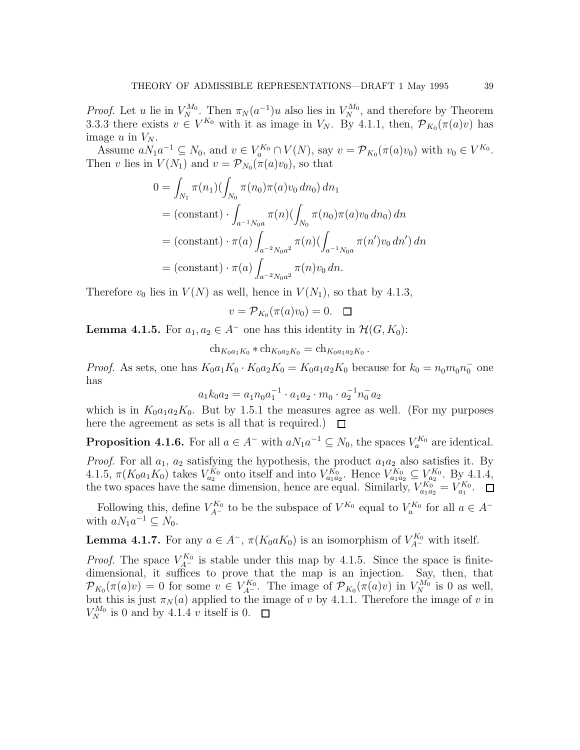*Proof.* Let u lie in  $V_N^{M_0}$ . Then  $\pi_N(a^{-1})$ u also lies in  $V_N^{M_0}$ , and therefore by Theorem 3.3.3 there exists  $v \in V^{K_0}$  with it as image in  $V_N$ . By 4.1.1, then,  $\mathcal{P}_{K_0}(\pi(a)v)$  has image u in  $V_N$ .

Assume  $a_{1}a^{-1} \subseteq N_0$ , and  $v \in V_a^{K_0} \cap V(N)$ , say  $v = \mathcal{P}_{K_0}(\pi(a)v_0)$  with  $v_0 \in V^{K_0}$ . Then v lies in  $V(N_1)$  and  $v = \mathcal{P}_{N_0}(\pi(a)v_0)$ , so that

$$
0 = \int_{N_1} \pi(n_1) (\int_{N_0} \pi(n_0) \pi(a) v_0 \, dn_0) \, dn_1
$$
  
= (constant) \cdot \int\_{a^{-1}N\_0 a} \pi(n) (\int\_{N\_0} \pi(n\_0) \pi(a) v\_0 \, dn\_0) \, dn  
= (constant) \cdot \pi(a) \int\_{a^{-2}N\_0 a^2} \pi(n) (\int\_{a^{-1}N\_0 a} \pi(n') v\_0 \, dn') \, dn  
= (constant) \cdot \pi(a) \int\_{a^{-2}N\_0 a^2} \pi(n) v\_0 \, dn.

Therefore  $v_0$  lies in  $V(N)$  as well, hence in  $V(N_1)$ , so that by 4.1.3,

$$
v = \mathcal{P}_{K_0}(\pi(a)v_0) = 0. \quad \Box
$$

**Lemma 4.1.5.** For  $a_1, a_2 \in A^-$  one has this identity in  $\mathcal{H}(G, K_0)$ :

$$
ch_{K_0a_1K_0} * ch_{K_0a_2K_0} = ch_{K_0a_1a_2K_0}.
$$

*Proof.* As sets, one has  $K_0a_1K_0 \cdot K_0a_2K_0 = K_0a_1a_2K_0$  because for  $k_0 = n_0m_0n_0$  one has

$$
a_1 k_0 a_2 = a_1 n_0 a_1^{-1} \cdot a_1 a_2 \cdot m_0 \cdot a_2^{-1} n_0^{-1} a_2
$$

which is in  $K_0a_1a_2K_0$ . But by 1.5.1 the measures agree as well. (For my purposes here the agreement as sets is all that is required.)  $\Box$ 

**Proposition 4.1.6.** For all  $a \in A^-$  with  $aN_1a^{-1} \subseteq N_0$ , the spaces  $V_a^{K_0}$  are identical. *Proof.* For all  $a_1$ ,  $a_2$  satisfying the hypothesis, the product  $a_1a_2$  also satisfies it. By 4.1.5,  $\pi(K_0a_1K_0)$  takes  $V_{a_2}^{K_0}$  onto itself and into  $V_{a_1a_2}^{K_0}$ . Hence  $V_{a_1a_2}^{K_0} \subseteq V_{a_2}^{K_0}$ . By 4.1.4, the two spaces have the same dimension, hence are equal. Similarly,  $V_{a_1a_2}^{K_0} = V_{a_1}^{K_0}$ .

Following this, define  $V_{A^-}^{K_0}$  to be the subspace of  $V^{K_0}$  equal to  $V_a^{K_0}$  for all  $a \in A^$ with  $aN_1a^{-1} \subseteq N_0$ .

**Lemma 4.1.7.** For any  $a \in A^-$ ,  $\pi(K_0 a K_0)$  is an isomorphism of  $V_{A^-}^{K_0}$  with itself.

*Proof.* The space  $V_{A}^{K_0}$  is stable under this map by 4.1.5. Since the space is finitedimensional, it suffices to prove that the map is an injection. Say, then, that  $\mathcal{P}_{K_0}(\pi(a)v) = 0$  for some  $v \in V_{A^-}^{K_0}$ . The image of  $\mathcal{P}_{K_0}(\pi(a)v)$  in  $V_N^{M_0}$  is 0 as well, but this is just  $\pi_N(a)$  applied to the image of v by 4.1.1. Therefore the image of v in  $V_N^{M_0}$  is 0 and by 4.1.4 v itself is 0.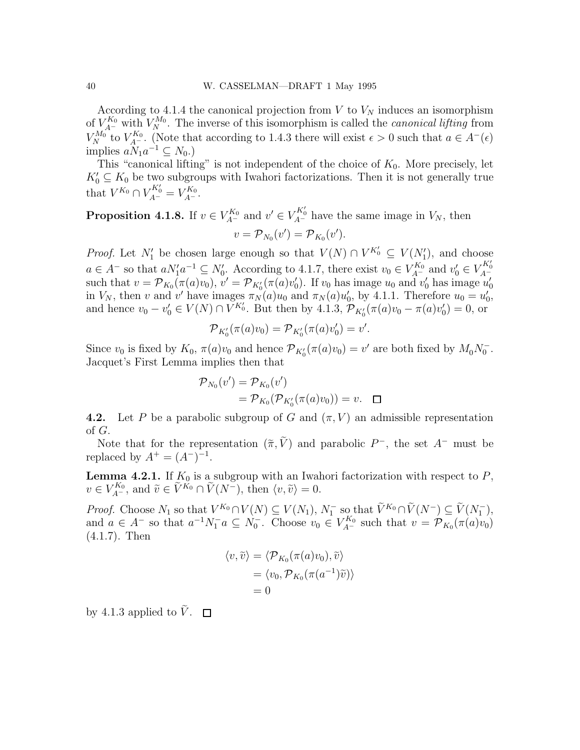According to 4.1.4 the canonical projection from V to  $V_N$  induces an isomorphism of  $V_{A}^{K_0}$  with  $V_N^{M_0}$ . The inverse of this isomorphism is called the *canonical lifting* from  $V_N^{M_0}$  to  $V_{A^-}^{K_0}$ . (Note that according to 1.4.3 there will exist  $\epsilon > 0$  such that  $a \in A^-(\epsilon)$ implies  $aN_1a^{-1} \subseteq N_0$ .)

This "canonical lifting" is not independent of the choice of  $K_0$ . More precisely, let  $K'_0 \subseteq K_0$  be two subgroups with Iwahori factorizations. Then it is not generally true that  $V^{K_0} \cap V^{K'_0}_{A^-} = V^{K_0}_{A^-}.$ 

**Proposition 4.1.8.** If  $v \in V_{A^-}^{K_0}$  and  $v' \in V_{A^-}^{K_0'}$  have the same image in  $V_N$ , then  $v = \mathcal{P}_{N_0}(v') = \mathcal{P}_{K_0}(v').$ 

*Proof.* Let  $N'_1$  be chosen large enough so that  $V(N) \cap V^{K'_0} \subseteq V(N'_1)$ , and choose  $a \in A^-$  so that  $aN'_1a^{-1} \subseteq N'_0$ . According to 4.1.7, there exist  $v_0 \in V_{A^-}^{K_0}$  and  $v'_0 \in V_{A^-}^{K'_0}$ such that  $v = \mathcal{P}_{K_0}(\pi(a)v_0)$ ,  $v' = \mathcal{P}_{K'_0}(\pi(a)v'_0)$ . If  $v_0$  has image  $u_0$  and  $v'_0$  has image  $u'_0$ in  $V_N$ , then v and v' have images  $\pi_N(a)u_0$  and  $\pi_N(a)u'_0$ , by 4.1.1. Therefore  $u_0 = u'_0$ , and hence  $v_0 - v'_0 \in V(N) \cap V^{K'_0}$ . But then by 4.1.3,  $\mathcal{P}_{K'_0}(\pi(a)v_0 - \pi(a)v'_0) = 0$ , or

$$
\mathcal{P}_{K_0'}(\pi(a)v_0) = \mathcal{P}_{K_0'}(\pi(a)v_0') = v'.
$$

Since  $v_0$  is fixed by  $K_0$ ,  $\pi(a)v_0$  and hence  $\mathcal{P}_{K'_0}(\pi(a)v_0) = v'$  are both fixed by  $M_0N_0^-$ . Jacquet's First Lemma implies then that

$$
\mathcal{P}_{N_0}(v') = \mathcal{P}_{K_0}(v')
$$
  
=  $\mathcal{P}_{K_0}(\mathcal{P}_{K'_0}(\pi(a)v_0)) = v.$ 

4.2. Let P be a parabolic subgroup of G and  $(\pi, V)$  an admissible representation of G.

Note that for the representation  $(\tilde{\pi}, \tilde{V})$  and parabolic  $P^-$ , the set  $A^-$  must be replaced by  $A^{+} = (A^{-})^{-1}$ .

**Lemma 4.2.1.** If  $K_0$  is a subgroup with an Iwahori factorization with respect to  $P$ ,  $v \in V_{A^-}^{K_0}$ , and  $\tilde{v} \in \tilde{V}^{K_0} \cap \tilde{V}(N^-)$ , then  $\langle v, \tilde{v} \rangle = 0$ .

*Proof.* Choose  $N_1$  so that  $V^{K_0} \cap V(N) \subseteq V(N_1)$ ,  $N_1^-$  so that  $\widetilde{V}^{K_0} \cap \widetilde{V}(N^-) \subseteq \widetilde{V}(N_1^-)$ , and  $a \in A^-$  so that  $a^{-1}N_1^-a \subseteq N_0^-$ . Choose  $v_0 \in V_{A^-}^{K_0}$  such that  $v = \mathcal{P}_{K_0}(\pi(a)v_0)$ (4.1.7). Then

$$
\langle v, \widetilde{v} \rangle = \langle \mathcal{P}_{K_0}(\pi(a)v_0), \widetilde{v} \rangle
$$
  
=  $\langle v_0, \mathcal{P}_{K_0}(\pi(a^{-1})\widetilde{v}) \rangle$   
= 0

by 4.1.3 applied to  $\tilde{V}$ .  $\Box$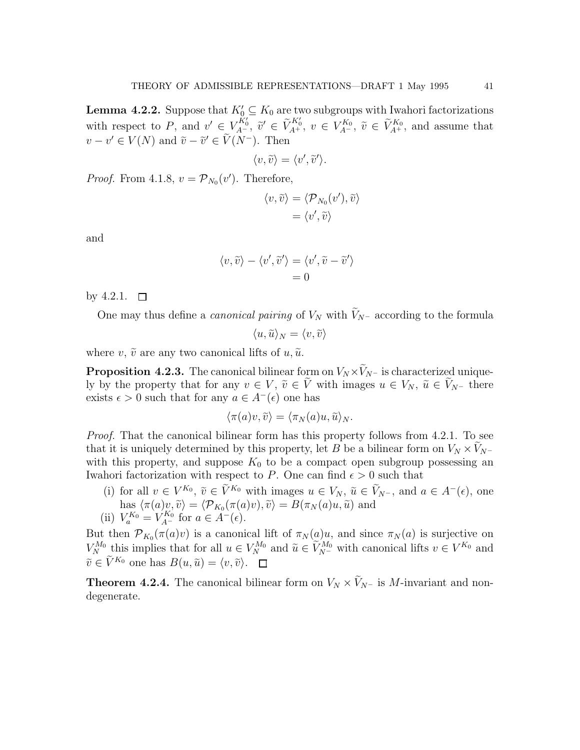**Lemma 4.2.2.** Suppose that  $K'_0 \subseteq K_0$  are two subgroups with Iwahori factorizations with respect to P, and  $v' \in V_{A^-}^{\check{K}'_0}$ ,  $\tilde{v}' \in \tilde{V}_{A^+}^{K'_0}$ ,  $v \in V_{A^-}^{\check{K}_0}$ ,  $\tilde{v} \in \tilde{V}_{A^+}^{K_0}$ , and assume that  $v - v' \in V(N)$  and  $\tilde{v} - \tilde{v}' \in V(N^-)$ . Then

$$
\langle v,\widetilde{v}\rangle=\langle v',\widetilde{v}'\rangle.
$$

*Proof.* From 4.1.8,  $v = \mathcal{P}_{N_0}(v')$ . Therefore,

$$
\langle v, \widetilde{v} \rangle = \langle \mathcal{P}_{N_0}(v'), \widetilde{v} \rangle
$$

$$
= \langle v', \widetilde{v} \rangle
$$

and

$$
\langle v, \widetilde{v} \rangle - \langle v', \widetilde{v}' \rangle = \langle v', \widetilde{v} - \widetilde{v}' \rangle = 0
$$

by 4.2.1.  $\Box$ 

One may thus define a *canonical pairing* of  $V_N$  with  $\tilde{V}_{N-}$  according to the formula

$$
\langle u,\widetilde{u}\rangle_N=\langle v,\widetilde{v}\rangle
$$

where v,  $\tilde{v}$  are any two canonical lifts of  $u, \tilde{u}$ .

**Proposition 4.2.3.** The canonical bilinear form on  $V_N \times V_N$ – is characterized uniquely by the property that for any  $v \in V$ ,  $\tilde{v} \in \tilde{V}$  with images  $u \in V_N$ ,  $\tilde{u} \in V_{N^-}$  there exists  $\epsilon > 0$  such that for any  $a \in A^{-}(\epsilon)$  one has

$$
\langle \pi(a)v, \widetilde{v} \rangle = \langle \pi_N(a)u, \widetilde{u} \rangle_N.
$$

Proof. That the canonical bilinear form has this property follows from 4.2.1. To see that it is uniquely determined by this property, let B be a bilinear form on  $V_N \times V_{N^-}$ with this property, and suppose  $K_0$  to be a compact open subgroup possessing an Iwahori factorization with respect to P. One can find  $\epsilon > 0$  such that

(i) for all  $v \in V^{K_0}$ ,  $\tilde{v} \in V^{K_0}$  with images  $u \in V_N$ ,  $\tilde{u} \in V_{N^-}$ , and  $a \in A^-(\epsilon)$ , one has  $\langle \pi(a)v, \tilde{v} \rangle = \langle \mathcal{P}_{K_0}(\pi(a)v), \tilde{v} \rangle = B(\pi_N(a)u, \tilde{u})$  and (ii)  $V_a^{K_0} = V_{A^-}^{K_0}$  for  $a \in A^-(\epsilon)$ .

But then  $\mathcal{P}_{K_0}(\pi(a)v)$  is a canonical lift of  $\pi_N(a)u$ , and since  $\pi_N(a)$  is surjective on  $V_N^{M_0}$  this implies that for all  $u \in V_N^{M_0}$  and  $\tilde{u} \in \tilde{V}_{N^-}^{M_0}$  with canonical lifts  $v \in V^{K_0}$  and  $\widetilde{v} \in \widetilde{V}^{K_0}$  one has  $B(u, \widetilde{u}) = \langle v, \widetilde{v} \rangle$ .

**Theorem 4.2.4.** The canonical bilinear form on  $V_N \times \tilde{V}_{N^-}$  is M-invariant and nondegenerate.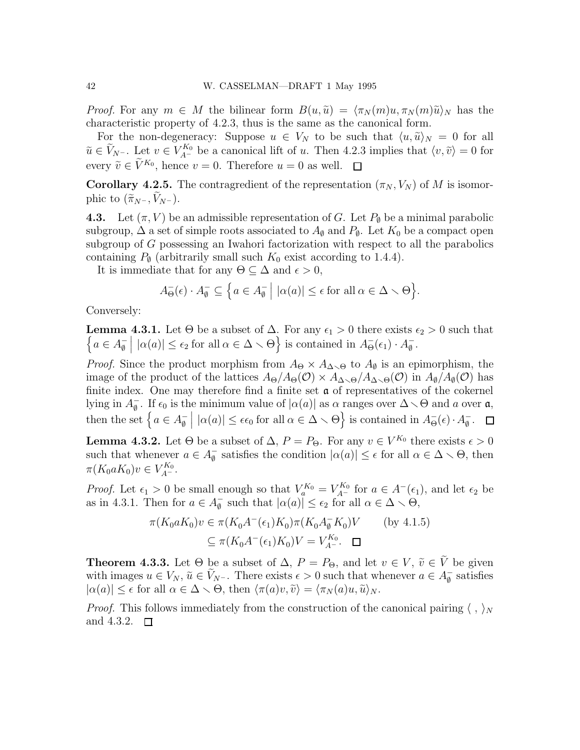*Proof.* For any  $m \in M$  the bilinear form  $B(u, \tilde{u}) = \langle \pi_N(m)u, \pi_N(m)\tilde{u} \rangle_N$  has the characteristic property of 4.2.3, thus is the same as the canonical form.

For the non-degeneracy: Suppose  $u \in V_N$  to be such that  $\langle u, \tilde{u} \rangle_N = 0$  for all  $\widetilde{u} \in V_{N^-}$ . Let  $v \in V_{A^-}^{K_0}$  be a canonical lift of u. Then 4.2.3 implies that  $\langle v, \widetilde{v} \rangle = 0$  for every  $\tilde{v} \in \tilde{V}^{K_0}$ , hence  $v = 0$ . Therefore  $u = 0$  as well.

**Corollary 4.2.5.** The contragredient of the representation  $(\pi_N, V_N)$  of M is isomorphic to  $(\widetilde{\pi}_{N^-}, V_{N^-})$ .

**4.3.** Let  $(\pi, V)$  be an admissible representation of G. Let  $P_{\emptyset}$  be a minimal parabolic subgroup,  $\Delta$  a set of simple roots associated to  $A_{\emptyset}$  and  $P_{\emptyset}$ . Let  $K_0$  be a compact open subgroup of G possessing an Iwahori factorization with respect to all the parabolics containing  $P_{\emptyset}$  (arbitrarily small such  $K_0$  exist according to 1.4.4).

It is immediate that for any  $\Theta \subseteq \Delta$  and  $\epsilon > 0$ ,

$$
A_{\Theta}^{-}(\epsilon) \cdot A_{\emptyset}^{-} \subseteq \left\{ a \in A_{\emptyset}^{-} \mid |\alpha(a)| \leq \epsilon \text{ for all } \alpha \in \Delta \setminus \Theta \right\}.
$$

Conversely:

**Lemma 4.3.1.** Let  $\Theta$  be a subset of  $\Delta$ . For any  $\epsilon_1 > 0$  there exists  $\epsilon_2 > 0$  such that  $\{a \in A_{\emptyset}^ \emptyset$  $| \alpha(a) | \leq \epsilon_2$  for all  $\alpha \in \Delta \setminus \Theta$  is contained in  $A_{\Theta}^{-}(\epsilon_1) \cdot A_{\emptyset}^{-}$ ∅ .

*Proof.* Since the product morphism from  $A_{\Theta} \times A_{\Delta \setminus \Theta}$  to  $A_{\emptyset}$  is an epimorphism, the image of the product of the lattices  $A_{\Theta}/A_{\Theta}(\mathcal{O}) \times A_{\Delta \setminus \Theta}/A_{\Delta \setminus \Theta}(\mathcal{O})$  in  $A_{\emptyset}/A_{\emptyset}(\mathcal{O})$  has finite index. One may therefore find a finite set  $a$  of representatives of the cokernel lying in  $A_{\emptyset}^ \frac{1}{\emptyset}$ . If  $\epsilon_0$  is the minimum value of  $|\alpha(a)|$  as  $\alpha$  ranges over  $\Delta \setminus \Theta$  and  $a$  over  $\mathfrak{a}$ , then the set  $\{a \in A_{\emptyset}^ \emptyset$  $| \alpha(a) | \leq \epsilon \epsilon_0$  for all  $\alpha \in \Delta \setminus \Theta$  is contained in  $A_{\Theta}^{-}(\epsilon) \cdot A_{\emptyset}^{-}$  $\frac{1}{\emptyset}$ .

**Lemma 4.3.2.** Let  $\Theta$  be a subset of  $\Delta$ ,  $P = P_{\Theta}$ . For any  $v \in V^{K_0}$  there exists  $\epsilon > 0$ such that whenever  $a \in A_{\emptyset}^ \frac{\sigma}{\varnothing}$  satisfies the condition  $|\alpha(a)| \leq \epsilon$  for all  $\alpha \in \Delta \setminus \Theta$ , then  $\pi(K_0 a K_0)v \in V_{A^-}^{K_0}.$ 

*Proof.* Let  $\epsilon_1 > 0$  be small enough so that  $V_a^{K_0} = V_{A^-}^{K_0}$  for  $a \in A^-(\epsilon_1)$ , and let  $\epsilon_2$  be as in 4.3.1. Then for  $a \in A_{\emptyset}^ \frac{\sigma}{\emptyset}$  such that  $|\alpha(a)| \leq \epsilon_2$  for all  $\alpha \in \Delta \setminus \Theta$ ,

$$
\pi(K_0 a K_0) v \in \pi(K_0 A^-(\epsilon_1) K_0) \pi(K_0 A^-_\emptyset K_0) V \qquad \text{(by 4.1.5)}
$$

$$
\subseteq \pi(K_0 A^-(\epsilon_1) K_0) V = V_{A^-}^{K_0}.\quad \square
$$

**Theorem 4.3.3.** Let  $\Theta$  be a subset of  $\Delta$ ,  $P = P_{\Theta}$ , and let  $v \in V$ ,  $\tilde{v} \in \tilde{V}$  be given with images  $u \in V_N$ ,  $\tilde{u} \in V_{N^-}$ . There exists  $\epsilon > 0$  such that whenever  $a \in A_{\theta}^ \bar{\mathbf{g}}$  satisfies  $|\alpha(a)| \leq \epsilon$  for all  $\alpha \in \Delta \setminus \Theta$ , then  $\langle \pi(a)v, \tilde{v} \rangle = \langle \pi_N(a)u, \tilde{u} \rangle_N$ .

*Proof.* This follows immediately from the construction of the canonical pairing  $\langle , \rangle_N$ and 4.3.2.  $\Box$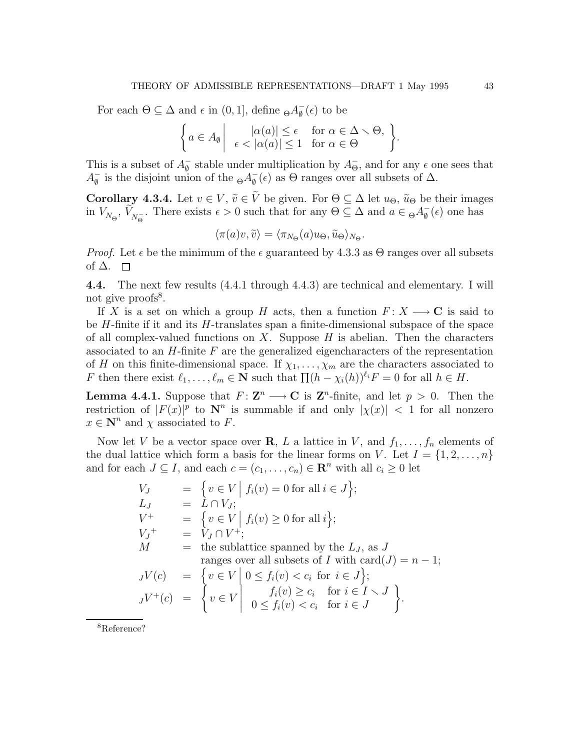For each  $\Theta \subseteq \Delta$  and  $\epsilon$  in  $(0, 1]$ , define  ${}_{\Theta}A_{\emptyset}^ _{\emptyset}^{-}(\epsilon)$  to be

$$
\left\{\begin{aligned}\na \in A_{\emptyset} \middle| & \quad |\alpha(a)| \leq \epsilon \quad \text{ for } \alpha \in \Delta \setminus \Theta, \\
\epsilon & < |\alpha(a)| \leq 1 \quad \text{for } \alpha \in \Theta\n\end{aligned}\right\}.
$$

This is a subset of  $A_{\emptyset}^ \frac{1}{\varnothing}$  stable under multiplication by  $A_{\Theta}^-$ , and for any  $\epsilon$  one sees that  $A_{\emptyset}^ \bar{\phi}$  is the disjoint union of the  $\Theta A_{\emptyset}^ _{\emptyset}^{-}(\epsilon)$  as  $\Theta$  ranges over all subsets of  $\Delta$ .

**Corollary 4.3.4.** Let  $v \in V$ ,  $\tilde{v} \in \tilde{V}$  be given. For  $\Theta \subseteq \Delta$  let  $u_{\Theta}$ ,  $\tilde{u}_{\Theta}$  be their images in  $V_{N_{\Theta}}$ ,  $\tilde{V}_{N_{\Theta}^-}$ . There exists  $\epsilon > 0$  such that for any  $\Theta \subseteq \Delta$  and  $a \in {}_{\Theta}A_{\emptyset}^ _{\emptyset}^{-}(\epsilon)$  one has

$$
\langle \pi(a)v, \widetilde{v} \rangle = \langle \pi_{N_{\Theta}}(a)u_{\Theta}, \widetilde{u}_{\Theta} \rangle_{N_{\Theta}}.
$$

*Proof.* Let  $\epsilon$  be the minimum of the  $\epsilon$  guaranteed by 4.3.3 as  $\Theta$  ranges over all subsets of  $\Delta$ .  $\Box$ 

4.4. The next few results (4.4.1 through 4.4.3) are technical and elementary. I will not give proofs<sup>8</sup>.

If X is a set on which a group H acts, then a function  $F: X \longrightarrow \mathbb{C}$  is said to be  $H$ -finite if it and its  $H$ -translates span a finite-dimensional subspace of the space of all complex-valued functions on  $X$ . Suppose  $H$  is abelian. Then the characters associated to an  $H$ -finite  $F$  are the generalized eigencharacters of the representation of H on this finite-dimensional space. If  $\chi_1, \ldots, \chi_m$  are the characters associated to F then there exist  $\ell_1, \ldots, \ell_m \in \mathbb{N}$  such that  $\prod (h - \chi_i(h))^{\ell_i} F = 0$  for all  $h \in H$ .

**Lemma 4.4.1.** Suppose that  $F: \mathbb{Z}^n \longrightarrow \mathbb{C}$  is  $\mathbb{Z}^n$ -finite, and let  $p > 0$ . Then the restriction of  $|F(x)|^p$  to  $\mathbb{N}^n$  is summable if and only  $|\chi(x)| < 1$  for all nonzero  $x \in \mathbb{N}^n$  and  $\chi$  associated to F.

Now let V be a vector space over **R**, L a lattice in V, and  $f_1, \ldots, f_n$  elements of the dual lattice which form a basis for the linear forms on V. Let  $I = \{1, 2, \ldots, n\}$ and for each  $J \subseteq I$ , and each  $c = (c_1, \ldots, c_n) \in \mathbb{R}^n$  with all  $c_i \geq 0$  let

$$
V_J = \{ v \in V \mid f_i(v) = 0 \text{ for all } i \in J \};
$$
  
\n
$$
L_J = L \cap V_J;
$$
  
\n
$$
V^+ = \{ v \in V \mid f_i(v) \ge 0 \text{ for all } i \};
$$
  
\n
$$
V_J^+ = V_J \cap V^+;
$$
  
\n
$$
M = \text{the sublattice spanned by the } L_J, \text{ as } J
$$
  
\n
$$
\text{ranges over all subsets of } I \text{ with } \text{card}(J) = n - 1;
$$
  
\n
$$
JV(c) = \{ v \in V \mid 0 \le f_i(v) < c_i \text{ for } i \in J \};
$$
  
\n
$$
JV^+(c) = \{ v \in V \mid \begin{array}{l} f_i(v) \ge c_i \text{ for } i \in I \setminus J \\ 0 \le f_i(v) < c_i \text{ for } i \in J \end{array} \}.
$$

<sup>8</sup>Reference?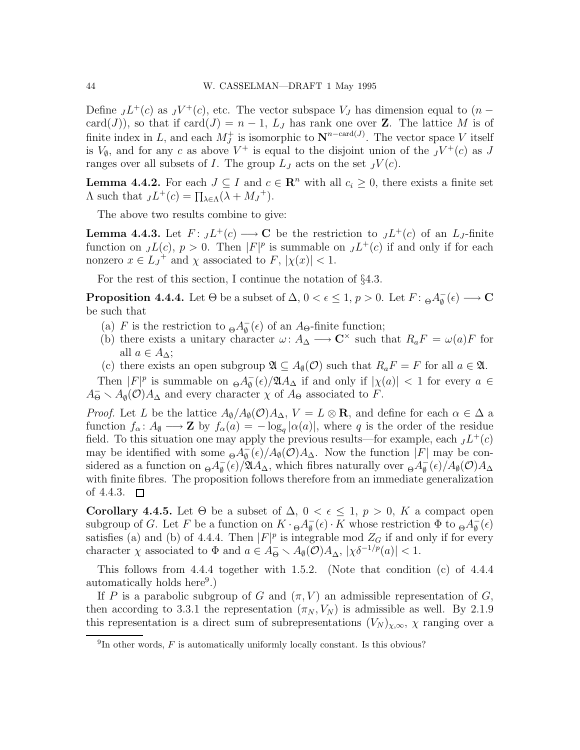Define  $J^+(c)$  as  $J^+(c)$ , etc. The vector subspace  $V_J$  has dimension equal to  $(n$ card(J)), so that if card(J) =  $n-1$ ,  $L_J$  has rank one over **Z**. The lattice M is of finite index in L, and each  $M_J^+$  is isomorphic to  $\mathbf{N}^{n-\text{card}(J)}$ . The vector space V itself is  $V_{\emptyset}$ , and for any c as above  $V^+$  is equal to the disjoint union of the  $J V^+(c)$  as J ranges over all subsets of I. The group  $L_J$  acts on the set  $JV(c)$ .

**Lemma 4.4.2.** For each  $J \subseteq I$  and  $c \in \mathbb{R}^n$  with all  $c_i \geq 0$ , there exists a finite set  $\Lambda$  such that  $J^+(c) = \prod_{\lambda \in \Lambda} (\lambda + M_J^+).$ 

The above two results combine to give:

**Lemma 4.4.3.** Let  $F: JL^+(c) \longrightarrow \mathbb{C}$  be the restriction to  $JL^+(c)$  of an  $L_J$ -finite function on  $JL(c)$ ,  $p > 0$ . Then  $|F|^p$  is summable on  $JL^+(c)$  if and only if for each nonzero  $x \in L_J^+$  and  $\chi$  associated to  $F$ ,  $|\chi(x)| < 1$ .

For the rest of this section, I continue the notation of §4.3.

**Proposition 4.4.4.** Let  $\Theta$  be a subset of  $\Delta$ ,  $0 < \epsilon \leq 1$ ,  $p > 0$ . Let  $F: \Theta A_{\emptyset}^ _{\emptyset}^{-}(\epsilon)\longrightarrow {\bf C}$ be such that

- (a) F is the restriction to  $_{\Theta}A_{\emptyset}^ \bar{\phi}(\epsilon)$  of an A<sub> $\Theta$ </sub>-finite function;
- (b) there exists a unitary character  $\omega: A_{\Delta} \longrightarrow \mathbb{C}^{\times}$  such that  $R_a F = \omega(a)F$  for all  $a \in A_{\Delta}$ ;
- (c) there exists an open subgroup  $\mathfrak{A} \subseteq A_{\emptyset}(\mathcal{O})$  such that  $R_a F = F$  for all  $a \in \mathfrak{A}$ .

Then  $|F|^p$  is summable on  $\Theta A_{\emptyset}^ \frac{1}{\varphi}(\epsilon)/\mathfrak{A}A_{\Delta}$  if and only if  $|\chi(a)| < 1$  for every  $a \in \mathfrak{A}$  $A_{\Theta}^- \setminus A_{\emptyset}(\mathcal{O})A_{\Delta}$  and every character  $\chi$  of  $A_{\Theta}$  associated to F.

*Proof.* Let L be the lattice  $A_{\emptyset}/A_{\emptyset}(\mathcal{O})A_{\Delta}$ ,  $V = L \otimes \mathbf{R}$ , and define for each  $\alpha \in \Delta$  a function  $f_{\alpha} \colon A_{\emptyset} \longrightarrow \mathbf{Z}$  by  $f_{\alpha}(a) = -\log_{q} |\alpha(a)|$ , where q is the order of the residue field. To this situation one may apply the previous results—for example, each  $JL^+(c)$ may be identified with some  $_{\Theta}A_{\emptyset}^ _{\emptyset}^{-}(\epsilon)/A_{\emptyset}(\mathcal{O})A_{\Delta}$ . Now the function |F| may be considered as a function on  $_{\Theta}A_{\emptyset}^ \frac{1}{\phi}$ (*e*)/ $\mathfrak{A}A_{\Delta}$ , which fibres naturally over  $\Theta A_{\phi}^{-}$  $_{\emptyset}^{-}(\epsilon)/A_{\emptyset}(\mathcal{O})A_{\Delta}$ with finite fibres. The proposition follows therefore from an immediate generalization of 4.4.3.  $\Box$ 

**Corollary 4.4.5.** Let  $\Theta$  be a subset of  $\Delta$ ,  $0 < \epsilon \leq 1$ ,  $p > 0$ , K a compact open subgroup of G. Let F be a function on  $K \cdot {}_{\Theta}A_{\emptyset}^ _{\emptyset}^{-}(\epsilon) \cdot K$  whose restriction  $\Phi$  to  $_{\Theta}A_{\emptyset}^{-}$  $_{\emptyset}^{-}(\epsilon)$ satisfies (a) and (b) of 4.4.4. Then  $|F|^p$  is integrable mod  $Z_G$  if and only if for every character  $\chi$  associated to  $\Phi$  and  $a \in A_{\Theta}^- \setminus A_{\emptyset}(\mathcal{O})A_{\Delta}, |\chi \delta^{-1/p}(a)| < 1$ .

This follows from 4.4.4 together with 1.5.2. (Note that condition (c) of 4.4.4 automatically holds here<sup>9</sup>.)

If P is a parabolic subgroup of G and  $(\pi, V)$  an admissible representation of G, then according to 3.3.1 the representation  $(\pi_N, V_N)$  is admissible as well. By 2.1.9 this representation is a direct sum of subrepresentations  $(V_N)_{\chi,\infty}$ ,  $\chi$  ranging over a

 ${}^{9}$ In other words,  $F$  is automatically uniformly locally constant. Is this obvious?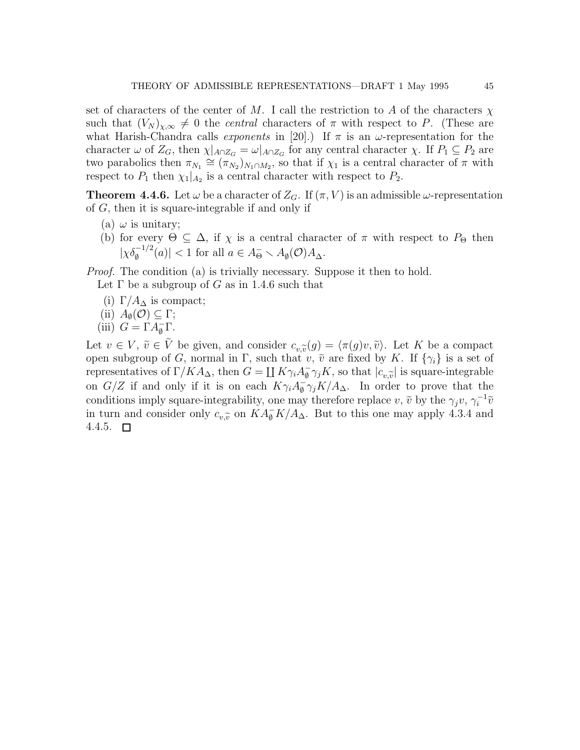set of characters of the center of M. I call the restriction to A of the characters  $\chi$ such that  $(V_N)_{\chi,\infty} \neq 0$  the *central* characters of  $\pi$  with respect to P. (These are what Harish-Chandra calls *exponents* in [20].) If  $\pi$  is an  $\omega$ -representation for the character  $\omega$  of  $Z_G$ , then  $\chi|_{A \cap Z_G} = \omega|_{A \cap Z_G}$  for any central character  $\chi$ . If  $P_1 \subseteq P_2$  are two parabolics then  $\pi_{N_1} \cong (\pi_{N_2})_{N_1 \cap M_2}$ , so that if  $\chi_1$  is a central character of  $\pi$  with respect to  $P_1$  then  $\chi_1|_{A_2}$  is a central character with respect to  $P_2$ .

**Theorem 4.4.6.** Let  $\omega$  be a character of  $Z_G$ . If  $(\pi, V)$  is an admissible  $\omega$ -representation of  $G$ , then it is square-integrable if and only if

- (a)  $\omega$  is unitary;
- (b) for every  $\Theta \subseteq \Delta$ , if  $\chi$  is a central character of  $\pi$  with respect to  $P_{\Theta}$  then  $|\chi \delta_{\emptyset}^{-1/2}(a)| < 1$  for all  $a \in A_{\Theta}^- \setminus A_{\emptyset}(\mathcal{O})A_{\Delta}$ .

Proof. The condition (a) is trivially necessary. Suppose it then to hold. Let  $\Gamma$  be a subgroup of G as in 1.4.6 such that

- (i)  $\Gamma/A_{\Delta}$  is compact;
- (ii)  $A_{\emptyset}(\mathcal{O}) \subseteq \Gamma;$
- (iii)  $G = \Gamma A_{\emptyset}^{-} \Gamma$ .

Let  $v \in V$ ,  $\tilde{v} \in V$  be given, and consider  $c_{v,\tilde{v}}(g) = \langle \pi(g)v, \tilde{v} \rangle$ . Let K be a compact concern subgroup of G pormal in  $\Gamma$  such that  $v \tilde{v}$  are fixed by K. If  $f_{\mathcal{E}}(g)$  is a set of open subgroup of G, normal in Γ, such that v,  $\tilde{v}$  are fixed by K. If  $\{\gamma_i\}$  is a set of representatives of  $\Gamma/KA_{\Delta}$ , then  $G = \coprod K\gamma_i A_{\emptyset}^ \frac{1}{\phi} \gamma_j K$ , so that  $|c_{v,\tilde{v}}|$  is square-integrable on  $G/Z$  if and only if it is on each  $K\gamma_i A_{\emptyset}^ \bar{\mathfrak{g}} \gamma_j K/A_{\Delta}$ . In order to prove that the conditions imply square-integrability, one may therefore replace v,  $\tilde{v}$  by the  $\gamma_j v, \gamma_i^{-1} \tilde{v}$ in turn and consider only  $c_{v,\widetilde{v}}$  on  $KA_{\phi}^- K/A_{\Delta}$ . But to this one may apply 4.3.4 and 4.4.5.  $\Box$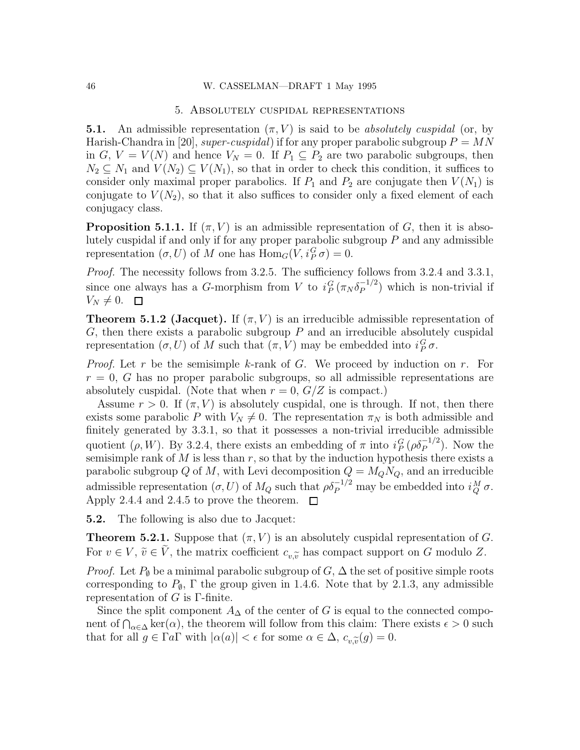## 5. Absolutely cuspidal representations

**5.1.** An admissible representation  $(\pi, V)$  is said to be absolutely cuspidal (or, by Harish-Chandra in [20], super-cuspidal) if for any proper parabolic subgroup  $P = MN$ in G,  $V = V(N)$  and hence  $V_N = 0$ . If  $P_1 \subseteq P_2$  are two parabolic subgroups, then  $N_2 \subseteq N_1$  and  $V(N_2) \subseteq V(N_1)$ , so that in order to check this condition, it suffices to consider only maximal proper parabolics. If  $P_1$  and  $P_2$  are conjugate then  $V(N_1)$  is conjugate to  $V(N_2)$ , so that it also suffices to consider only a fixed element of each conjugacy class.

**Proposition 5.1.1.** If  $(\pi, V)$  is an admissible representation of G, then it is absolutely cuspidal if and only if for any proper parabolic subgroup  $P$  and any admissible representation  $(\sigma, U)$  of M one has  $\text{Hom}_G(V, i_P^G \sigma) = 0$ .

Proof. The necessity follows from 3.2.5. The sufficiency follows from 3.2.4 and 3.3.1, since one always has a G-morphism from V to  $i_P^G(\pi_N \delta_P^{-1/2})$  $\binom{-1}{P}$  which is non-trivial if  $V_N \neq 0.$   $\Box$ 

**Theorem 5.1.2 (Jacquet).** If  $(\pi, V)$  is an irreducible admissible representation of  $G$ , then there exists a parabolic subgroup  $P$  and an irreducible absolutely cuspidal representation  $(\sigma, U)$  of M such that  $(\pi, V)$  may be embedded into  $i_P^G \sigma$ .

*Proof.* Let r be the semisimple k-rank of G. We proceed by induction on r. For  $r = 0$ , G has no proper parabolic subgroups, so all admissible representations are absolutely cuspidal. (Note that when  $r = 0$ ,  $G/Z$  is compact.)

Assume  $r > 0$ . If  $(\pi, V)$  is absolutely cuspidal, one is through. If not, then there exists some parabolic P with  $V_N \neq 0$ . The representation  $\pi_N$  is both admissible and finitely generated by 3.3.1, so that it possesses a non-trivial irreducible admissible quotient ( $\rho$ , W). By 3.2.4, there exists an embedding of  $\pi$  into  $i_P^G(\rho \delta_P^{-1/2})$ . Now the semisimple rank of  $M$  is less than  $r$ , so that by the induction hypothesis there exists a parabolic subgroup Q of M, with Levi decomposition  $Q = M_Q N_Q$ , and an irreducible admissible representation  $(\sigma, U)$  of  $M_Q$  such that  $\rho \delta_P^{-1/2}$  may be embedded into  $i_Q^M \sigma$ . Apply 2.4.4 and 2.4.5 to prove the theorem.  $\Box$ 

5.2. The following is also due to Jacquet:

**Theorem 5.2.1.** Suppose that  $(\pi, V)$  is an absolutely cuspidal representation of G. For  $v \in V$ ,  $\tilde{v} \in \tilde{V}$ , the matrix coefficient  $c_{v,\tilde{v}}$  has compact support on G modulo Z.

*Proof.* Let  $P_{\emptyset}$  be a minimal parabolic subgroup of  $G$ ,  $\Delta$  the set of positive simple roots corresponding to  $P_{\emptyset}$ ,  $\Gamma$  the group given in 1.4.6. Note that by 2.1.3, any admissible representation of  $G$  is  $\Gamma$ -finite.

Since the split component  $A_{\Delta}$  of the center of G is equal to the connected component of  $\bigcap_{\alpha\in\Delta}\ker(\alpha)$ , the theorem will follow from this claim: There exists  $\epsilon > 0$  such that for all  $g \in \Gamma a \Gamma$  with  $|\alpha(a)| < \epsilon$  for some  $\alpha \in \Delta$ ,  $c_{v,\widetilde{v}}(g) = 0$ .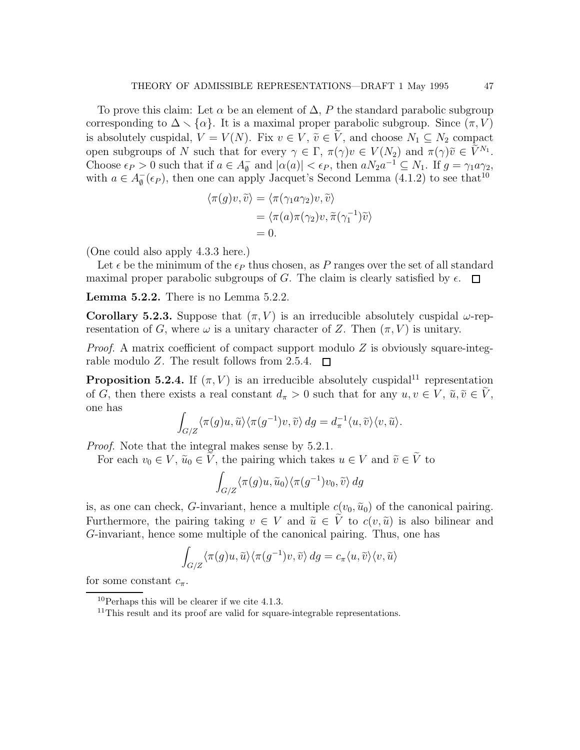To prove this claim: Let  $\alpha$  be an element of  $\Delta$ , P the standard parabolic subgroup corresponding to  $\Delta \setminus \{\alpha\}$ . It is a maximal proper parabolic subgroup. Since  $(\pi, V)$ is absolutely cuspidal,  $V = V(N)$ . Fix  $v \in V$ ,  $\tilde{v} \in V$ , and choose  $N_1 \subseteq N_2$  compact open subgroups of N such that for every  $\gamma \in \Gamma$ ,  $\pi(\gamma)v \in V(N_2)$  and  $\pi(\gamma)\tilde{v} \in V^{N_1}$ . Choose  $\epsilon_P > 0$  such that if  $a \in A_{\emptyset}^ \bar{\phi}$  and  $|\alpha(a)| < \epsilon_P$ , then  $aN_2a^{-1} \subseteq N_1$ . If  $g = \gamma_1 a \gamma_2$ , with  $a \in A_{\emptyset}^ \bar{\phi}$  ( $\epsilon_P$ ), then one can apply Jacquet's Second Lemma (4.1.2) to see that<sup>10</sup>

$$
\langle \pi(g)v, \widetilde{v} \rangle = \langle \pi(\gamma_1 a \gamma_2)v, \widetilde{v} \rangle
$$
  
= 
$$
\langle \pi(a) \pi(\gamma_2)v, \widetilde{\pi}(\gamma_1^{-1})\widetilde{v} \rangle
$$
  
= 0.

(One could also apply 4.3.3 here.)

Let  $\epsilon$  be the minimum of the  $\epsilon_P$  thus chosen, as P ranges over the set of all standard maximal proper parabolic subgroups of G. The claim is clearly satisfied by  $\epsilon$ .  $\Box$ 

Lemma 5.2.2. There is no Lemma 5.2.2.

Corollary 5.2.3. Suppose that  $(\pi, V)$  is an irreducible absolutely cuspidal  $\omega$ -representation of G, where  $\omega$  is a unitary character of Z. Then  $(\pi, V)$  is unitary.

*Proof.* A matrix coefficient of compact support modulo  $Z$  is obviously square-integrable modulo Z. The result follows from 2.5.4.  $\Box$ 

**Proposition 5.2.4.** If  $(\pi, V)$  is an irreducible absolutely cuspidal<sup>11</sup> representation of G, then there exists a real constant  $d_{\pi} > 0$  such that for any  $u, v \in V$ ,  $\tilde{u}, \tilde{v} \in \tilde{V}$ , one has

$$
\int_{G/Z} \langle \pi(g)u, \widetilde{u} \rangle \langle \pi(g^{-1})v, \widetilde{v} \rangle \, dg = d_{\pi}^{-1} \langle u, \widetilde{v} \rangle \langle v, \widetilde{u} \rangle.
$$

Proof. Note that the integral makes sense by 5.2.1.

For each  $v_0 \in V$ ,  $\tilde{u}_0 \in \tilde{V}$ , the pairing which takes  $u \in V$  and  $\tilde{v} \in \tilde{V}$  to

$$
\int_{G/Z} \langle \pi(g)u, \widetilde{u}_0 \rangle \langle \pi(g^{-1})v_0, \widetilde{v} \rangle \, dg
$$

is, as one can check, G-invariant, hence a multiple  $c(v_0, \tilde{u}_0)$  of the canonical pairing. Furthermore, the pairing taking  $v \in V$  and  $\tilde{u} \in V$  to  $c(v, \tilde{u})$  is also bilinear and G-invariant, hence some multiple of the canonical pairing. Thus, one has

$$
\int_{G/Z} \langle \pi(g)u, \widetilde{u} \rangle \langle \pi(g^{-1})v, \widetilde{v} \rangle \, dg = c_{\pi} \langle u, \widetilde{v} \rangle \langle v, \widetilde{u} \rangle
$$

for some constant  $c_{\pi}$ .

 $10$ Perhaps this will be clearer if we cite 4.1.3.

<sup>&</sup>lt;sup>11</sup>This result and its proof are valid for square-integrable representations.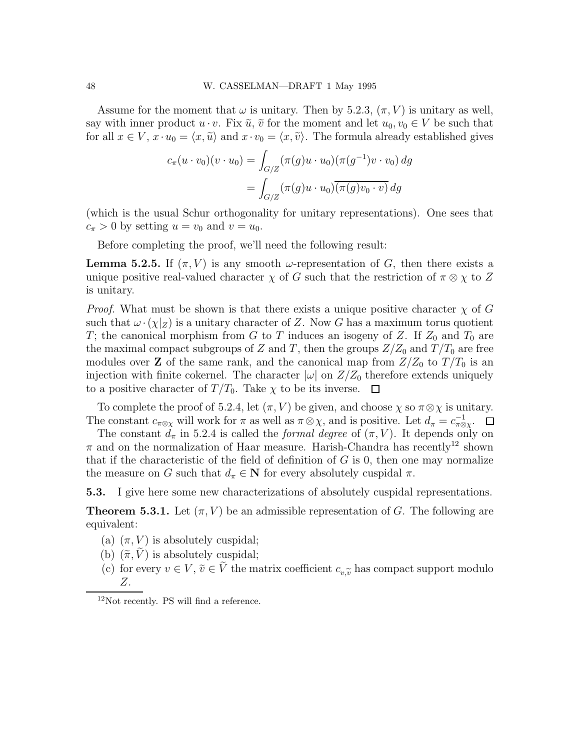Assume for the moment that  $\omega$  is unitary. Then by 5.2.3,  $(\pi, V)$  is unitary as well, say with inner product  $u \cdot v$ . Fix  $\tilde{u}$ ,  $\tilde{v}$  for the moment and let  $u_0, v_0 \in V$  be such that for all  $x \in V$ ,  $x \cdot u_0 = \langle x, \tilde{u} \rangle$  and  $x \cdot v_0 = \langle x, \tilde{v} \rangle$ . The formula already established gives

$$
c_{\pi}(u \cdot v_0)(v \cdot u_0) = \int_{G/Z} (\pi(g)u \cdot u_0)(\pi(g^{-1})v \cdot v_0) dg
$$
  
= 
$$
\int_{G/Z} (\pi(g)u \cdot u_0)(\pi(g)v_0 \cdot v) dg
$$

(which is the usual Schur orthogonality for unitary representations). One sees that  $c_{\pi} > 0$  by setting  $u = v_0$  and  $v = u_0$ .

Before completing the proof, we'll need the following result:

**Lemma 5.2.5.** If  $(\pi, V)$  is any smooth  $\omega$ -representation of G, then there exists a unique positive real-valued character  $\chi$  of G such that the restriction of  $\pi \otimes \chi$  to Z is unitary.

*Proof.* What must be shown is that there exists a unique positive character  $\chi$  of G such that  $\omega \cdot (\chi|_Z)$  is a unitary character of Z. Now G has a maximum torus quotient T; the canonical morphism from G to T induces an isogeny of Z. If  $Z_0$  and  $T_0$  are the maximal compact subgroups of Z and T, then the groups  $Z/Z_0$  and  $T/T_0$  are free modules over **Z** of the same rank, and the canonical map from  $Z/Z_0$  to  $T/T_0$  is an injection with finite cokernel. The character  $|\omega|$  on  $Z/Z_0$  therefore extends uniquely to a positive character of  $T/T_0$ . Take  $\chi$  to be its inverse.  $\Box$ 

To complete the proof of 5.2.4, let  $(\pi, V)$  be given, and choose  $\chi$  so  $\pi \otimes \chi$  is unitary. The constant  $c_{\pi \otimes \chi}$  will work for  $\pi$  as well as  $\pi \otimes \chi$ , and is positive. Let  $d_{\pi} = c_{\pi \otimes \chi}^{-1}$ .

The constant  $d_{\pi}$  in 5.2.4 is called the *formal degree* of  $(\pi, V)$ . It depends only on  $\pi$  and on the normalization of Haar measure. Harish-Chandra has recently<sup>12</sup> shown that if the characteristic of the field of definition of  $G$  is 0, then one may normalize the measure on G such that  $d_{\pi} \in \mathbb{N}$  for every absolutely cuspidal  $\pi$ .

5.3. I give here some new characterizations of absolutely cuspidal representations.

**Theorem 5.3.1.** Let  $(\pi, V)$  be an admissible representation of G. The following are equivalent:

- (a)  $(\pi, V)$  is absolutely cuspidal;
- (b)  $(\tilde{\pi}, V)$  is absolutely cuspidal;
- (c) for every  $v \in V$ ,  $\tilde{v} \in \tilde{V}$  the matrix coefficient  $c_{v,\tilde{v}}$  has compact support modulo Z.

<sup>12</sup>Not recently. PS will find a reference.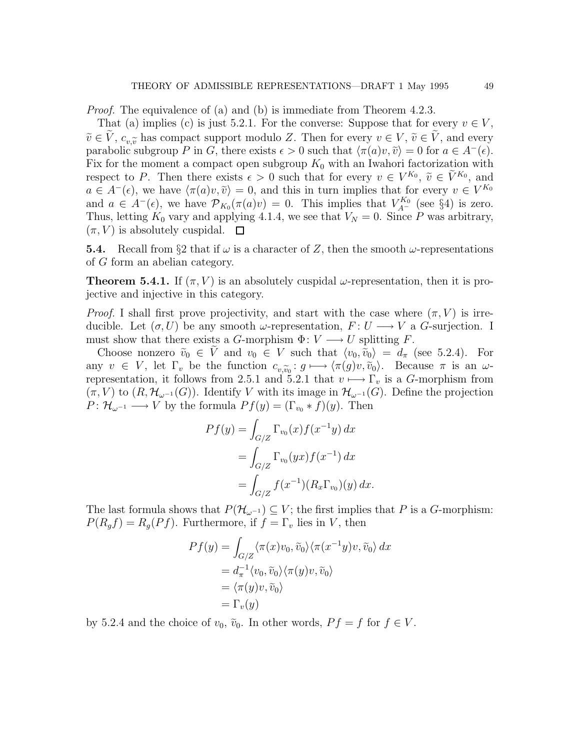Proof. The equivalence of (a) and (b) is immediate from Theorem 4.2.3.

That (a) implies (c) is just 5.2.1. For the converse: Suppose that for every  $v \in V$ ,  $\tilde{v} \in V$ ,  $c_{\eta \tilde{\gamma}}$  has compact support modulo Z. Then for every  $v \in V$ ,  $\tilde{v} \in V$ , and every parabolic subgroup P in G, there exists  $\epsilon > 0$  such that  $\langle \pi(a)v, \tilde{v} \rangle = 0$  for  $a \in A^-(\epsilon)$ . Fix for the moment a compact open subgroup  $K_0$  with an Iwahori factorization with respect to P. Then there exists  $\epsilon > 0$  such that for every  $v \in V^{K_0}$ ,  $\tilde{v} \in \tilde{V}^{K_0}$ , and  $a \in A^{-}(\epsilon)$ , we have  $\langle \pi(a)v, \tilde{v} \rangle = 0$ , and this in turn implies that for every  $v \in V^{K_0}$ and  $a \in A^{-}(\epsilon)$ , we have  $\mathcal{P}_{K_0}(\pi(a)v) = 0$ . This implies that  $V_{A^{-}}^{K_0}$  (see §4) is zero. Thus, letting  $K_0$  vary and applying 4.1.4, we see that  $V_N = 0$ . Since P was arbitrary,  $(\pi, V)$  is absolutely cuspidal.  $\square$ 

**5.4.** Recall from §2 that if  $\omega$  is a character of Z, then the smooth  $\omega$ -representations of G form an abelian category.

**Theorem 5.4.1.** If  $(\pi, V)$  is an absolutely cuspidal  $\omega$ -representation, then it is projective and injective in this category.

*Proof.* I shall first prove projectivity, and start with the case where  $(\pi, V)$  is irreducible. Let  $(\sigma, U)$  be any smooth  $\omega$ -representation,  $F: U \longrightarrow V$  a G-surjection. I must show that there exists a G-morphism  $\Phi: V \longrightarrow U$  splitting F.

Choose nonzero  $\tilde{v}_0 \in V$  and  $v_0 \in V$  such that  $\langle v_0, \tilde{v}_0 \rangle = d_{\pi}$  (see 5.2.4). For any  $v \in V$ , let  $\Gamma_v$  be the function  $c_{v,\widetilde{v}_0} : g \mapsto \langle \pi(g)v, \widetilde{v}_0 \rangle$ . Because  $\pi$  is an  $\omega$ -<br>representation it follows from 2.5.1 and 5.2.1 that  $v \mapsto \Gamma$  is a G merphism from representation, it follows from 2.5.1 and 5.2.1 that  $v \mapsto \Gamma_v$  is a G-morphism from  $(\pi, V)$  to  $(R, \mathcal{H}_{\omega^{-1}}(G))$ . Identify V with its image in  $\mathcal{H}_{\omega^{-1}}(G)$ . Define the projection  $P: \mathcal{H}_{\omega^{-1}} \longrightarrow V$  by the formula  $Pf(y) = (\Gamma_{v_0} * f)(y)$ . Then

$$
Pf(y) = \int_{G/Z} \Gamma_{v_0}(x) f(x^{-1}y) dx
$$
  
= 
$$
\int_{G/Z} \Gamma_{v_0}(yx) f(x^{-1}) dx
$$
  
= 
$$
\int_{G/Z} f(x^{-1})(R_x \Gamma_{v_0})(y) dx.
$$

The last formula shows that  $P(\mathcal{H}_{\omega^{-1}}) \subseteq V$ ; the first implies that P is a G-morphism:  $P(R_g f) = R_g(Pf)$ . Furthermore, if  $f = \Gamma_v$  lies in V, then

$$
Pf(y) = \int_{G/Z} \langle \pi(x)v_0, \tilde{v}_0 \rangle \langle \pi(x^{-1}y)v, \tilde{v}_0 \rangle dx
$$
  
=  $d_{\pi}^{-1} \langle v_0, \tilde{v}_0 \rangle \langle \pi(y)v, \tilde{v}_0 \rangle$   
=  $\langle \pi(y)v, \tilde{v}_0 \rangle$   
=  $\Gamma_v(y)$ 

by 5.2.4 and the choice of  $v_0$ ,  $\tilde{v}_0$ . In other words,  $Pf = f$  for  $f \in V$ .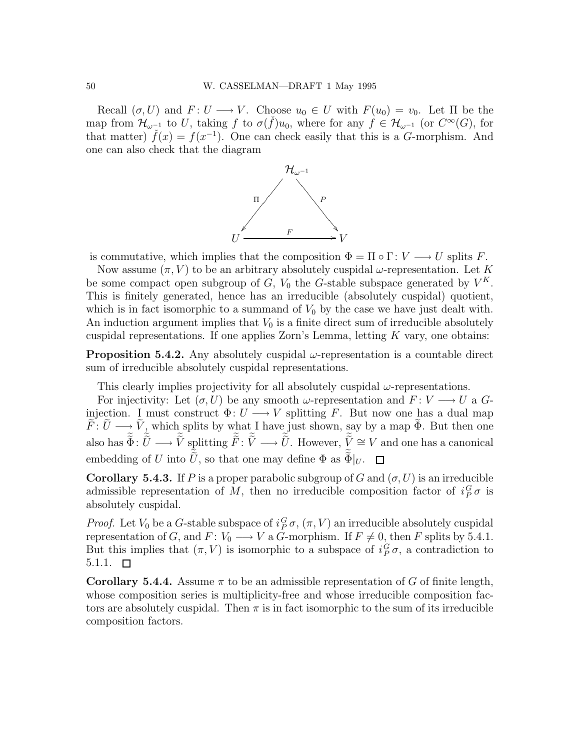Recall  $(\sigma, U)$  and  $F: U \longrightarrow V$ . Choose  $u_0 \in U$  with  $F(u_0) = v_0$ . Let  $\Pi$  be the map from  $\mathcal{H}_{\omega^{-1}}$  to U, taking f to  $\sigma(\check{f})u_0$ , where for any  $\check{f} \in \mathcal{H}_{\omega^{-1}}$  (or  $C^{\infty}(G)$ , for that matter)  $\check{f}(x) = f(x^{-1})$ . One can check easily that this is a G-morphism. And one can also check that the diagram



is commutative, which implies that the composition  $\Phi = \Pi \circ \Gamma : V \longrightarrow U$  splits F.

Now assume  $(\pi, V)$  to be an arbitrary absolutely cuspidal  $\omega$ -representation. Let K be some compact open subgroup of  $G$ ,  $V_0$  the G-stable subspace generated by  $V^K$ . This is finitely generated, hence has an irreducible (absolutely cuspidal) quotient, which is in fact isomorphic to a summand of  $V_0$  by the case we have just dealt with. An induction argument implies that  $V_0$  is a finite direct sum of irreducible absolutely cuspidal representations. If one applies  $\mathbb{Z}$ orn's Lemma, letting  $K$  vary, one obtains:

**Proposition 5.4.2.** Any absolutely cuspidal  $\omega$ -representation is a countable direct sum of irreducible absolutely cuspidal representations.

This clearly implies projectivity for all absolutely cuspidal  $\omega$ -representations.

For injectivity: Let  $(\sigma, U)$  be any smooth  $\omega$ -representation and  $F: V \longrightarrow U$  a  $G$ injection. I must construct  $\Phi: U \longrightarrow V$  splitting F. But now one has a dual map  $F: U \longrightarrow V$ , which splits by what I have just shown, say by a map  $\Phi$ . But then one also has  $\tilde{\Phi} \colon \tilde{U} \longrightarrow \tilde{V}$  splitting  $\tilde{F} \colon \tilde{V} \longrightarrow \tilde{U}$ . However,  $\tilde{V} \cong V$  and one has a canonical embedding of U into U, so that one may define  $\Phi$  as  $\Phi|_U$ .

**Corollary 5.4.3.** If P is a proper parabolic subgroup of G and  $(\sigma, U)$  is an irreducible admissible representation of M, then no irreducible composition factor of  $i_P^G \sigma$  is absolutely cuspidal.

*Proof.* Let  $V_0$  be a G-stable subspace of  $i_P^G \sigma$ ,  $(\pi, V)$  an irreducible absolutely cuspidal representation of G, and F:  $V_0 \longrightarrow V$  a G-morphism. If  $F \neq 0$ , then F splits by 5.4.1. But this implies that  $(\pi, V)$  is isomorphic to a subspace of  $i_P^G \sigma$ , a contradiction to  $5.1.1.$ 

**Corollary 5.4.4.** Assume  $\pi$  to be an admissible representation of G of finite length, whose composition series is multiplicity-free and whose irreducible composition factors are absolutely cuspidal. Then  $\pi$  is in fact isomorphic to the sum of its irreducible composition factors.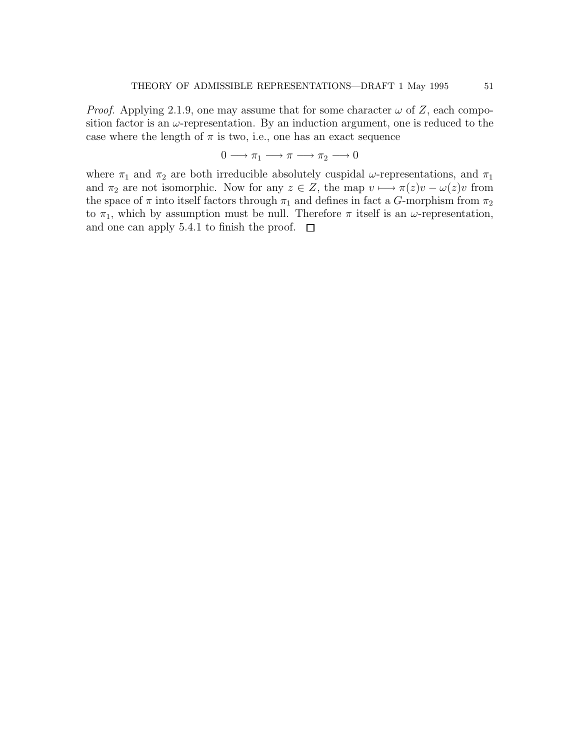*Proof.* Applying 2.1.9, one may assume that for some character  $\omega$  of Z, each composition factor is an  $\omega$ -representation. By an induction argument, one is reduced to the case where the length of  $\pi$  is two, i.e., one has an exact sequence

$$
0 \longrightarrow \pi_1 \longrightarrow \pi \longrightarrow \pi_2 \longrightarrow 0
$$

where  $\pi_1$  and  $\pi_2$  are both irreducible absolutely cuspidal  $\omega$ -representations, and  $\pi_1$ and  $\pi_2$  are not isomorphic. Now for any  $z \in Z$ , the map  $v \mapsto \pi(z)v - \omega(z)v$  from the space of  $\pi$  into itself factors through  $\pi_1$  and defines in fact a G-morphism from  $\pi_2$ to  $\pi_1$ , which by assumption must be null. Therefore  $\pi$  itself is an  $\omega$ -representation, and one can apply 5.4.1 to finish the proof.  $\Box$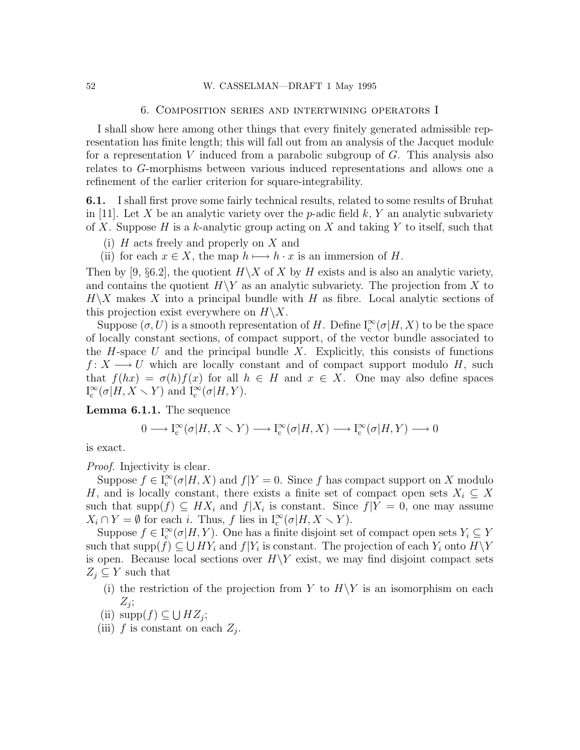#### 52 W. CASSELMAN—DRAFT 1 May 1995

## 6. Composition series and intertwining operators I

I shall show here among other things that every finitely generated admissible representation has finite length; this will fall out from an analysis of the Jacquet module for a representation  $V$  induced from a parabolic subgroup of  $G$ . This analysis also relates to G-morphisms between various induced representations and allows one a refinement of the earlier criterion for square-integrability.

6.1. I shall first prove some fairly technical results, related to some results of Bruhat in [11]. Let X be an analytic variety over the p-adic field  $k, Y$  an analytic subvariety of X. Suppose H is a k-analytic group acting on X and taking Y to itself, such that

- (i) H acts freely and properly on X and
- (ii) for each  $x \in X$ , the map  $h \mapsto h \cdot x$  is an immersion of H.

Then by [9, §6.2], the quotient  $H\backslash X$  of X by H exists and is also an analytic variety, and contains the quotient  $H\Y$  as an analytic subvariety. The projection from X to  $H\backslash X$  makes X into a principal bundle with H as fibre. Local analytic sections of this projection exist everywhere on  $H\backslash X$ .

Suppose  $(\sigma, U)$  is a smooth representation of H. Define  $I_c^{\infty}(\sigma | H, X)$  to be the space of locally constant sections, of compact support, of the vector bundle associated to the H-space U and the principal bundle X. Explicitly, this consists of functions  $f: X \longrightarrow U$  which are locally constant and of compact support modulo H, such that  $f(hx) = \sigma(h)f(x)$  for all  $h \in H$  and  $x \in X$ . One may also define spaces  $I_c^{\infty}(\sigma|H, X \setminus Y)$  and  $I_c^{\infty}(\sigma|H, Y)$ .

Lemma 6.1.1. The sequence

$$
0\longrightarrow\mathbf{I}^\infty_{\operatorname{c}}(\sigma|H,X\smallsetminus Y)\longrightarrow\mathbf{I}^\infty_{\operatorname{c}}(\sigma|H,X)\longrightarrow\mathbf{I}^\infty_{\operatorname{c}}(\sigma|H,Y)\longrightarrow0
$$

is exact.

Proof. Injectivity is clear.

Suppose  $f \in I_c^{\infty}(\sigma | H, X)$  and  $f | Y = 0$ . Since f has compact support on X modulo H, and is locally constant, there exists a finite set of compact open sets  $X_i \subseteq X$ such that supp $(f) \subseteq H X_i$  and  $f|X_i$  is constant. Since  $f|Y=0$ , one may assume  $X_i \cap Y = \emptyset$  for each i. Thus, f lies in  $I_c^{\infty}(\sigma | H, X \setminus Y)$ .

Suppose  $f \in I_c^{\infty}(\sigma | H, Y)$ . One has a finite disjoint set of compact open sets  $Y_i \subseteq Y$ such that  $\text{supp}(f) \subseteq \bigcup HY_i$  and  $f|Y_i$  is constant. The projection of each  $Y_i$  onto  $H \backslash Y$ is open. Because local sections over  $H\Y$  exist, we may find disjoint compact sets  $Z_i \subseteq Y$  such that

- (i) the restriction of the projection from Y to  $H\Y$  is an isomorphism on each  $Z_j;$
- (ii)  $\text{supp}(f) \subseteq \bigcup HZ_j$ ;
- (iii)  $f$  is constant on each  $Z_j$ .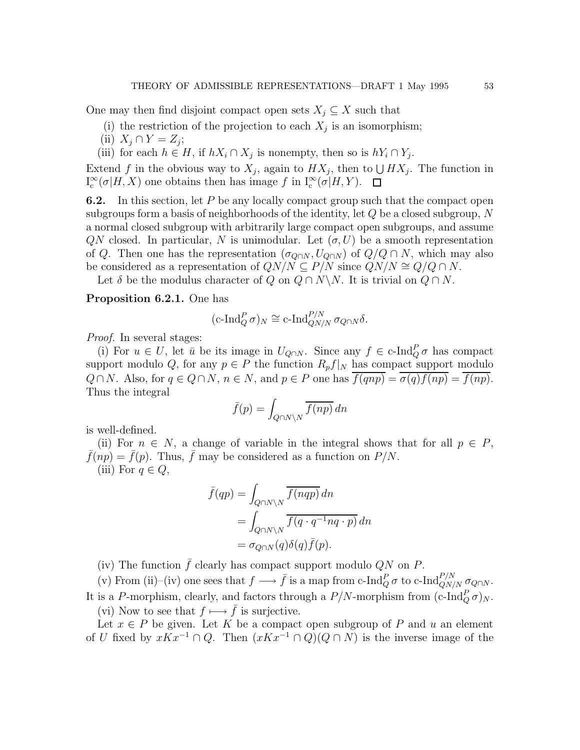One may then find disjoint compact open sets  $X_i \subseteq X$  such that

- (i) the restriction of the projection to each  $X_j$  is an isomorphism;
- (ii)  $X_j \cap Y = Z_j;$
- (iii) for each  $h \in H$ , if  $hX_i \cap X_j$  is nonempty, then so is  $hY_i \cap Y_j$ .

Extend f in the obvious way to  $X_j$ , again to  $HX_j$ , then to  $\bigcup HX_j$ . The function in  $I_c^{\infty}$  $\int_{c}^{\infty} (\sigma | H, X)$  one obtains then has image f in  $I_{c}^{\infty} (\sigma | H, Y)$ .

6.2. In this section, let P be any locally compact group such that the compact open subgroups form a basis of neighborhoods of the identity, let  $Q$  be a closed subgroup,  $N$ a normal closed subgroup with arbitrarily large compact open subgroups, and assume  $QN$  closed. In particular, N is unimodular. Let  $(\sigma, U)$  be a smooth representation of Q. Then one has the representation  $(\sigma_{Q\cap N}, U_{Q\cap N})$  of  $Q/Q \cap N$ , which may also be considered as a representation of  $QN/N \subseteq P/N$  since  $QN/N \cong Q/Q \cap N$ .

Let  $\delta$  be the modulus character of  $Q$  on  $Q \cap N \backslash N$ . It is trivial on  $Q \cap N$ .

# Proposition 6.2.1. One has

$$
(\mathrm{c}\text{-}\mathrm{Ind}_{Q}^{P}\sigma)_{N} \cong \mathrm{c}\text{-}\mathrm{Ind}_{QN/N}^{P/N} \sigma_{Q\cap N}\delta.
$$

Proof. In several stages:

(i) For  $u \in U$ , let  $\bar{u}$  be its image in  $U_{Q \cap N}$ . Since any  $f \in \text{c-Ind}_{Q}^{P} \sigma$  has compact support modulo Q, for any  $p \in P$  the function  $R_p f|_N$  has compact support modulo  $Q \cap N$ . Also, for  $q \in Q \cap N$ ,  $n \in N$ , and  $p \in P$  one has  $\overline{f(qnp)} = \overline{\sigma(q)f(np)} = \overline{f(np)}$ . Thus the integral

$$
\bar{f}(p) = \int_{Q \cap N \backslash N} \overline{f(np)} \, dn
$$

is well-defined.

(ii) For  $n \in N$ , a change of variable in the integral shows that for all  $p \in P$ ,  $f(np) = \bar{f}(p)$ . Thus,  $\bar{f}$  may be considered as a function on  $P/N$ . (iii) For  $q \in Q$ ,

$$
\bar{f}(qp) = \int_{Q \cap N \backslash N} \overline{f(nqp)} dn
$$
  
= 
$$
\int_{Q \cap N \backslash N} \overline{f(q \cdot q^{-1} nq \cdot p)} dn
$$
  
= 
$$
\sigma_{Q \cap N}(q) \delta(q) \bar{f}(p).
$$

(iv) The function  $\bar{f}$  clearly has compact support modulo QN on P.

(v) From (ii)–(iv) one sees that  $f \longrightarrow \bar{f}$  is a map from c-Ind $_{Q}^{P} \sigma$  to c-Ind $_{QN/N}^{P/N} \sigma_{Q\cap N}$ . It is a P-morphism, clearly, and factors through a  $P/N$ -morphism from  $(c\text{-Ind}_Q^P \sigma)_N$ . (vi) Now to see that  $f \mapsto \bar{f}$  is surjective.

Let  $x \in P$  be given. Let K be a compact open subgroup of P and u an element of U fixed by  $xKx^{-1} \cap Q$ . Then  $(xKx^{-1} \cap Q)(Q \cap N)$  is the inverse image of the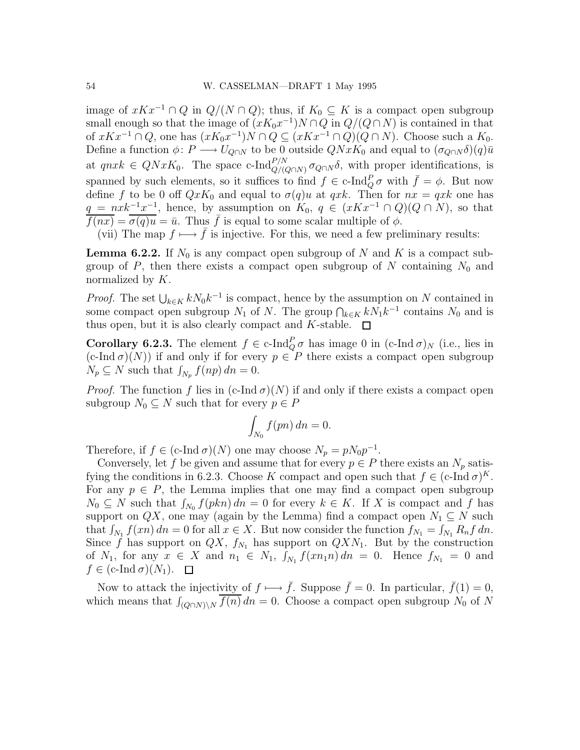image of  $xKx^{-1} \cap Q$  in  $Q/(N \cap Q)$ ; thus, if  $K_0 \subseteq K$  is a compact open subgroup small enough so that the image of  $(xK_0x^{-1})N \cap Q$  in  $Q/(Q \cap N)$  is contained in that of  $xKx^{-1} \cap Q$ , one has  $(xK_0x^{-1})N \cap Q \subseteq (xKx^{-1} \cap Q)(Q \cap N)$ . Choose such a  $K_0$ . Define a function  $\phi: P \longrightarrow U_{Q\cap N}$  to be 0 outside  $QNxK_0$  and equal to  $(\sigma_{Q\cap N}\delta)(q)\bar{u}$ at  $qnxk \in QNxK_0$ . The space c-Ind $_{Q/(Q\cap N)}^{P/N}$   $\sigma_{Q\cap N}\delta$ , with proper identifications, is spanned by such elements, so it suffices to find  $f \in \text{c-Ind}_Q^P \sigma$  with  $\bar{f} = \phi$ . But now define f to be 0 off  $QxK_0$  and equal to  $\sigma(q)u$  at  $qxk$ . Then for  $nx = qxk$  one has  $q = nxk^{-1}x^{-1}$ , hence, by assumption on  $K_0, q \in (xKx^{-1} \cap Q)(Q \cap N)$ , so that  $f(nx) = \sigma(q)u = \bar{u}$ . Thus  $\bar{f}$  is equal to some scalar multiple of  $\phi$ .

(vii) The map  $f \mapsto \bar{f}$  is injective. For this, we need a few preliminary results:

**Lemma 6.2.2.** If  $N_0$  is any compact open subgroup of N and K is a compact subgroup of  $P$ , then there exists a compact open subgroup of  $N$  containing  $N_0$  and normalized by K.

*Proof.* The set  $\bigcup_{k \in K} k N_0 k^{-1}$  is compact, hence by the assumption on N contained in some compact open subgroup  $N_1$  of N. The group  $\bigcap_{k\in K} kN_1k^{-1}$  contains  $N_0$  and is thus open, but it is also clearly compact and K-stable.  $\square$ 

**Corollary 6.2.3.** The element  $f \in c$ -Ind $_{Q}^{P} \sigma$  has image 0 in  $(c$ -Ind  $\sigma)_{N}$  (i.e., lies in  $(c\text{-Ind }\sigma)(N)$  if and only if for every  $p \in P$  there exists a compact open subgroup  $N_p \subseteq N$  such that  $\int_{N_p} f(np) \, dn = 0$ .

*Proof.* The function f lies in  $(c$ -Ind  $\sigma)(N)$  if and only if there exists a compact open subgroup  $N_0 \subseteq N$  such that for every  $p \in P$ 

$$
\int_{N_0} f(pn) \, dn = 0.
$$

Therefore, if  $f \in (c\text{-Ind }\sigma)(N)$  one may choose  $N_p = pN_0p^{-1}$ .

Conversely, let f be given and assume that for every  $p \in P$  there exists an  $N_p$  satisfying the conditions in 6.2.3. Choose K compact and open such that  $f \in (c\text{-Ind }\sigma)^K$ . For any  $p \in P$ , the Lemma implies that one may find a compact open subgroup  $N_0 \subseteq N$  such that  $\int_{N_0} f(pkn) dn = 0$  for every  $k \in K$ . If X is compact and f has support on  $QX$ , one may (again by the Lemma) find a compact open  $N_1 \subseteq N$  such that  $\int_{N_1} f(xn) dn = 0$  for all  $x \in X$ . But now consider the function  $f_{N_1} = \int_{N_1} R_n f dn$ . Since  $\hat{f}$  has support on  $\hat{Q}X$ ,  $f_{N_1}$  has support on  $\hat{Q}XN_1$ . But by the construction of  $N_1$ , for any  $x \in X$  and  $n_1 \in N_1$ ,  $\int_{N_1} f(x n_1 n) dn = 0$ . Hence  $f_{N_1} = 0$  and  $f \in (c\text{-Ind }\sigma)(N_1)$ .  $\Box$ 

Now to attack the injectivity of  $f \mapsto \bar{f}$ . Suppose  $\bar{f} = 0$ . In particular,  $\bar{f}(1) = 0$ , which means that  $\int_{(Q \cap N)\setminus N} \overline{f(n)} dn = 0$ . Choose a compact open subgroup  $N_0$  of N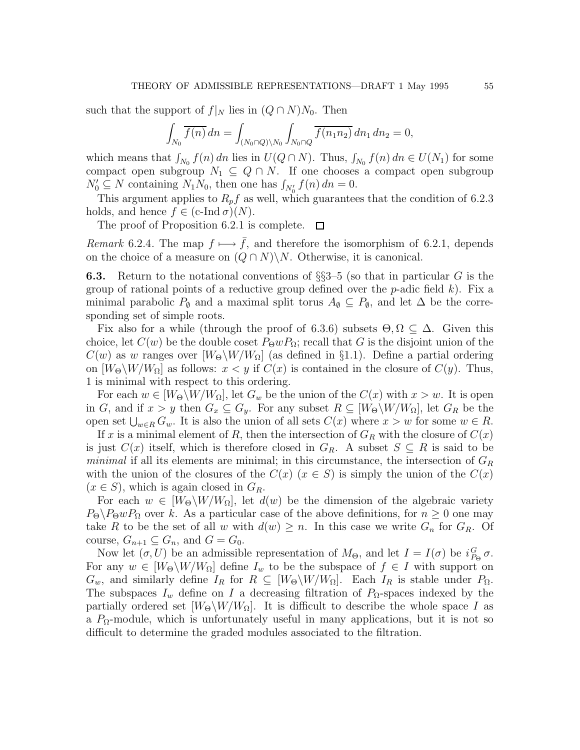such that the support of  $f|_N$  lies in  $(Q \cap N)N_0$ . Then

$$
\int_{N_0} \overline{f(n)} \, dn = \int_{(N_0 \cap Q) \backslash N_0} \int_{N_0 \cap Q} \overline{f(n_1 n_2)} \, dn_1 \, dn_2 = 0,
$$

which means that  $\int_{N_0} f(n) dn$  lies in  $U(Q \cap N)$ . Thus,  $\int_{N_0} f(n) dn \in U(N_1)$  for some compact open subgroup  $N_1 \subseteq Q \cap N$ . If one chooses a compact open subgroup  $N'_0 \subseteq N$  containing  $N_1 N_0$ , then one has  $\int_{N'_0} f(n) dn = 0$ .

This argument applies to  $R_p f$  as well, which guarantees that the condition of 6.2.3 holds, and hence  $f \in (c\text{-Ind }\sigma)(N)$ .

The proof of Proposition 6.2.1 is complete.  $\square$ 

Remark 6.2.4. The map  $f \mapsto \overline{f}$ , and therefore the isomorphism of 6.2.1, depends on the choice of a measure on  $(Q \cap N) \backslash N$ . Otherwise, it is canonical.

**6.3.** Return to the notational conventions of  $\S$ \$53–5 (so that in particular G is the group of rational points of a reductive group defined over the  $p$ -adic field k). Fix a minimal parabolic  $P_{\emptyset}$  and a maximal split torus  $A_{\emptyset} \subseteq P_{\emptyset}$ , and let  $\Delta$  be the corresponding set of simple roots.

Fix also for a while (through the proof of 6.3.6) subsets  $\Theta, \Omega \subseteq \Delta$ . Given this choice, let  $C(w)$  be the double coset  $P_{\Theta}wP_{\Omega}$ ; recall that G is the disjoint union of the  $C(w)$  as w ranges over  $W_{\Theta} \backslash W / W_{\Omega}$  (as defined in §1.1). Define a partial ordering on  $[W_\Theta \backslash W/W_\Omega]$  as follows:  $x < y$  if  $C(x)$  is contained in the closure of  $C(y)$ . Thus, 1 is minimal with respect to this ordering.

For each  $w \in [W_\Theta \backslash W/W_\Omega]$ , let  $G_w$  be the union of the  $C(x)$  with  $x > w$ . It is open in G, and if  $x > y$  then  $G_x \subseteq G_y$ . For any subset  $R \subseteq [W_\Theta \backslash W / W_\Omega]$ , let  $G_R$  be the open set  $\bigcup_{w\in R} G_w$ . It is also the union of all sets  $C(x)$  where  $x > w$  for some  $w \in R$ .

If x is a minimal element of R, then the intersection of  $G_R$  with the closure of  $C(x)$ is just  $C(x)$  itself, which is therefore closed in  $G_R$ . A subset  $S \subseteq R$  is said to be *minimal* if all its elements are minimal; in this circumstance, the intersection of  $G_R$ with the union of the closures of the  $C(x)$  ( $x \in S$ ) is simply the union of the  $C(x)$  $(x \in S)$ , which is again closed in  $G_R$ .

For each  $w \in [W_{\Theta} \backslash W / W_{\Omega}]$ , let  $d(w)$  be the dimension of the algebraic variety  $P_{\Theta}\backslash P_{\Theta}wP_{\Omega}$  over k. As a particular case of the above definitions, for  $n \geq 0$  one may take R to be the set of all w with  $d(w) \geq n$ . In this case we write  $G_n$  for  $G_R$ . Of course,  $G_{n+1} \subseteq G_n$ , and  $G = G_0$ .

Now let  $(\sigma, U)$  be an admissible representation of  $M_{\Theta}$ , and let  $I = I(\sigma)$  be  $i_{P_{\Theta}}^G \sigma$ . For any  $w \in [W_{\Theta} \backslash W / W_{\Omega}]$  define  $I_w$  to be the subspace of  $f \in I$  with support on  $G_w$ , and similarly define  $I_R$  for  $R \subseteq [W_\Theta \backslash W/W_\Omega]$ . Each  $I_R$  is stable under  $P_\Omega$ . The subspaces  $I_w$  define on I a decreasing filtration of  $P_\Omega$ -spaces indexed by the partially ordered set  $[W_{\Theta} \backslash W / W_{\Omega}]$ . It is difficult to describe the whole space I as a  $P_{\Omega}$ -module, which is unfortunately useful in many applications, but it is not so difficult to determine the graded modules associated to the filtration.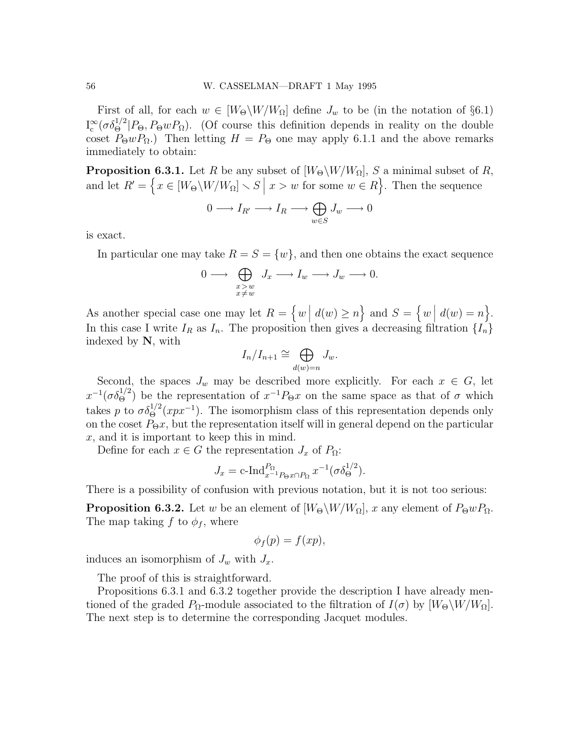First of all, for each  $w \in [W_{\Theta}\backslash W/W_{\Omega}]$  define  $J_w$  to be (in the notation of §6.1)  $I_c^{\infty}$  $\int_{c}^{\infty} (\sigma \delta_{\Theta}^{1/2} | P_{\Theta}, P_{\Theta} w P_{\Omega}).$  (Of course this definition depends in reality on the double coset  $P_{\Theta}wP_{\Omega}$ .) Then letting  $H = P_{\Theta}$  one may apply 6.1.1 and the above remarks immediately to obtain:

**Proposition 6.3.1.** Let R be any subset of  $[W_{\Theta} \backslash W / W_{\Omega}]$ , S a minimal subset of R, and let  $R' = \left\{ x \in [W_\Theta \setminus W/W_\Omega] \setminus S \mid x > w \text{ for some } w \in R \right\}$ . Then the sequence

$$
0 \longrightarrow I_{R'} \longrightarrow I_R \longrightarrow \bigoplus_{w \in S} J_w \longrightarrow 0
$$

is exact.

In particular one may take  $R = S = \{w\}$ , and then one obtains the exact sequence

$$
0 \longrightarrow \bigoplus_{\substack{x>w \\ x \neq w}} J_x \longrightarrow I_w \longrightarrow J_w \longrightarrow 0.
$$

As another special case one may let  $R = \{w \mid d(w) \ge n\}$  and  $S = \{w \mid d(w) = n\}$ . In this case I write  $I_R$  as  $I_n$ . The proposition then gives a decreasing filtration  $\{I_n\}$ indexed by N, with

$$
I_n/I_{n+1} \cong \bigoplus_{d(w)=n} J_w.
$$

Second, the spaces  $J_w$  may be described more explicitly. For each  $x \in G$ , let  $x^{-1}(\sigma \delta_{\Theta}^{1/2})$  be the representation of  $x^{-1}P_{\Theta}x$  on the same space as that of  $\sigma$  which takes p to  $\sigma \delta_{\Theta}^{1/2}(xpx^{-1})$ . The isomorphism class of this representation depends only on the coset  $P_{\Theta}x$ , but the representation itself will in general depend on the particular  $x$ , and it is important to keep this in mind.

Define for each  $x \in G$  the representation  $J_x$  of  $P_{\Omega}$ :

$$
J_x = \text{c-Ind}_{x^{-1}P_{\Theta}x \cap P_{\Omega}}^{P_{\Omega}} x^{-1} (\sigma \delta_{\Theta}^{1/2}).
$$

There is a possibility of confusion with previous notation, but it is not too serious:

**Proposition 6.3.2.** Let w be an element of  $[W_{\Theta} \backslash W / W_{\Omega}]$ , x any element of  $P_{\Theta} w P_{\Omega}$ . The map taking f to  $\phi_f$ , where

$$
\phi_f(p) = f(xp),
$$

induces an isomorphism of  $J_w$  with  $J_x$ .

The proof of this is straightforward.

Propositions 6.3.1 and 6.3.2 together provide the description I have already mentioned of the graded  $P_{\Omega}$ -module associated to the filtration of  $I(\sigma)$  by  $[W_{\Theta}\backslash W/W_{\Omega}]$ . The next step is to determine the corresponding Jacquet modules.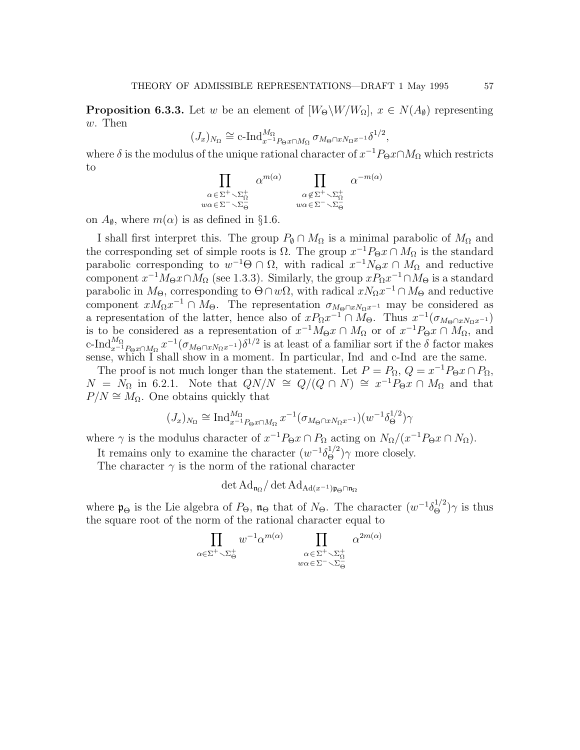**Proposition 6.3.3.** Let w be an element of  $[W_{\Theta}\backslash W/W_{\Omega}]$ ,  $x \in N(A_{\emptyset})$  representing w. Then

$$
(J_x)_{N_{\Omega}} \cong \mathrm{c}\text{-}\mathrm{Ind}_{x^{-1}P_{\Theta}x \cap M_{\Omega}}^{M_{\Omega}} \sigma_{M_{\Theta} \cap x N_{\Omega}x^{-1}} \delta^{1/2},
$$

where  $\delta$  is the modulus of the unique rational character of  $x^{-1}P_{\Theta}x \cap M_{\Omega}$  which restricts to

$$
\prod_{\substack{\alpha \in \Sigma^+ \smallsetminus \Sigma^+_\Omega \\ w\alpha \in \Sigma^- \smallsetminus \Sigma^-_\Theta}} \alpha^{m(\alpha)} \prod_{\substack{\alpha \notin \Sigma^+ \smallsetminus \Sigma^+_\Omega \\ w\alpha \in \Sigma^- \smallsetminus \Sigma^-_\Theta}} \alpha^{-m(\alpha)}
$$

on  $A_{\emptyset}$ , where  $m(\alpha)$  is as defined in §1.6.

I shall first interpret this. The group  $P_{\emptyset} \cap M_{\Omega}$  is a minimal parabolic of  $M_{\Omega}$  and the corresponding set of simple roots is  $\Omega$ . The group  $x^{-1}P_{\Theta}x \cap M_{\Omega}$  is the standard parabolic corresponding to  $w^{-1}\Theta \cap \Omega$ , with radical  $x^{-1}N_{\Theta}x \cap M_{\Omega}$  and reductive component  $x^{-1}M_{\Theta}x \cap M_{\Omega}$  (see 1.3.3). Similarly, the group  $xP_{\Omega}x^{-1} \cap M_{\Theta}$  is a standard parabolic in  $M_{\Theta}$ , corresponding to  $\Theta \cap w\Omega$ , with radical  $xN_{\Omega}x^{-1} \cap M_{\Theta}$  and reductive component  $xM_{\Omega}x^{-1} \cap M_{\Theta}$ . The representation  $\sigma_{M_{\Theta} \cap xN_{\Omega}x^{-1}}$  may be considered as a representation of the latter, hence also of  $xP_{\Omega}x^{-1} \cap M_{\Theta}$ . Thus  $x^{-1}(\sigma_{M_{\Theta} \cap xN_{\Omega}x^{-1}})$ is to be considered as a representation of  $x^{-1}M_{\Theta}x \cap M_{\Omega}$  or of  $x^{-1}P_{\Theta}x \cap M_{\Omega}$ , and c-Ind $_{x^{-1}P_{\Theta}x\cap M_{\Omega}}^{M_{\Omega}}x^{-1}(\sigma_{M_{\Theta}\cap xN_{\Omega}x^{-1}})\delta^{1/2}$  is at least of a familiar sort if the  $\delta$  factor makes sense, which I shall show in a moment. In particular, Ind and c-Ind are the same.

The proof is not much longer than the statement. Let  $P = P_{\Omega}$ ,  $Q = x^{-1}P_{\Theta}x \cap P_{\Omega}$ ,  $N = N_{\Omega}$  in 6.2.1. Note that  $QN/N \cong Q/(Q \cap N) \cong x^{-1}P_{\Theta}x \cap M_{\Omega}$  and that  $P/N \cong M_{\Omega}$ . One obtains quickly that

$$
(J_x)_{N_{\Omega}} \cong \operatorname{Ind}_{x^{-1}P_{\Theta}x \cap M_{\Omega}}^{M_{\Omega}} x^{-1} (\sigma_{M_{\Theta} \cap x N_{\Omega}x^{-1}}) (w^{-1} \delta_{\Theta}^{1/2}) \gamma
$$

where  $\gamma$  is the modulus character of  $x^{-1}P_{\Theta}x \cap P_{\Omega}$  acting on  $N_{\Omega}/(x^{-1}P_{\Theta}x \cap N_{\Omega})$ .

It remains only to examine the character  $(w^{-1}\delta_{\Theta}^{1/2})\gamma$  more closely.

The character  $\gamma$  is the norm of the rational character

$$
\det\mathrm{Ad}_{\mathfrak{n}_\Omega}/\det\mathrm{Ad}_{\mathrm{Ad}(x^{-1})\mathfrak{p}_\Theta\cap\mathfrak{n}_\Omega}
$$

where  $\mathfrak{p}_{\Theta}$  is the Lie algebra of  $P_{\Theta}$ ,  $\mathfrak{n}_{\Theta}$  that of  $N_{\Theta}$ . The character  $(w^{-1}\delta_{\Theta}^{1/2})\gamma$  is thus the square root of the norm of the rational character equal to

$$
\prod_{\alpha \in \Sigma^{+} \smallsetminus \Sigma_{\Theta}^{+}} w^{-1} \alpha^{m(\alpha)} \prod_{\substack{\alpha \in \Sigma^{+} \smallsetminus \Sigma_{\Omega}^{+} \\ w\alpha \in \Sigma^{-} \smallsetminus \Sigma_{\Theta}^{-}}} \alpha^{2m(\alpha)}
$$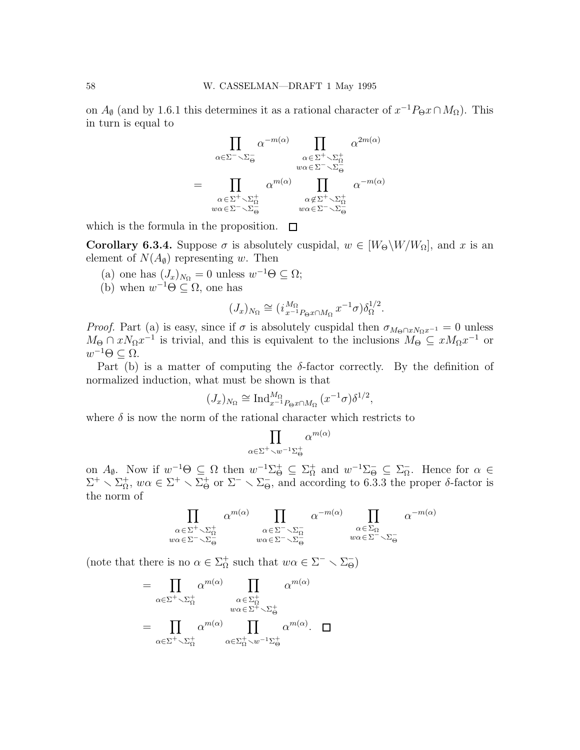on  $A_{\emptyset}$  (and by 1.6.1 this determines it as a rational character of  $x^{-1}P_{\Theta}x \cap M_{\Omega}$ ). This in turn is equal to

$$
\prod_{\alpha \in \Sigma^{-} \setminus \Sigma_{\Theta}^{-}} \alpha^{-m(\alpha)} \prod_{\alpha \in \Sigma^{+} \setminus \Sigma_{\Omega}^{+} \atop w\alpha \in \Sigma^{-} \setminus \Sigma_{\Theta}^{-}} \alpha^{2m(\alpha)}
$$
\n
$$
= \prod_{\substack{\alpha \in \Sigma^{+} \setminus \Sigma_{\Omega}^{+} \atop w\alpha \in \Sigma^{-} \setminus \Sigma_{\Theta}^{-}} \alpha^{-m(\alpha)} \atop w\alpha \in \Sigma^{-} \setminus \Sigma_{\Theta}^{+}} \alpha^{-m(\alpha)}
$$

which is the formula in the proposition.  $\square$ 

**Corollary 6.3.4.** Suppose  $\sigma$  is absolutely cuspidal,  $w \in [W_{\Theta} \backslash W / W_{\Omega}]$ , and x is an element of  $N(A_{\emptyset})$  representing w. Then

- (a) one has  $(J_x)_{N_{\Omega}} = 0$  unless  $w^{-1}\Theta \subseteq \Omega$ ;
- (b) when  $w^{-1}\Theta \subseteq \Omega$ , one has

$$
(J_x)_{N_{\Omega}} \cong (i_{x^{-1}P_{\Theta}x \cap M_{\Omega}}^{M_{\Omega}} x^{-1} \sigma) \delta_{\Omega}^{1/2}.
$$

*Proof.* Part (a) is easy, since if  $\sigma$  is absolutely cuspidal then  $\sigma_{M_{\Theta} \cap xN_{\Omega}x^{-1}} = 0$  unless  $M_{\Theta} \cap xN_{\Omega}x^{-1}$  is trivial, and this is equivalent to the inclusions  $M_{\Theta} \subseteq xM_{\Omega}x^{-1}$  or  $w^{-1}\Theta \subseteq \Omega$ .

Part (b) is a matter of computing the  $\delta$ -factor correctly. By the definition of normalized induction, what must be shown is that

$$
(J_x)_{N_{\Omega}} \cong \mathrm{Ind}_{x^{-1}P_{\Theta}x \cap M_{\Omega}}^{M_{\Omega}}(x^{-1}\sigma)\delta^{1/2},
$$

where  $\delta$  is now the norm of the rational character which restricts to

$$
\prod_{\alpha\in \Sigma^+\smallsetminus w^{-1}\Sigma^+_\Theta} \alpha^{m(\alpha)}
$$

on  $A_{\emptyset}$ . Now if  $w^{-1}\Theta \subseteq \Omega$  then  $w^{-1}\Sigma_{\Theta}^{+} \subseteq \Sigma_{\Omega}^{+}$  and  $w^{-1}\Sigma_{\Theta}^{-} \subseteq \Sigma_{\Omega}^{-}$ . Hence for  $\alpha \in$  $\Sigma^+ \setminus \Sigma_{\Omega}^+$ ,  $w\alpha \in \Sigma^+ \setminus \Sigma_{\Theta}^+$  or  $\Sigma^- \setminus \Sigma_{\Theta}^-$ , and according to 6.3.3 the proper  $\delta$ -factor is the norm of

$$
\prod_{\substack{\alpha \in \Sigma^{+} \setminus \Sigma_{\Omega}^{+} \\ w\alpha \in \Sigma^{-} \setminus \Sigma_{\Theta}^{-}}} \alpha^{m(\alpha)} \prod_{\substack{\alpha \in \Sigma^{-} \setminus \Sigma_{\Omega}^{-} \\ w\alpha \in \Sigma^{-} \setminus \Sigma_{\Theta}^{-}}} \alpha^{-m(\alpha)} \prod_{\substack{\alpha \in \Sigma_{\Omega} \\ w\alpha \in \Sigma^{-} \setminus \Sigma_{\Theta}^{-}}} \alpha^{-m(\alpha)}
$$

(note that there is no  $\alpha \in \Sigma_{\Omega}^+$  such that  $w\alpha \in \Sigma^- \setminus \Sigma_{\Theta}^-$ )

$$
= \prod_{\alpha \in \Sigma^{+} \setminus \Sigma_{\Omega}^{+}} \alpha^{m(\alpha)} \prod_{\alpha \in \Sigma_{\Omega}^{+} \setminus \Sigma_{\Theta}^{+}} \alpha^{m(\alpha)}
$$

$$
= \prod_{\alpha \in \Sigma^{+} \setminus \Sigma_{\Omega}^{+}} \alpha^{m(\alpha)} \prod_{\alpha \in \Sigma_{\Omega}^{+} \setminus w^{-1} \Sigma_{\Theta}^{+}} \alpha^{m(\alpha)}.
$$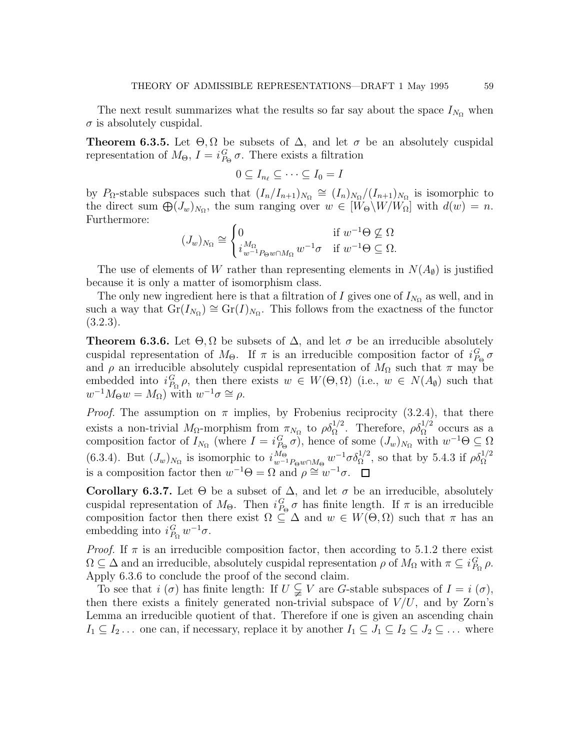The next result summarizes what the results so far say about the space  $I_{N_{\Omega}}$  when  $\sigma$  is absolutely cuspidal.

**Theorem 6.3.5.** Let  $\Theta, \Omega$  be subsets of  $\Delta$ , and let  $\sigma$  be an absolutely cuspidal representation of  $M_{\Theta}$ ,  $I = i_{P_{\Theta}}^G \sigma$ . There exists a filtration

$$
0\subseteq I_{n_\ell}\subseteq\cdots\subseteq I_0=I
$$

by P<sub>Ω</sub>-stable subspaces such that  $(I_n/I_{n+1})_{N_{\Omega}} \cong (I_n)_{N_{\Omega}}/(I_{n+1})_{N_{\Omega}}$  is isomorphic to the direct sum  $\bigoplus (J_w)_{N_\Omega}$ , the sum ranging over  $w \in [W_\Theta \backslash W/W_\Omega]$  with  $d(w) = n$ . Furthermore:

$$
(J_w)_{N_{\Omega}} \cong \begin{cases} 0 & \text{if } w^{-1}\Theta \nsubseteq \Omega \\ i_{w^{-1}P_{\Theta}w \cap M_{\Omega}}^{M_{\Omega}} w^{-1}\sigma & \text{if } w^{-1}\Theta \subseteq \Omega. \end{cases}
$$

The use of elements of W rather than representing elements in  $N(A_0)$  is justified because it is only a matter of isomorphism class.

The only new ingredient here is that a filtration of I gives one of  $I_{N_{\Omega}}$  as well, and in such a way that  $\text{Gr}(I_{N_{\Omega}}) \cong \text{Gr}(I)_{N_{\Omega}}$ . This follows from the exactness of the functor (3.2.3).

**Theorem 6.3.6.** Let  $\Theta, \Omega$  be subsets of  $\Delta$ , and let  $\sigma$  be an irreducible absolutely cuspidal representation of  $M_{\Theta}$ . If  $\pi$  is an irreducible composition factor of  $i_{P_{\Theta}}^G \sigma$ and  $\rho$  an irreducible absolutely cuspidal representation of  $M_{\Omega}$  such that  $\pi$  may be embedded into  $i_{P_{\Omega}}^G \rho$ , then there exists  $w \in W(\Theta, \Omega)$  (i.e.,  $w \in N(A_{\emptyset})$  such that  $w^{-1}M_{\Theta}w = M_{\Omega}$ ) with  $w^{-1}\sigma \cong \rho$ .

*Proof.* The assumption on  $\pi$  implies, by Frobenius reciprocity (3.2.4), that there exists a non-trivial  $M_{\Omega}$ -morphism from  $\pi_{N_{\Omega}}$  to  $\rho \delta_{\Omega}^{1/2}$ . Therefore,  $\rho \delta_{\Omega}^{1/2}$  occurs as a composition factor of  $I_{N_{\Omega}}$  (where  $I = i_{P_{\Theta}}^G \sigma$ ), hence of some  $(J_w)_{N_{\Omega}}$  with  $w^{-1}\Theta \subseteq \Omega$ (6.3.4). But  $(J_w)_{N_\Omega}$  is isomorphic to  $i_{w^{-1}P_{\Theta}w \cap M_{\Theta}}^{M_{\Theta}} w^{-1} \sigma \delta_{\Omega}^{1/2}$ , so that by 5.4.3 if  $\rho \delta_{\Omega}^{1/2}$ is a composition factor then  $w^{-1}\Theta = \Omega$  and  $\rho \cong w^{-1}\sigma$ .

Corollary 6.3.7. Let  $\Theta$  be a subset of  $\Delta$ , and let  $\sigma$  be an irreducible, absolutely cuspidal representation of  $M_{\Theta}$ . Then  $i_{P_{\Theta}}^G \sigma$  has finite length. If  $\pi$  is an irreducible composition factor then there exist  $\Omega \subseteq \Delta$  and  $w \in W(\Theta, \Omega)$  such that  $\pi$  has an embedding into  $i_{P_{\Omega}}^G w^{-1} \sigma$ .

*Proof.* If  $\pi$  is an irreducible composition factor, then according to 5.1.2 there exist  $\Omega \subseteq \Delta$  and an irreducible, absolutely cuspidal representation  $\rho$  of  $M_{\Omega}$  with  $\pi \subseteq i_{P_{\Omega}}^G \rho$ . Apply 6.3.6 to conclude the proof of the second claim.

To see that  $i(\sigma)$  has finite length: If  $U \subsetneq V$  are G-stable subspaces of  $I = i(\sigma)$ , then there exists a finitely generated non-trivial subspace of  $V/U$ , and by Zorn's Lemma an irreducible quotient of that. Therefore if one is given an ascending chain  $I_1 \subseteq I_2 \ldots$  one can, if necessary, replace it by another  $I_1 \subseteq J_1 \subseteq I_2 \subseteq J_2 \subseteq \ldots$  where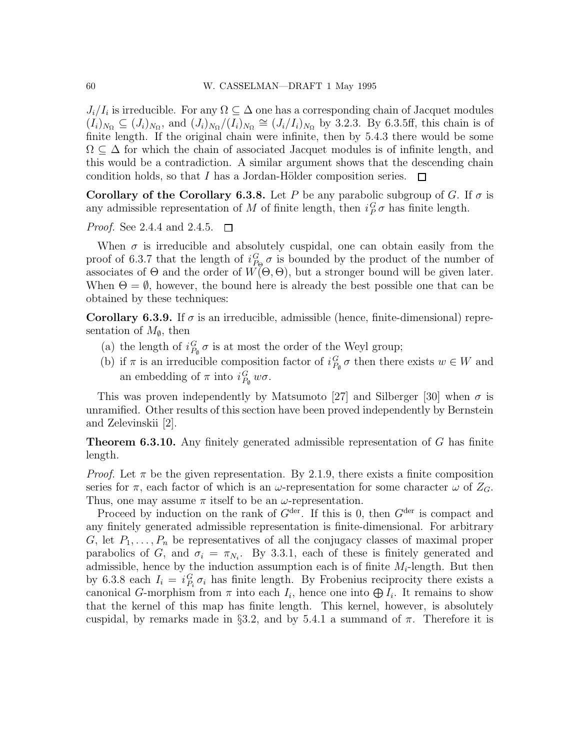$J_i/I_i$  is irreducible. For any  $\Omega \subseteq \Delta$  one has a corresponding chain of Jacquet modules  $(I_i)_{N_{\Omega}} \subseteq (J_i)_{N_{\Omega}}$ , and  $(J_i)_{N_{\Omega}}/(I_i)_{N_{\Omega}} \cong (J_i/I_i)_{N_{\Omega}}$  by 3.2.3. By 6.3.5ff, this chain is of finite length. If the original chain were infinite, then by 5.4.3 there would be some  $\Omega \subseteq \Delta$  for which the chain of associated Jacquet modules is of infinite length, and this would be a contradiction. A similar argument shows that the descending chain condition holds, so that I has a Jordan-Hölder composition series.  $\Box$ 

Corollary of the Corollary 6.3.8. Let P be any parabolic subgroup of G. If  $\sigma$  is any admissible representation of M of finite length, then  $i_P^G \sigma$  has finite length.

Proof. See 2.4.4 and 2.4.5.  $\Box$ 

When  $\sigma$  is irreducible and absolutely cuspidal, one can obtain easily from the proof of 6.3.7 that the length of  $i_{P_{\Theta}}^G \sigma$  is bounded by the product of the number of associates of  $\Theta$  and the order of  $W(\Theta, \Theta)$ , but a stronger bound will be given later. When  $\Theta = \emptyset$ , however, the bound here is already the best possible one that can be obtained by these techniques:

Corollary 6.3.9. If  $\sigma$  is an irreducible, admissible (hence, finite-dimensional) representation of  $M_{\emptyset}$ , then

- (a) the length of  $i_{P_{\emptyset}}^G \sigma$  is at most the order of the Weyl group;
- (b) if  $\pi$  is an irreducible composition factor of  $i_{P_{\phi}}^G \sigma$  then there exists  $w \in W$  and an embedding of  $\pi$  into  $i_{P_{\phi}}^{G} w \sigma$ .

This was proven independently by Matsumoto [27] and Silberger [30] when  $\sigma$  is unramified. Other results of this section have been proved independently by Bernstein and Zelevinskii [2].

Theorem 6.3.10. Any finitely generated admissible representation of G has finite length.

*Proof.* Let  $\pi$  be the given representation. By 2.1.9, there exists a finite composition series for  $\pi$ , each factor of which is an  $\omega$ -representation for some character  $\omega$  of  $Z_G$ . Thus, one may assume  $\pi$  itself to be an  $\omega$ -representation.

Proceed by induction on the rank of  $G^{\text{der}}$ . If this is 0, then  $G^{\text{der}}$  is compact and any finitely generated admissible representation is finite-dimensional. For arbitrary G, let  $P_1, \ldots, P_n$  be representatives of all the conjugacy classes of maximal proper parabolics of G, and  $\sigma_i = \pi_{N_i}$ . By 3.3.1, each of these is finitely generated and admissible, hence by the induction assumption each is of finite  $M_i$ -length. But then by 6.3.8 each  $I_i = i_{P_i}^G \sigma_i$  has finite length. By Frobenius reciprocity there exists a canonical G-morphism from  $\pi$  into each  $I_i$ , hence one into  $\bigoplus I_i$ . It remains to show that the kernel of this map has finite length. This kernel, however, is absolutely cuspidal, by remarks made in §3.2, and by 5.4.1 a summand of  $\pi$ . Therefore it is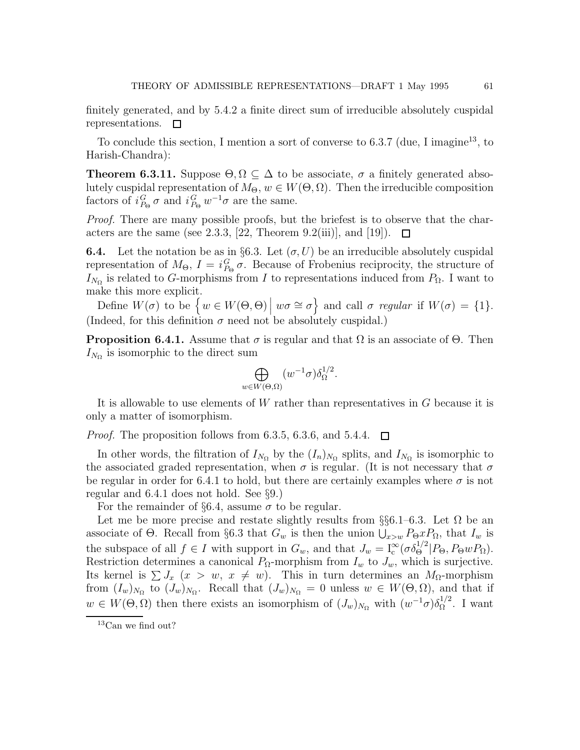finitely generated, and by 5.4.2 a finite direct sum of irreducible absolutely cuspidal representations.  $\square$ 

To conclude this section, I mention a sort of converse to 6.3.7 (due, I imagine<sup>13</sup>, to Harish-Chandra):

**Theorem 6.3.11.** Suppose  $\Theta, \Omega \subseteq \Delta$  to be associate,  $\sigma$  a finitely generated absolutely cuspidal representation of  $M_{\Theta}$ ,  $w \in W(\Theta, \Omega)$ . Then the irreducible composition factors of  $i_{P_{\Theta}}^G \sigma$  and  $i_{P_{\Theta}}^G w^{-1} \sigma$  are the same.

Proof. There are many possible proofs, but the briefest is to observe that the characters are the same (see 2.3.3, [22, Theorem 9.2(iii)], and [19]).  $\Box$ 

**6.4.** Let the notation be as in §6.3. Let  $(\sigma, U)$  be an irreducible absolutely cuspidal representation of  $M_{\Theta}$ ,  $I = i_{P_{\Theta}}^G \sigma$ . Because of Frobenius reciprocity, the structure of  $I_{N_{\Omega}}$  is related to G-morphisms from I to representations induced from  $P_{\Omega}$ . I want to make this more explicit.

Define  $W(\sigma)$  to be  $\{w \in W(\Theta, \Theta) \mid w\sigma \cong \sigma\}$  and call  $\sigma$  regular if  $W(\sigma) = \{1\}.$ (Indeed, for this definition  $\sigma$  need not be absolutely cuspidal.)

**Proposition 6.4.1.** Assume that  $\sigma$  is regular and that  $\Omega$  is an associate of  $\Theta$ . Then  $I_{N_{\Omega}}$  is isomorphic to the direct sum

$$
\bigoplus_{w \in W(\Theta,\Omega)} (w^{-1}\sigma)\delta_{\Omega}^{1/2}.
$$

It is allowable to use elements of W rather than representatives in G because it is only a matter of isomorphism.

*Proof.* The proposition follows from 6.3.5, 6.3.6, and 5.4.4.  $\Box$ 

In other words, the filtration of  $I_{N_{\Omega}}$  by the  $(I_n)_{N_{\Omega}}$  splits, and  $I_{N_{\Omega}}$  is isomorphic to the associated graded representation, when  $\sigma$  is regular. (It is not necessary that  $\sigma$ be regular in order for 6.4.1 to hold, but there are certainly examples where  $\sigma$  is not regular and 6.4.1 does not hold. See §9.)

For the remainder of §6.4, assume  $\sigma$  to be regular.

Let me be more precise and restate slightly results from §§6.1–6.3. Let  $\Omega$  be an associate of  $\Theta$ . Recall from §6.3 that  $G_w$  is then the union  $\bigcup_{x>w} P_{\Theta} x P_{\Omega}$ , that  $I_w$  is the subspace of all  $f \in I$  with support in  $G_w$ , and that  $J_w = I_c^{\infty}(\sigma \delta_{\Theta}^{1/2} | P_{\Theta}, P_{\Theta} w P_{\Omega})$ . Restriction determines a canonical  $P_{\Omega}$ -morphism from  $I_w$  to  $J_w$ , which is surjective. Its kernel is  $\sum J_x$   $(x > w, x \neq w)$ . This in turn determines an  $M_{\Omega}$ -morphism from  $(I_w)_{N_\Omega}$  to  $(J_w)_{N_\Omega}$ . Recall that  $(J_w)_{N_\Omega} = 0$  unless  $w \in W(\Theta, \Omega)$ , and that if  $w \in W(\Theta, \Omega)$  then there exists an isomorphism of  $(J_w)_{N_\Omega}$  with  $(w^{-1}\sigma)\delta_{\Omega}^{1/2}$ . I want

 $13$ Can we find out?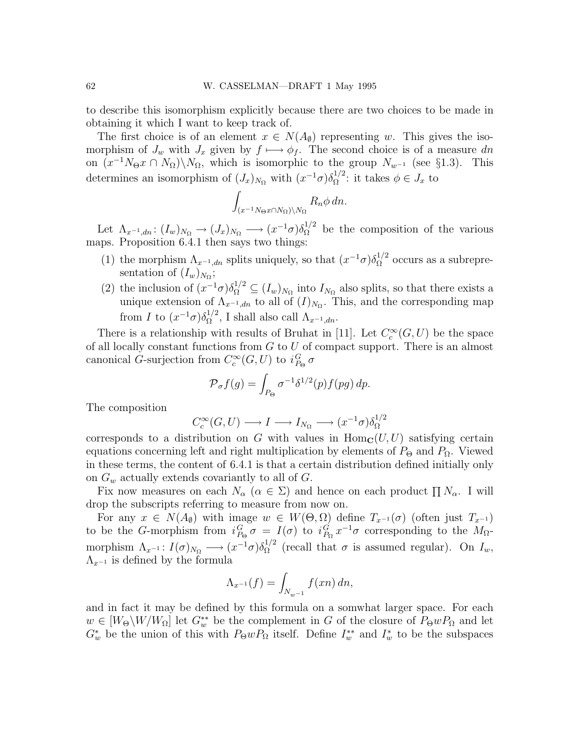to describe this isomorphism explicitly because there are two choices to be made in obtaining it which I want to keep track of.

The first choice is of an element  $x \in N(A_{\emptyset})$  representing w. This gives the isomorphism of  $J_w$  with  $J_x$  given by  $f \mapsto \phi_f$ . The second choice is of a measure dn on  $(x^{-1}N_{\Theta}x \cap N_{\Omega})\setminus N_{\Omega}$ , which is isomorphic to the group  $N_{w^{-1}}$  (see §1.3). This determines an isomorphism of  $(J_x)_{N_\Omega}$  with  $(x^{-1}\sigma)\delta_{\Omega}^{1/2}$ : it takes  $\phi \in J_x$  to

$$
\int_{(x^{-1}N_{\Theta}x\cap N_{\Omega})\backslash N_{\Omega}} R_n \phi \, dn.
$$

Let  $\Lambda_{x^{-1},dn}$ :  $(I_w)_{N_\Omega} \longrightarrow (J_x)_{N_\Omega} \longrightarrow (x^{-1}\sigma)\delta_{\Omega}^{1/2}$  be the composition of the various maps. Proposition 6.4.1 then says two things:

- (1) the morphism  $\Lambda_{x^{-1},dn}$  splits uniquely, so that  $(x^{-1}\sigma)\delta_{\Omega}^{1/2}$  occurs as a subrepresentation of  $(I_w)_{N_\Omega}$ ;
- (2) the inclusion of  $(x^{-1}\sigma)\delta_{\Omega}^{1/2} \subseteq (I_w)_{N_{\Omega}}$  into  $I_{N_{\Omega}}$  also splits, so that there exists a unique extension of  $\Lambda_{x^{-1},dn}$  to all of  $(I)_{N_{\Omega}}$ . This, and the corresponding map from I to  $(x^{-1}\sigma)\delta_{\Omega}^{1/2}$ , I shall also call  $\Lambda_{x^{-1},dn}$ .

There is a relationship with results of Bruhat in [11]. Let  $C_c^{\infty}(G, U)$  be the space of all locally constant functions from  $G$  to  $U$  of compact support. There is an almost canonical G-surjection from  $C_c^{\infty}(G, U)$  to  $i_{P_{\Theta}}^G \sigma$ 

$$
\mathcal{P}_{\sigma}f(g) = \int_{P_{\Theta}} \sigma^{-1} \delta^{1/2}(p) f(pg) dp.
$$

The composition

$$
C_c^{\infty}(G, U) \longrightarrow I \longrightarrow I_{N_{\Omega}} \longrightarrow (x^{-1}\sigma)\delta_{\Omega}^{1/2}
$$

corresponds to a distribution on G with values in  $\text{Hom}_{\mathbf{C}}(U, U)$  satisfying certain equations concerning left and right multiplication by elements of  $P_{\Theta}$  and  $P_{\Omega}$ . Viewed in these terms, the content of 6.4.1 is that a certain distribution defined initially only on  $G_w$  actually extends covariantly to all of  $G$ .

Fix now measures on each  $N_{\alpha}$  ( $\alpha \in \Sigma$ ) and hence on each product  $\prod N_{\alpha}$ . I will drop the subscripts referring to measure from now on.

For any  $x \in N(A_{\emptyset})$  with image  $w \in W(\Theta, \Omega)$  define  $T_{x^{-1}}(\sigma)$  (often just  $T_{x^{-1}}$ ) to be the G-morphism from  $i_{P_{\Theta}}^G \sigma = I(\sigma)$  to  $i_{P_{\Omega}}^G x^{-1} \sigma$  corresponding to the  $M_{\Omega}$ morphism  $\Lambda_{x^{-1}}: I(\sigma)_{N_{\Omega}} \longrightarrow (x^{-1}\sigma)\delta_{\Omega}^{1/2}$  (recall that  $\sigma$  is assumed regular). On  $I_w$ ,  $\Lambda_{x^{-1}}$  is defined by the formula

$$
\Lambda_{x^{-1}}(f) = \int_{N_{w^{-1}}} f(xn) \, dn,
$$

and in fact it may be defined by this formula on a somwhat larger space. For each  $w \in [W_\Theta \backslash W/W_\Omega]$  let  $G_w^{**}$  be the complement in G of the closure of  $P_\Theta w P_\Omega$  and let  $G_w^*$  be the union of this with  $P_{\Theta}wP_{\Omega}$  itself. Define  $I_w^{**}$  and  $I_w^*$  to be the subspaces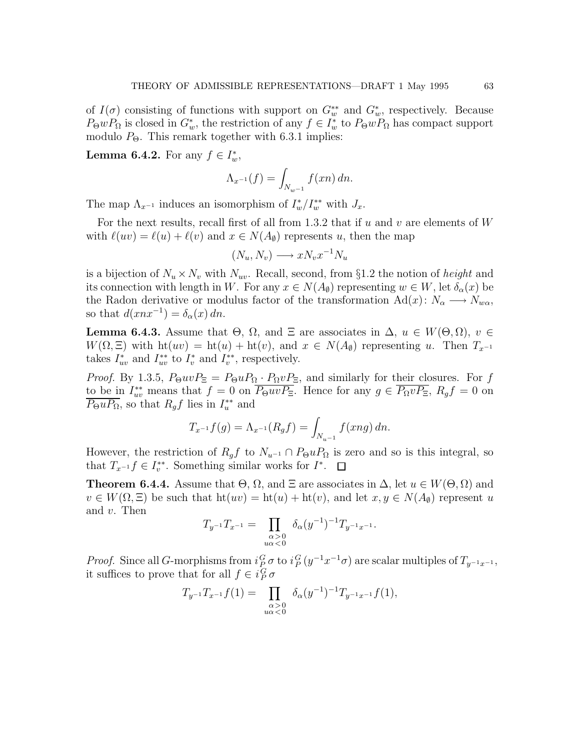of  $I(\sigma)$  consisting of functions with support on  $G_w^{**}$  and  $G_w^*$ , respectively. Because  $P_{\Theta}wP_{\Omega}$  is closed in  $G_w^*$ , the restriction of any  $f \in I_w^*$  to  $P_{\Theta}wP_{\Omega}$  has compact support modulo  $P_{\Theta}$ . This remark together with 6.3.1 implies:

**Lemma 6.4.2.** For any  $f \in I_w^*$ ,

$$
\Lambda_{x^{-1}}(f) = \int_{N_{w^{-1}}} f(xn) \, dn.
$$

The map  $\Lambda_{x^{-1}}$  induces an isomorphism of  $I_w^*/I_w^{**}$  with  $J_x$ .

For the next results, recall first of all from 1.3.2 that if  $u$  and  $v$  are elements of  $W$ with  $\ell(uv) = \ell(u) + \ell(v)$  and  $x \in N(A_{\emptyset})$  represents u, then the map

$$
(N_u, N_v) \longrightarrow xN_v x^{-1} N_u
$$

is a bijection of  $N_u \times N_v$  with  $N_{uv}$ . Recall, second, from §1.2 the notion of *height* and its connection with length in W. For any  $x \in N(A_{\emptyset})$  representing  $w \in W$ , let  $\delta_{\alpha}(x)$  be the Radon derivative or modulus factor of the transformation  $\text{Ad}(x) : N_\alpha \longrightarrow N_{w\alpha}$ , so that  $d(xnx^{-1}) = \delta_{\alpha}(x) dn$ .

**Lemma 6.4.3.** Assume that  $\Theta$ ,  $\Omega$ , and  $\Xi$  are associates in  $\Delta$ ,  $u \in W(\Theta, \Omega)$ ,  $v \in$  $W(\Omega, \Xi)$  with  $ht(uv) = ht(u) + ht(v)$ , and  $x \in N(A_{\emptyset})$  representing u. Then  $T_{x^{-1}}$ takes  $I_{uv}^*$  and  $I_{uv}^{**}$  to  $I_v^*$  and  $I_v^{**}$ , respectively.

*Proof.* By 1.3.5,  $P_{\Theta}uvP_{\Xi} = P_{\Theta}uP_{\Omega} \cdot P_{\Omega}vP_{\Xi}$ , and similarly for their closures. For f to be in  $I_{uv}^{**}$  means that  $f = 0$  on  $\overline{P_{\Theta}uvP_{\Xi}}$ . Hence for any  $g \in \overline{P_{\Omega}vP_{\Xi}}$ ,  $R_gf = 0$  on  $\overline{P_{\Theta}uP_{\Omega}}$ , so that  $R_gf$  lies in  $I_u^{**}$  and

$$
T_{x^{-1}}f(g) = \Lambda_{x^{-1}}(R_g f) = \int_{N_{u^{-1}}} f(xng) \, dn.
$$

However, the restriction of  $R_q f$  to  $N_{u^{-1}} \cap P_{\Theta} u P_{\Omega}$  is zero and so is this integral, so that  $T_{x^{-1}}f \in I_v^{**}$ . Something similar works for  $I^*$ .

**Theorem 6.4.4.** Assume that  $\Theta$ ,  $\Omega$ , and  $\Xi$  are associates in  $\Delta$ , let  $u \in W(\Theta, \Omega)$  and  $v \in W(\Omega, \Xi)$  be such that  $h(uv) = ht(u) + ht(v)$ , and let  $x, y \in N(A_0)$  represent u and v. Then

$$
T_{y^{-1}}T_{x^{-1}} = \prod_{\substack{\alpha > 0 \\ u\alpha < 0}} \delta_{\alpha}(y^{-1})^{-1}T_{y^{-1}x^{-1}}.
$$

*Proof.* Since all G-morphisms from  $i_P^G \sigma$  to  $i_P^G (y^{-1}x^{-1}\sigma)$  are scalar multiples of  $T_{y^{-1}x^{-1}}$ , it suffices to prove that for all  $f \in i_P^G \sigma$ 

$$
T_{y^{-1}}T_{x^{-1}}f(1) = \prod_{\substack{\alpha > 0 \\ u\alpha < 0}} \delta_{\alpha}(y^{-1})^{-1}T_{y^{-1}x^{-1}}f(1),
$$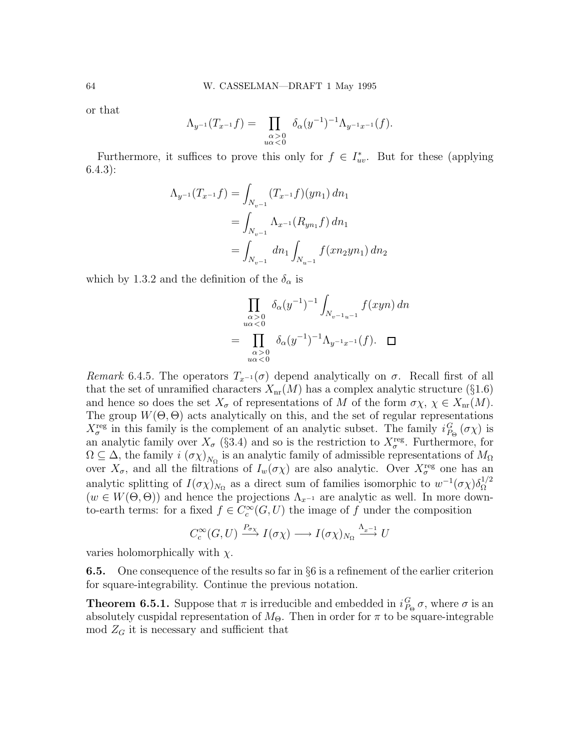or that

$$
\Lambda_{y^{-1}}(T_{x^{-1}}f) = \prod_{\substack{\alpha > 0 \\ u\alpha < 0}} \delta_{\alpha}(y^{-1})^{-1} \Lambda_{y^{-1}x^{-1}}(f).
$$

Furthermore, it suffices to prove this only for  $f \in I^*_{uv}$ . But for these (applying 6.4.3):

$$
\Lambda_{y^{-1}}(T_{x^{-1}}f) = \int_{N_{v^{-1}}} (T_{x^{-1}}f)(yn_1) dn_1
$$
  
= 
$$
\int_{N_{v^{-1}}} \Lambda_{x^{-1}}(R_{yn_1}f) dn_1
$$
  
= 
$$
\int_{N_{v^{-1}}} dn_1 \int_{N_{u^{-1}}} f(xn_2yn_1) dn_2
$$

which by 1.3.2 and the definition of the  $\delta_{\alpha}$  is

$$
\prod_{\substack{\alpha>0\\u\alpha<0}} \delta_{\alpha}(y^{-1})^{-1} \int_{N_{v^{-1}u^{-1}}} f(xyn) \, dn
$$
\n
$$
= \prod_{\substack{\alpha>0\\u\alpha<0}} \delta_{\alpha}(y^{-1})^{-1} \Lambda_{y^{-1}x^{-1}}(f). \quad \Box
$$

Remark 6.4.5. The operators  $T_{x^{-1}}(\sigma)$  depend analytically on  $\sigma$ . Recall first of all that the set of unramified characters  $X_{nr}(M)$  has a complex analytic structure (§1.6) and hence so does the set  $X_{\sigma}$  of representations of M of the form  $\sigma \chi, \chi \in X_{\text{nr}}(M)$ . The group  $W(\Theta, \Theta)$  acts analytically on this, and the set of regular representations  $X_{\sigma}^{\text{reg}}$  in this family is the complement of an analytic subset. The family  $i_{P_{\Theta}}^{G}(\sigma \chi)$  is an analytic family over  $X_{\sigma}$  (§3.4) and so is the restriction to  $X_{\sigma}^{\text{reg}}$ . Furthermore, for  $\Omega \subseteq \Delta$ , the family  $i(\sigma \chi)_{N_{\Omega}}$  is an analytic family of admissible representations of  $M_{\Omega}$ over  $X_{\sigma}$ , and all the filtrations of  $I_w(\sigma \chi)$  are also analytic. Over  $X_{\sigma}^{\text{reg}}$  one has an analytic splitting of  $I(\sigma\chi)_{N_\Omega}$  as a direct sum of families isomorphic to  $w^{-1}(\sigma\chi)\delta_\Omega^{1/2}$ Ω  $(w \in W(\Theta, \Theta))$  and hence the projections  $\Lambda_{x^{-1}}$  are analytic as well. In more downto-earth terms: for a fixed  $f \in C_c^{\infty}(G, U)$  the image of f under the composition

$$
C_c^{\infty}(G, U) \xrightarrow{P_{\sigma_X}} I(\sigma_X) \longrightarrow I(\sigma_X)_{N_{\Omega}} \xrightarrow{\Lambda_{x-1}} U
$$

varies holomorphically with  $\chi$ .

6.5. One consequence of the results so far in §6 is a refinement of the earlier criterion for square-integrability. Continue the previous notation.

**Theorem 6.5.1.** Suppose that  $\pi$  is irreducible and embedded in  $i_{P_{\Theta}}^G \sigma$ , where  $\sigma$  is an absolutely cuspidal representation of  $M_{\Theta}$ . Then in order for  $\pi$  to be square-integrable  $\mod Z_G$  it is necessary and sufficient that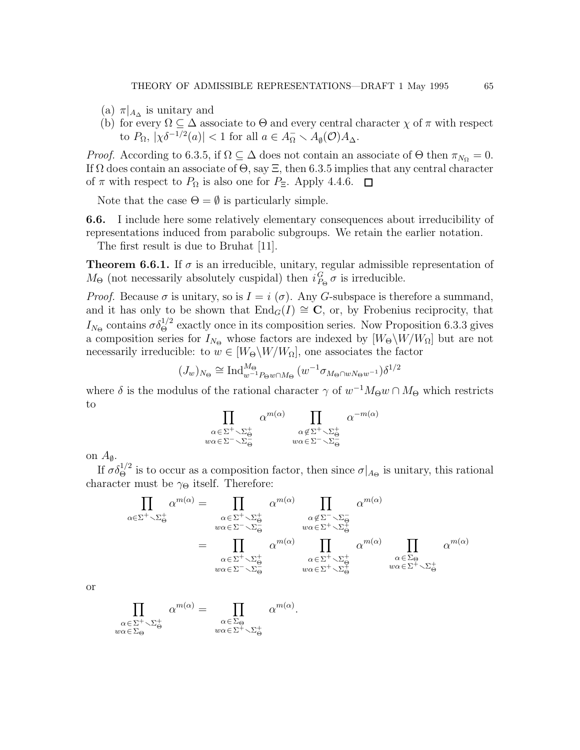- (a)  $\pi|_{A_{\Delta}}$  is unitary and
- (b) for every  $\Omega \subseteq \Delta$  associate to  $\Theta$  and every central character  $\chi$  of  $\pi$  with respect to  $P_{\Omega}$ ,  $|\chi \delta^{-1/2}(a)| < 1$  for all  $a \in A_{\Omega}^- \setminus A_{\emptyset}(\mathcal{O})A_{\Delta}$ .

*Proof.* According to 6.3.5, if  $\Omega \subseteq \Delta$  does not contain an associate of  $\Theta$  then  $\pi_{N_{\Omega}} = 0$ . If  $\Omega$  does contain an associate of  $\Theta$ , say  $\Xi$ , then 6.3.5 implies that any central character of  $\pi$  with respect to  $P_{\Omega}$  is also one for  $P_{\Xi}$ . Apply 4.4.6.  $\Box$ 

Note that the case  $\Theta = \emptyset$  is particularly simple.

6.6. I include here some relatively elementary consequences about irreducibility of representations induced from parabolic subgroups. We retain the earlier notation.

The first result is due to Bruhat [11].

**Theorem 6.6.1.** If  $\sigma$  is an irreducible, unitary, regular admissible representation of  $M_{\Theta}$  (not necessarily absolutely cuspidal) then  $i_{P_{\Theta}}^G \sigma$  is irreducible.

*Proof.* Because  $\sigma$  is unitary, so is  $I = i(\sigma)$ . Any G-subspace is therefore a summand, and it has only to be shown that  $\text{End}_G(I) \cong \mathbb{C}$ , or, by Frobenius reciprocity, that  $I_{N_{\Theta}}$  contains  $\sigma \delta_{\Theta}^{1/2}$  exactly once in its composition series. Now Proposition 6.3.3 gives a composition series for  $I_{N_{\Theta}}$  whose factors are indexed by  $[W_{\Theta}\backslash W/W_{\Omega}]$  but are not necessarily irreducible: to  $w \in [W_{\Theta} \backslash W / W_{\Omega}]$ , one associates the factor

$$
(J_w)_{N_{\Theta}} \cong \operatorname{Ind}_{w^{-1}P_{\Theta}w \cap M_{\Theta}}^{M_{\Theta}} (w^{-1} \sigma_{M_{\Theta} \cap wN_{\Theta}w^{-1}}) \delta^{1/2}
$$

where  $\delta$  is the modulus of the rational character  $\gamma$  of  $w^{-1}M_{\Theta}w \cap M_{\Theta}$  which restricts to

$$
\prod_{\substack{\alpha \in \Sigma^{+} \setminus \Sigma_{\Theta}^{+} \\ w\alpha \in \Sigma^{-} \setminus \Sigma_{\Theta}^{-}}} \alpha^{m(\alpha)} \prod_{\substack{\alpha \notin \Sigma^{+} \setminus \Sigma_{\Theta}^{+} \\ w\alpha \in \Sigma^{-} \setminus \Sigma_{\Theta}^{-}}} \alpha^{-m(\alpha)}
$$

on  $A_{\emptyset}$ .

If  $\sigma \delta_{\Theta}^{1/2}$  is to occur as a composition factor, then since  $\sigma|_{A_{\Theta}}$  is unitary, this rational character must be  $\gamma_{\Theta}$  itself. Therefore:

$$
\prod_{\alpha \in \Sigma^{+} \smallsetminus \Sigma_{\Theta}^{+}} \alpha^{m(\alpha)} = \prod_{\substack{\alpha \in \Sigma^{+} \smallsetminus \Sigma_{\Theta}^{+} \\ w\alpha \in \Sigma^{-} \smallsetminus \Sigma_{\Theta}^{-}}} \alpha^{m(\alpha)} \prod_{\substack{\alpha \notin \Sigma^{-} \smallsetminus \Sigma_{\Theta}^{-} \\ w\alpha \in \Sigma^{+} \smallsetminus \Sigma_{\Theta}^{+}}} \alpha^{m(\alpha)}
$$
\n
$$
= \prod_{\substack{\alpha \in \Sigma^{+} \smallsetminus \Sigma_{\Theta}^{+} \\ w\alpha \in \Sigma^{-} \smallsetminus \Sigma_{\Theta}^{-}}} \alpha^{m(\alpha)} \prod_{\substack{\alpha \in \Sigma^{+} \smallsetminus \Sigma_{\Theta}^{+} \\ w\alpha \in \Sigma^{+} \smallsetminus \Sigma_{\Theta}^{+}}} \alpha^{m(\alpha)} \prod_{\substack{\alpha \in \Sigma_{\Theta} \\ w\alpha \in \Sigma^{+} \smallsetminus \Sigma_{\Theta}^{+}}} \alpha^{m(\alpha)}
$$

or

$$
\prod_{\substack{\alpha \in \Sigma^+ \\ w\alpha \in \Sigma_{\Theta}}} \alpha^{m(\alpha)} = \prod_{\substack{\alpha \in \Sigma_{\Theta} \\ w\alpha \in \Sigma^+ \smallsetminus \Sigma_{\Theta}^+}} \alpha^{m(\alpha)}.
$$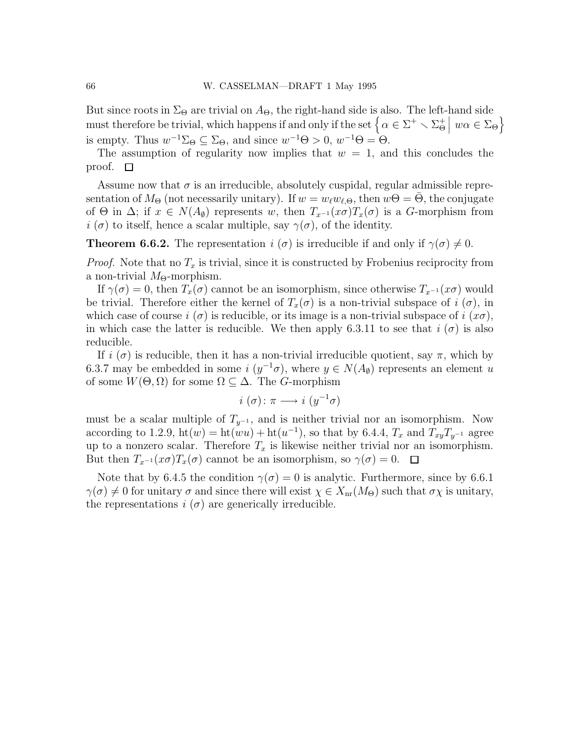But since roots in  $\Sigma_{\Theta}$  are trivial on  $A_{\Theta}$ , the right-hand side is also. The left-hand side must therefore be trivial, which happens if and only if the set  $\left\{ \alpha \in \Sigma^+ \setminus \Sigma^+_{\Theta} \right\}$  $\big| w\alpha \in \Sigma_{\Theta}\big\}$ is empty. Thus  $w^{-1}\Sigma_{\Theta} \subseteq \Sigma_{\Theta}$ , and since  $w^{-1}\Theta > 0$ ,  $w^{-1}\Theta = \Theta$ .

The assumption of regularity now implies that  $w = 1$ , and this concludes the proof.  $\square$ 

Assume now that  $\sigma$  is an irreducible, absolutely cuspidal, regular admissible representation of  $M_{\Theta}$  (not necessarily unitary). If  $w = w_{\ell}w_{\ell,\Theta}$ , then  $w\Theta = \Theta$ , the conjugate of  $\Theta$  in  $\Delta$ ; if  $x \in N(A_{\emptyset})$  represents w, then  $T_{x^{-1}}(x\sigma)T_x(\sigma)$  is a G-morphism from  $i(\sigma)$  to itself, hence a scalar multiple, say  $\gamma(\sigma)$ , of the identity.

**Theorem 6.6.2.** The representation  $i(\sigma)$  is irreducible if and only if  $\gamma(\sigma) \neq 0$ .

*Proof.* Note that no  $T_x$  is trivial, since it is constructed by Frobenius reciprocity from a non-trivial  $M_{\Theta}$ -morphism.

If  $\gamma(\sigma) = 0$ , then  $T_x(\sigma)$  cannot be an isomorphism, since otherwise  $T_{x^{-1}}(x\sigma)$  would be trivial. Therefore either the kernel of  $T_x(\sigma)$  is a non-trivial subspace of  $i(\sigma)$ , in which case of course  $i(\sigma)$  is reducible, or its image is a non-trivial subspace of  $i(\sigma)$ , in which case the latter is reducible. We then apply 6.3.11 to see that  $i(\sigma)$  is also reducible.

If  $i(\sigma)$  is reducible, then it has a non-trivial irreducible quotient, say  $\pi$ , which by 6.3.7 may be embedded in some  $i \ (y^{-1} \sigma)$ , where  $y \in N(A_{\emptyset})$  represents an element u of some  $W(\Theta, \Omega)$  for some  $\Omega \subset \Delta$ . The *G*-morphism

$$
i(\sigma) \colon \pi \longrightarrow i(y^{-1}\sigma)
$$

must be a scalar multiple of  $T_{y^{-1}}$ , and is neither trivial nor an isomorphism. Now according to 1.2.9,  $\text{ht}(w) = \text{ht}(wu) + \text{ht}(u^{-1})$ , so that by 6.4.4,  $T_x$  and  $T_{xy}T_{y^{-1}}$  agree up to a nonzero scalar. Therefore  $T_x$  is likewise neither trivial nor an isomorphism. But then  $T_{x^{-1}}(x\sigma)T_x(\sigma)$  cannot be an isomorphism, so  $\gamma(\sigma)=0$ .  $\Box$ 

Note that by 6.4.5 the condition  $\gamma(\sigma) = 0$  is analytic. Furthermore, since by 6.6.1  $\gamma(\sigma) \neq 0$  for unitary  $\sigma$  and since there will exist  $\chi \in X_{\text{nr}}(M_{\Theta})$  such that  $\sigma \chi$  is unitary, the representations  $i(\sigma)$  are generically irreducible.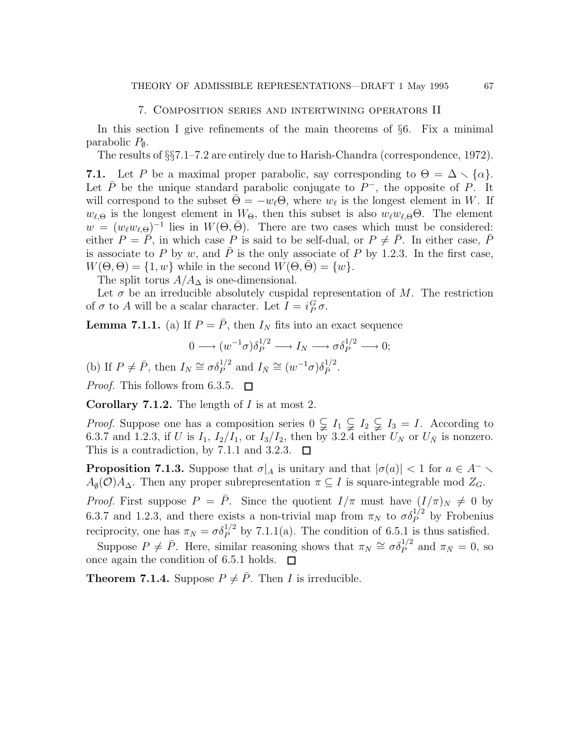### 7. Composition series and intertwining operators II

In this section I give refinements of the main theorems of §6. Fix a minimal parabolic  $P_{\emptyset}$ .

The results of §§7.1–7.2 are entirely due to Harish-Chandra (correspondence, 1972).

7.1. Let P be a maximal proper parabolic, say corresponding to  $\Theta = \Delta \setminus {\{\alpha\}}$ . Let  $\bar{P}$  be the unique standard parabolic conjugate to  $P^-$ , the opposite of P. It will correspond to the subset  $\bar{\Theta} = -w_{\ell} \Theta$ , where  $w_{\ell}$  is the longest element in W. If  $w_{\ell,\Theta}$  is the longest element in  $W_{\Theta}$ , then this subset is also  $w_{\ell}w_{\ell,\Theta}\Theta$ . The element  $w = (w_\ell w_{\ell,\Theta})^{-1}$  lies in  $W(\Theta,\bar{\Theta})$ . There are two cases which must be considered: either  $P = \overline{P}$ , in which case P is said to be self-dual, or  $P \neq \overline{P}$ . In either case,  $\overline{P}$ is associate to P by w, and  $\overline{P}$  is the only associate of P by 1.2.3. In the first case,  $W(\Theta, \Theta) = \{1, w\}$  while in the second  $W(\Theta, \overline{\Theta}) = \{w\}.$ 

The split torus  $A/A_{\Delta}$  is one-dimensional.

Let  $\sigma$  be an irreducible absolutely cuspidal representation of M. The restriction of  $\sigma$  to A will be a scalar character. Let  $I = i_P^G \sigma$ .

**Lemma 7.1.1.** (a) If  $P = \overline{P}$ , then  $I_N$  fits into an exact sequence

$$
0 \longrightarrow (w^{-1}\sigma)\delta_P^{1/2} \longrightarrow I_N \longrightarrow \sigma \delta_P^{1/2} \longrightarrow 0;
$$

(b) If  $P \neq \overline{P}$ , then  $I_N \cong \sigma \delta_P^{1/2}$  and  $I_{\overline{N}} \cong (w^{-1}\sigma) \delta_{\overline{P}}^{1/2}$ . *Proof.* This follows from 6.3.5.  $\Box$ 

**Corollary 7.1.2.** The length of  $I$  is at most 2.

*Proof.* Suppose one has a composition series  $0 \subsetneq I_1 \subsetneq I_2 \subsetneq I_3 = I$ . According to 6.3.7 and 1.2.3, if U is  $I_1$ ,  $I_2/I_1$ , or  $I_3/I_2$ , then by 3.2.4 either  $U_N$  or  $U_N$  is nonzero. This is a contradiction, by 7.1.1 and 3.2.3.  $\Box$ 

**Proposition 7.1.3.** Suppose that  $\sigma|_A$  is unitary and that  $|\sigma(a)| < 1$  for  $a \in A^ A_{\emptyset}(\mathcal{O})A_{\Delta}$ . Then any proper subrepresentation  $\pi \subseteq I$  is square-integrable mod  $Z_G$ .

*Proof.* First suppose  $P = \overline{P}$ . Since the quotient  $I/\pi$  must have  $(I/\pi)_N \neq 0$  by 6.3.7 and 1.2.3, and there exists a non-trivial map from  $\pi_N$  to  $\sigma \delta_P^{1/2}$  by Frobenius reciprocity, one has  $\pi_N = \sigma \delta_P^{1/2}$  by 7.1.1(a). The condition of 6.5.1 is thus satisfied.

Suppose  $P \neq \overline{P}$ . Here, similar reasoning shows that  $\pi_N \cong \sigma \delta_P^{1/2}$  and  $\pi_{\overline{N}} = 0$ , so once again the condition of 6.5.1 holds.  $\Box$ 

**Theorem 7.1.4.** Suppose  $P \neq \overline{P}$ . Then *I* is irreducible.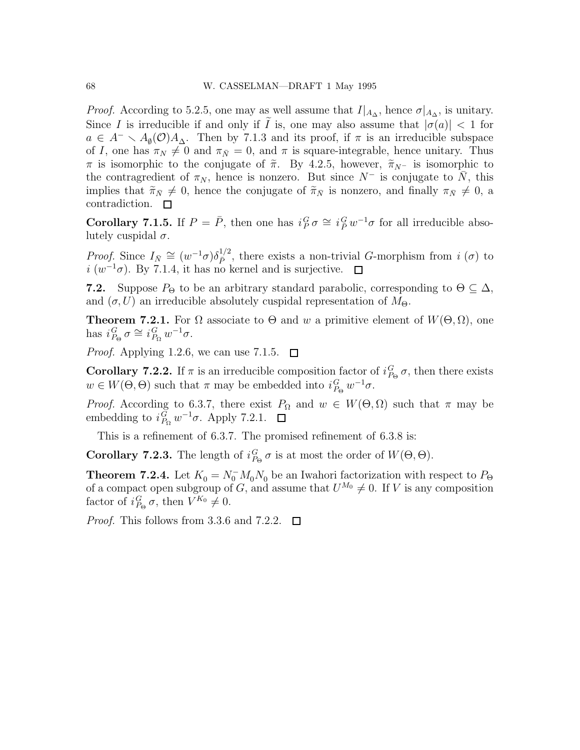*Proof.* According to 5.2.5, one may as well assume that  $I|_{A_{\Delta}}$ , hence  $\sigma|_{A_{\Delta}}$ , is unitary. Since I is irreducible if and only if I is, one may also assume that  $|\sigma(a)| < 1$  for  $a \in A^- \setminus A_{\emptyset}(\mathcal{O})A_{\Delta}$ . Then by 7.1.3 and its proof, if  $\pi$  is an irreducible subspace of I, one has  $\pi_N \neq 0$  and  $\pi_{\bar{N}} = 0$ , and  $\pi$  is square-integrable, hence unitary. Thus π is isomorphic to the conjugate of  $\tilde{\pi}$ . By 4.2.5, however,  $\tilde{\pi}_{N-}$  is isomorphic to the contragredient of  $\pi_N$ , hence is nonzero. But since  $N^-$  is conjugate to N, this implies that  $\tilde{\pi}_{\bar{N}} \neq 0$ , hence the conjugate of  $\tilde{\pi}_{\bar{N}}$  is nonzero, and finally  $\pi_{\bar{N}} \neq 0$ , a contradiction.  $\Box$ 

**Corollary 7.1.5.** If  $P = \overline{P}$ , then one has  $i_P^G \sigma \cong i_P^G w^{-1} \sigma$  for all irreducible absolutely cuspidal  $\sigma$ .

*Proof.* Since  $I_{\bar{N}} \cong (w^{-1}\sigma)\delta_{\bar{P}}^{1/2}$ , there exists a non-trivial G-morphism from  $i(\sigma)$  to  $i (w^{-1}\sigma)$ . By 7.1.4, it has no kernel and is surjective.

**7.2.** Suppose  $P_{\Theta}$  to be an arbitrary standard parabolic, corresponding to  $\Theta \subseteq \Delta$ , and  $(\sigma, U)$  an irreducible absolutely cuspidal representation of  $M_{\Theta}$ .

**Theorem 7.2.1.** For  $\Omega$  associate to  $\Theta$  and w a primitive element of  $W(\Theta, \Omega)$ , one has  $i_{P_{\Theta}}^G \sigma \cong i_{P_{\Omega}}^G w^{-1} \sigma$ .

*Proof.* Applying 1.2.6, we can use 7.1.5.  $\Box$ 

**Corollary 7.2.2.** If  $\pi$  is an irreducible composition factor of  $i_{P_{\Theta}}^G \sigma$ , then there exists  $w \in W(\Theta, \Theta)$  such that  $\pi$  may be embedded into  $i_{P_{\Theta}}^G w^{-1} \sigma$ .

*Proof.* According to 6.3.7, there exist  $P_{\Omega}$  and  $w \in W(\Theta, \Omega)$  such that  $\pi$  may be embedding to  $i_{P_{\Omega}}^G w^{-1} \sigma$ . Apply 7.2.1.

This is a refinement of 6.3.7. The promised refinement of 6.3.8 is:

**Corollary 7.2.3.** The length of  $i_{P_{\Theta}}^G \sigma$  is at most the order of  $W(\Theta, \Theta)$ .

**Theorem 7.2.4.** Let  $K_0 = N_0^- M_0 N_0$  be an Iwahori factorization with respect to  $P_{\Theta}$ of a compact open subgroup of G, and assume that  $U^{M_0} \neq 0$ . If V is any composition factor of  $i_{P_{\Theta}}^G \sigma$ , then  $V^{K_0} \neq 0$ .

*Proof.* This follows from 3.3.6 and 7.2.2.  $\Box$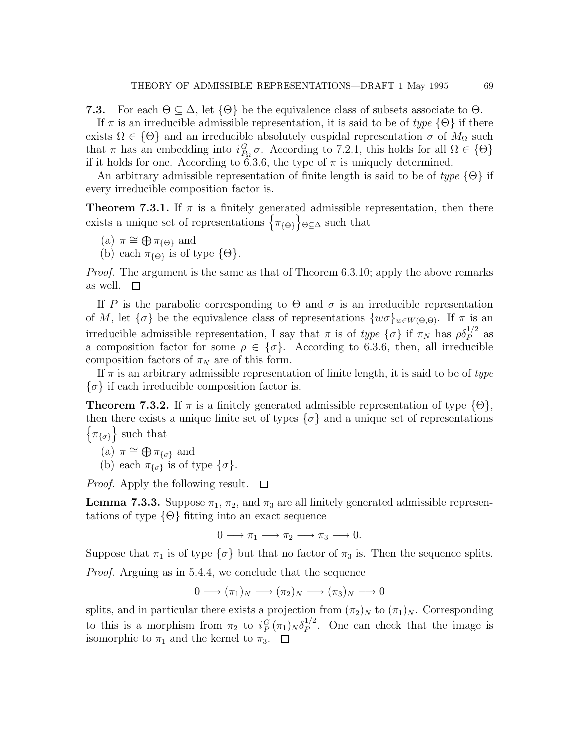**7.3.** For each  $\Theta \subseteq \Delta$ , let  $\{\Theta\}$  be the equivalence class of subsets associate to  $\Theta$ .

If  $\pi$  is an irreducible admissible representation, it is said to be of type  $\{\Theta\}$  if there exists  $\Omega \in \{\Theta\}$  and an irreducible absolutely cuspidal representation  $\sigma$  of  $M_{\Omega}$  such that  $\pi$  has an embedding into  $i_{P_{\Omega}}^G \sigma$ . According to 7.2.1, this holds for all  $\Omega \in \{\Theta\}$ if it holds for one. According to 6.3.6, the type of  $\pi$  is uniquely determined.

An arbitrary admissible representation of finite length is said to be of type  $\{\Theta\}$  if every irreducible composition factor is.

**Theorem 7.3.1.** If  $\pi$  is a finitely generated admissible representation, then there exists a unique set of representations  $\{\pi_{\{\Theta\}}\}_{\Theta \subseteq \Delta}$  such that

(a) 
$$
\pi \cong \bigoplus \pi_{\{\Theta\}}
$$
 and

(b) each  $\pi_{\{\Theta\}}$  is of type  $\{\Theta\}.$ 

*Proof.* The argument is the same as that of Theorem 6.3.10; apply the above remarks as well.  $\square$ 

If P is the parabolic corresponding to  $\Theta$  and  $\sigma$  is an irreducible representation of M, let  $\{\sigma\}$  be the equivalence class of representations  $\{w\sigma\}_{w\in W(\Theta,\Theta)}$ . If  $\pi$  is an irreducible admissible representation, I say that  $\pi$  is of type  $\{\sigma\}$  if  $\pi_N$  has  $\rho \delta_P^{1/2}$  as a composition factor for some  $\rho \in \{\sigma\}$ . According to 6.3.6, then, all irreducible composition factors of  $\pi_N$  are of this form.

If  $\pi$  is an arbitrary admissible representation of finite length, it is said to be of type  $\{\sigma\}$  if each irreducible composition factor is.

**Theorem 7.3.2.** If  $\pi$  is a finitely generated admissible representation of type  $\{\Theta\}$ , then there exists a unique finite set of types  $\{\sigma\}$  and a unique set of representations  $\{\pi_{\{\sigma\}}\}$  such that

(a) 
$$
\pi \cong \bigoplus \pi_{\{\sigma\}}
$$
 and

(b) each  $\pi_{\{\sigma\}}$  is of type  $\{\sigma\}.$ 

*Proof.* Apply the following result.  $\Box$ 

**Lemma 7.3.3.** Suppose  $\pi_1$ ,  $\pi_2$ , and  $\pi_3$  are all finitely generated admissible representations of type  $\{\Theta\}$  fitting into an exact sequence

$$
0 \longrightarrow \pi_1 \longrightarrow \pi_2 \longrightarrow \pi_3 \longrightarrow 0.
$$

Suppose that  $\pi_1$  is of type  $\{\sigma\}$  but that no factor of  $\pi_3$  is. Then the sequence splits. Proof. Arguing as in 5.4.4, we conclude that the sequence

$$
0 \longrightarrow (\pi_1)_N \longrightarrow (\pi_2)_N \longrightarrow (\pi_3)_N \longrightarrow 0
$$

splits, and in particular there exists a projection from  $(\pi_2)_N$  to  $(\pi_1)_N$ . Corresponding to this is a morphism from  $\pi_2$  to  $i_P^G(\pi_1)_N \delta_P^{1/2}$  $P^{\frac{1}{2}}$ . One can check that the image is isomorphic to  $\pi_1$  and the kernel to  $\pi_3$ .  $\Box$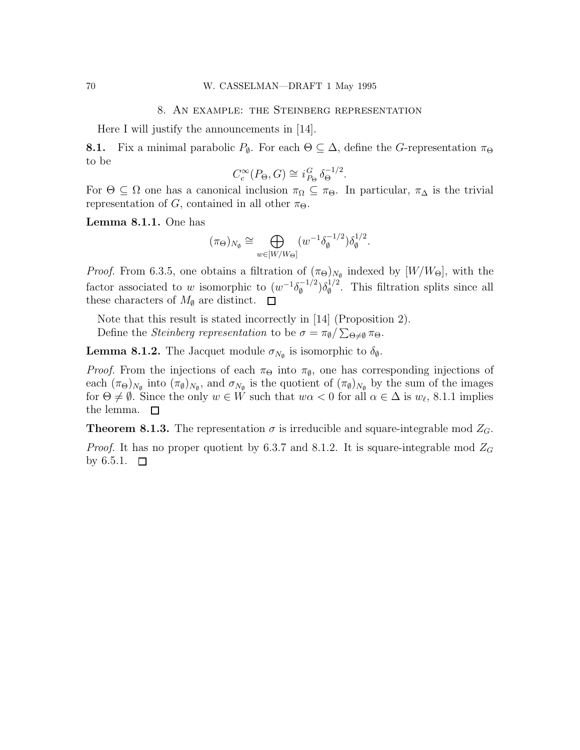## 8. An example: the Steinberg representation

Here I will justify the announcements in [14].

**8.1.** Fix a minimal parabolic  $P_{\emptyset}$ . For each  $\Theta \subseteq \Delta$ , define the G-representation  $\pi_{\Theta}$ to be

$$
C_c^{\infty}(P_{\Theta}, G) \cong i_{P_{\Theta}}^G \delta_{\Theta}^{-1/2}.
$$

For  $\Theta \subseteq \Omega$  one has a canonical inclusion  $\pi_{\Omega} \subseteq \pi_{\Theta}$ . In particular,  $\pi_{\Delta}$  is the trivial representation of G, contained in all other  $\pi_{\Theta}$ .

Lemma 8.1.1. One has

$$
(\pi_{\Theta})_{N_{\emptyset}} \cong \bigoplus_{w \in [W/W_{\Theta}]} (w^{-1} \delta_{\emptyset}^{-1/2}) \delta_{\emptyset}^{1/2}.
$$

*Proof.* From 6.3.5, one obtains a filtration of  $(\pi_{\Theta})_{N_{\emptyset}}$  indexed by  $[W/W_{\Theta}]$ , with the factor associated to w isomorphic to  $(w^{-1}\delta_{\emptyset}^{-1/2})$  $\binom{1/2}{\emptyset} \delta_{\emptyset}^{1/2}$  $\int_{\phi}^{1/2}$ . This filtration splits since all these characters of  $M_{\emptyset}$  are distinct.  $\square$ 

Note that this result is stated incorrectly in [14] (Proposition 2). Define the *Steinberg representation* to be  $\sigma = \pi_{\emptyset} / \sum_{\Theta \neq \emptyset} \pi_{\Theta}$ .

**Lemma 8.1.2.** The Jacquet module  $\sigma_{N_{\phi}}$  is isomorphic to  $\delta_{\theta}$ .

*Proof.* From the injections of each  $\pi_{\Theta}$  into  $\pi_{\emptyset}$ , one has corresponding injections of each  $(\pi_{\Theta})_{N_{\emptyset}}$  into  $(\pi_{\emptyset})_{N_{\emptyset}}$ , and  $\sigma_{N_{\emptyset}}$  is the quotient of  $(\pi_{\emptyset})_{N_{\emptyset}}$  by the sum of the images for  $\Theta \neq \emptyset$ . Since the only  $w \in W$  such that  $w\alpha < 0$  for all  $\alpha \in \Delta$  is  $w_{\ell}$ , 8.1.1 implies the lemma.  $\square$ 

**Theorem 8.1.3.** The representation  $\sigma$  is irreducible and square-integrable mod  $Z_G$ .

*Proof.* It has no proper quotient by 6.3.7 and 8.1.2. It is square-integrable mod  $Z_G$ by 6.5.1.  $\Box$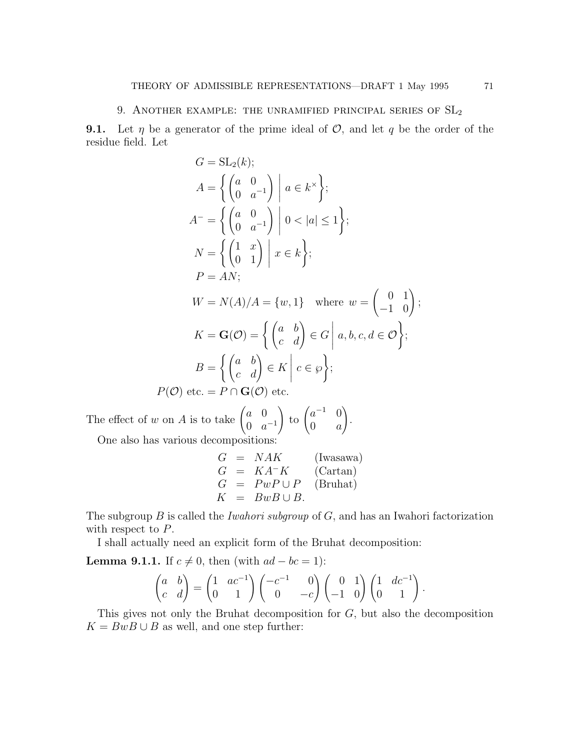### 9. ANOTHER EXAMPLE: THE UNRAMIFIED PRINCIPAL SERIES OF  $SL_2$

**9.1.** Let  $\eta$  be a generator of the prime ideal of  $\mathcal{O}$ , and let  $q$  be the order of the residue field. Let

$$
G = SL_2(k);
$$
  
\n
$$
A = \left\{ \begin{pmatrix} a & 0 \\ 0 & a^{-1} \end{pmatrix} \middle| a \in k^{\times} \right\};
$$
  
\n
$$
A^{-} = \left\{ \begin{pmatrix} a & 0 \\ 0 & a^{-1} \end{pmatrix} \middle| 0 < |a| \le 1 \right\};
$$
  
\n
$$
N = \left\{ \begin{pmatrix} 1 & x \\ 0 & 1 \end{pmatrix} \middle| x \in k \right\};
$$
  
\n
$$
P = AN;
$$
  
\n
$$
W = N(A)/A = \{w, 1\} \text{ where } w = \begin{pmatrix} 0 & 1 \\ -1 & 0 \end{pmatrix};
$$
  
\n
$$
K = G(O) = \left\{ \begin{pmatrix} a & b \\ c & d \end{pmatrix} \in G \middle| a, b, c, d \in O \right\};
$$
  
\n
$$
B = \left\{ \begin{pmatrix} a & b \\ c & d \end{pmatrix} \in K \middle| c \in \wp \right\};
$$
  
\n
$$
P(O) \text{ etc.} = P \cap G(O) \text{ etc.}
$$

The effect of w on A is to take  $\begin{pmatrix} a & 0 \\ 0 & a \end{pmatrix}$ 0  $a^{-1}$  $\int$  to  $\begin{pmatrix} a^{-1} & 0 \\ 0 & a \end{pmatrix}$  $0 \quad a$  $\setminus$ . One also has various decompositions:

$$
G = NAK
$$
 (Iwasawa)  
\n
$$
G = K A^{-} K
$$
 (Cartan)  
\n
$$
G = P w P \cup P
$$
 (Bruhat)  
\n
$$
K = B w B \cup B.
$$

The subgroup  $B$  is called the *Iwahori subgroup* of  $G$ , and has an Iwahori factorization with respect to  $P$ .

I shall actually need an explicit form of the Bruhat decomposition:

**Lemma 9.1.1.** If  $c \neq 0$ , then (with  $ad - bc = 1$ ):

$$
\begin{pmatrix} a & b \ c & d \end{pmatrix} = \begin{pmatrix} 1 & ac^{-1} \ 0 & 1 \end{pmatrix} \begin{pmatrix} -c^{-1} & 0 \ 0 & -c \end{pmatrix} \begin{pmatrix} 0 & 1 \ -1 & 0 \end{pmatrix} \begin{pmatrix} 1 & dc^{-1} \ 0 & 1 \end{pmatrix}.
$$

This gives not only the Bruhat decomposition for G, but also the decomposition  $K = BwB \cup B$  as well, and one step further: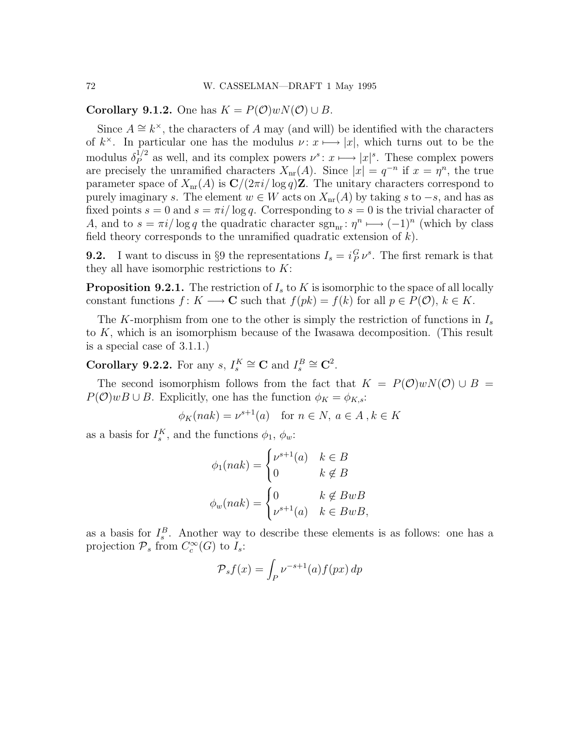Corollary 9.1.2. One has  $K = P(\mathcal{O})wN(\mathcal{O}) \cup B$ .

Since  $A \cong k^{\times}$ , the characters of A may (and will) be identified with the characters of  $k^{\times}$ . In particular one has the modulus  $\nu: x \mapsto |x|$ , which turns out to be the modulus  $\delta_P^{1/2}$  as well, and its complex powers  $\nu^s: x \longmapsto |x|^s$ . These complex powers are precisely the unramified characters  $X_{nr}(A)$ . Since  $|x| = q^{-n}$  if  $x = \eta^n$ , the true parameter space of  $X_{\text{nr}}(A)$  is  $\mathbb{C}/(2\pi i/\log q)\mathbb{Z}$ . The unitary characters correspond to purely imaginary s. The element  $w \in W$  acts on  $X_{nr}(A)$  by taking s to  $-s$ , and has as fixed points  $s = 0$  and  $s = \pi i / \log q$ . Corresponding to  $s = 0$  is the trivial character of A, and to  $s = \pi i / \log q$  the quadratic character  $sgn_{nr} : \eta^n \longmapsto (-1)^n$  (which by class field theory corresponds to the unramified quadratic extension of  $k$ ).

**9.2.** I want to discuss in §9 the representations  $I_s = i_P^G \nu^s$ . The first remark is that they all have isomorphic restrictions to  $K$ :

**Proposition 9.2.1.** The restriction of  $I<sub>s</sub>$  to K is isomorphic to the space of all locally constant functions  $f: K \longrightarrow \mathbf{C}$  such that  $f(pk) = f(k)$  for all  $p \in P(\mathcal{O}), k \in K$ .

The K-morphism from one to the other is simply the restriction of functions in  $I_s$ to K, which is an isomorphism because of the Iwasawa decomposition. (This result is a special case of 3.1.1.)

**Corollary 9.2.2.** For any  $s, I_s^K \cong \mathbf{C}$  and  $I_s^B \cong \mathbf{C}^2$ .

The second isomorphism follows from the fact that  $K = P(\mathcal{O})\omega N(\mathcal{O}) \cup B =$  $P(\mathcal{O})wB \cup B$ . Explicitly, one has the function  $\phi_K = \phi_{K,s}$ :

$$
\phi_K(nak) = \nu^{s+1}(a) \quad \text{for } n \in N, \ a \in A \,, k \in K
$$

as a basis for  $I_s^K$ , and the functions  $\phi_1$ ,  $\phi_w$ :

$$
\phi_1(nak) = \begin{cases} \nu^{s+1}(a) & k \in B \\ 0 & k \notin B \end{cases}
$$

$$
\phi_w(nak) = \begin{cases} 0 & k \notin BwB \\ \nu^{s+1}(a) & k \in BwB, \end{cases}
$$

as a basis for  $I_s^B$ . Another way to describe these elements is as follows: one has a projection  $\mathcal{P}_s$  from  $C_c^{\infty}(G)$  to  $I_s$ :

$$
\mathcal{P}_s f(x) = \int_P \nu^{-s+1}(a) f(px) \, dp
$$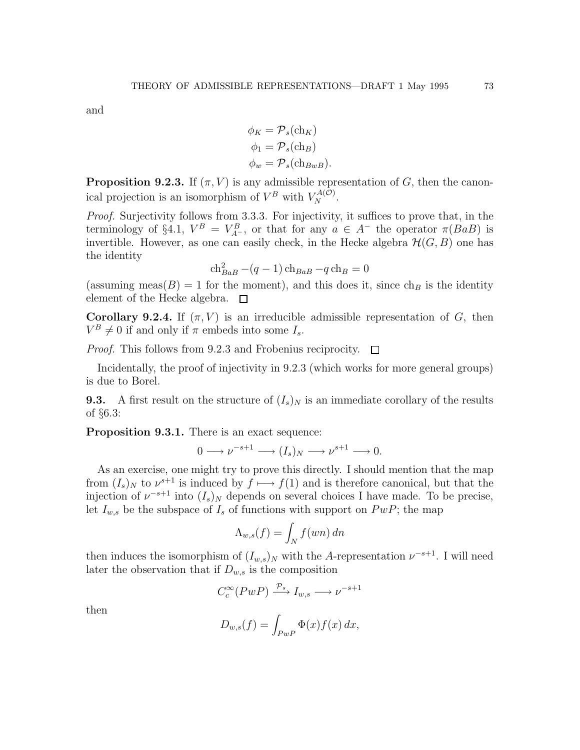and

$$
\phi_K = \mathcal{P}_s(\text{ch}_K)
$$
  
\n
$$
\phi_1 = \mathcal{P}_s(\text{ch}_B)
$$
  
\n
$$
\phi_w = \mathcal{P}_s(\text{ch}_{BwB}).
$$

**Proposition 9.2.3.** If  $(\pi, V)$  is any admissible representation of G, then the canonical projection is an isomorphism of  $V^B$  with  $V_N^{A(O)}$ .

Proof. Surjectivity follows from 3.3.3. For injectivity, it suffices to prove that, in the terminology of §4.1,  $V^B = V_{A^-}^B$ , or that for any  $a \in A^-$  the operator  $\pi(BaB)$  is invertible. However, as one can easily check, in the Hecke algebra  $\mathcal{H}(G, B)$  one has the identity

$$
\mathrm{ch}_{BaB}^2 - (q-1)\,\mathrm{ch}_{BaB} - q\,\mathrm{ch}_B = 0
$$

(assuming meas( $B$ ) = 1 for the moment), and this does it, since  $ch_B$  is the identity element of the Hecke algebra.  $\square$ 

Corollary 9.2.4. If  $(\pi, V)$  is an irreducible admissible representation of G, then  $V^B \neq 0$  if and only if  $\pi$  embeds into some  $I_s$ .

*Proof.* This follows from 9.2.3 and Frobenius reciprocity.  $\Box$ 

Incidentally, the proof of injectivity in 9.2.3 (which works for more general groups) is due to Borel.

**9.3.** A first result on the structure of  $(I_s)_N$  is an immediate corollary of the results of §6.3:

Proposition 9.3.1. There is an exact sequence:

$$
0 \longrightarrow \nu^{-s+1} \longrightarrow (I_s)_N \longrightarrow \nu^{s+1} \longrightarrow 0.
$$

As an exercise, one might try to prove this directly. I should mention that the map from  $(I_s)_N$  to  $\nu^{s+1}$  is induced by  $f \mapsto f(1)$  and is therefore canonical, but that the injection of  $\nu^{-s+1}$  into  $(I_s)_N$  depends on several choices I have made. To be precise, let  $I_{w,s}$  be the subspace of  $I_s$  of functions with support on  $PwP$ ; the map

$$
\Lambda_{w,s}(f) = \int_N f(wn) \, dn
$$

then induces the isomorphism of  $(I_{w,s})_N$  with the A-representation  $\nu^{-s+1}$ . I will need later the observation that if  $D_{w,s}$  is the composition

$$
C_c^{\infty}(PwP) \xrightarrow{\mathcal{P}_s} I_{w,s} \longrightarrow \nu^{-s+1}
$$

then

$$
D_{w,s}(f) = \int_{PwP} \Phi(x) f(x) \, dx,
$$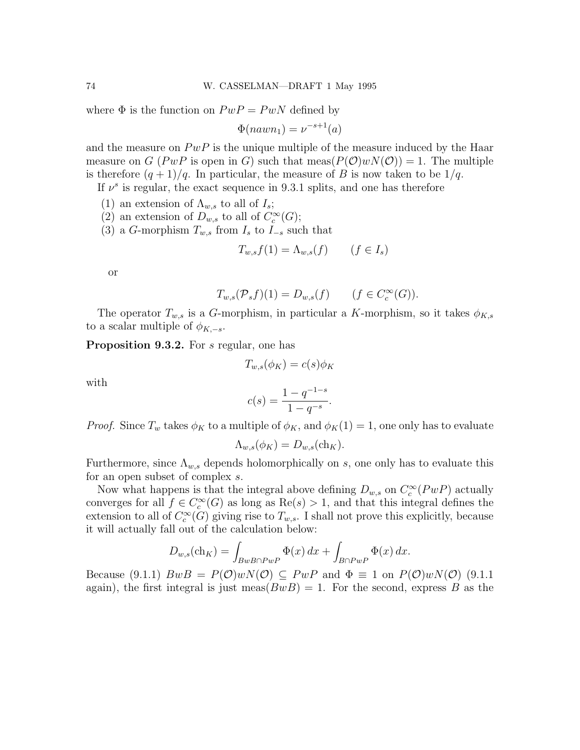where  $\Phi$  is the function on  $PwP = PwN$  defined by

$$
\Phi(nawn_1) = \nu^{-s+1}(a)
$$

and the measure on  $PwP$  is the unique multiple of the measure induced by the Haar measure on G (PwP is open in G) such that  $meas(P(\mathcal{O})wN(\mathcal{O})) = 1$ . The multiple is therefore  $(q + 1)/q$ . In particular, the measure of B is now taken to be  $1/q$ .

If  $\nu^s$  is regular, the exact sequence in 9.3.1 splits, and one has therefore

- (1) an extension of  $\Lambda_{w,s}$  to all of  $I_s$ ;
- (2) an extension of  $D_{w,s}$  to all of  $C_c^{\infty}(G)$ ;
- (3) a G-morphism  $T_{w,s}$  from  $I_s$  to  $I_{-s}$  such that

$$
T_{w,s}f(1) = \Lambda_{w,s}(f) \qquad (f \in I_s)
$$

or

$$
T_{w,s}(\mathcal{P}_s f)(1) = D_{w,s}(f) \qquad (f \in C_c^{\infty}(G)).
$$

The operator  $T_{w,s}$  is a G-morphism, in particular a K-morphism, so it takes  $\phi_{K,s}$ to a scalar multiple of  $\phi_{K,-s}$ .

Proposition 9.3.2. For s regular, one has

$$
T_{w,s}(\phi_K) = c(s)\phi_K
$$

with

$$
c(s) = \frac{1 - q^{-1-s}}{1 - q^{-s}}.
$$

*Proof.* Since  $T_w$  takes  $\phi_K$  to a multiple of  $\phi_K$ , and  $\phi_K(1) = 1$ , one only has to evaluate

$$
\Lambda_{w,s}(\phi_K) = D_{w,s}(\ch_K).
$$

Furthermore, since  $\Lambda_{w,s}$  depends holomorphically on s, one only has to evaluate this for an open subset of complex s.

Now what happens is that the integral above defining  $D_{w,s}$  on  $C_c^{\infty}(PwP)$  actually converges for all  $f \in C_c^{\infty}(G)$  as long as  $\text{Re}(s) > 1$ , and that this integral defines the extension to all of  $C_c^{\infty}(G)$  giving rise to  $T_{w,s}$ . I shall not prove this explicitly, because it will actually fall out of the calculation below:

$$
D_{w,s}(\mathrm{ch}_K) = \int_{BwB \cap PwP} \Phi(x) \, dx + \int_{B \cap PwP} \Phi(x) \, dx.
$$

Because (9.1.1)  $BwB = P(\mathcal{O})wN(\mathcal{O}) \subseteq PwP$  and  $\Phi \equiv 1$  on  $P(\mathcal{O})wN(\mathcal{O})$  (9.1.1) again), the first integral is just meas( $BwB$ ) = 1. For the second, express B as the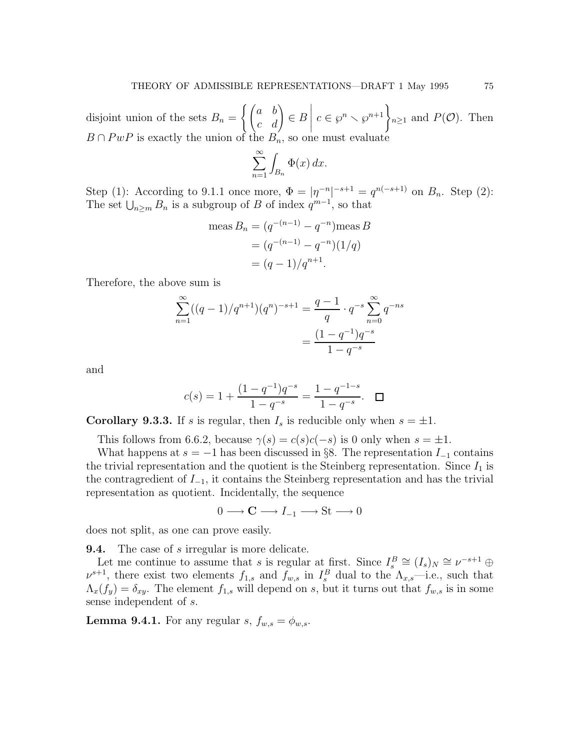disjoint union of the sets  $B_n =$  $\left\{ \begin{pmatrix} a & b \\ c & d \end{pmatrix} \in B \right.$  $\begin{array}{c} \begin{array}{c} \begin{array}{c} \end{array} \\ \begin{array}{c} \end{array} \end{array} \end{array}$  $c \in \wp^n \setminus \wp^{n+1}\Big\}_{n\geq 1}$  and  $P(\mathcal{O})$ . Then  $B \cap P\omega P$  is exactly the union of the  $B_n$ , so one must evaluate

$$
\sum_{n=1}^{\infty} \int_{B_n} \Phi(x) \, dx.
$$

Step (1): According to 9.1.1 once more,  $\Phi = |\eta^{-n}|^{-s+1} = q^{n(-s+1)}$  on  $B_n$ . Step (2): The set  $\bigcup_{n\geq m} B_n$  is a subgroup of B of index  $q^{m-1}$ , so that

meas 
$$
B_n = (q^{-(n-1)} - q^{-n})
$$
meas  $B$   
=  $(q^{-(n-1)} - q^{-n})(1/q)$   
=  $(q - 1)/q^{n+1}$ .

Therefore, the above sum is

$$
\sum_{n=1}^{\infty} ((q-1)/q^{n+1})(q^n)^{-s+1} = \frac{q-1}{q} \cdot q^{-s} \sum_{n=0}^{\infty} q^{-ns}
$$

$$
= \frac{(1-q^{-1})q^{-s}}{1-q^{-s}}
$$

and

$$
c(s) = 1 + \frac{(1 - q^{-1})q^{-s}}{1 - q^{-s}} = \frac{1 - q^{-1-s}}{1 - q^{-s}}.\quad \Box
$$

**Corollary 9.3.3.** If s is regular, then  $I_s$  is reducible only when  $s = \pm 1$ .

This follows from 6.6.2, because  $\gamma(s) = c(s)c(-s)$  is 0 only when  $s = \pm 1$ .

What happens at  $s = -1$  has been discussed in §8. The representation  $I_{-1}$  contains the trivial representation and the quotient is the Steinberg representation. Since  $I_1$  is the contragredient of  $I_{-1}$ , it contains the Steinberg representation and has the trivial representation as quotient. Incidentally, the sequence

 $0 \longrightarrow \mathbf{C} \longrightarrow I_{-1} \longrightarrow \mathrm{St} \longrightarrow 0$ 

does not split, as one can prove easily.

**9.4.** The case of s irregular is more delicate.

Let me continue to assume that s is regular at first. Since  $I_s^B \cong (I_s)_N \cong \nu^{-s+1} \oplus$  $\nu^{s+1}$ , there exist two elements  $f_{1,s}$  and  $f_{w,s}$  in  $I_s^B$  dual to the  $\Lambda_{x,s}$ —i.e., such that  $\Lambda_x(f_y) = \delta_{xy}$ . The element  $f_{1,s}$  will depend on s, but it turns out that  $f_{w,s}$  is in some sense independent of s.

**Lemma 9.4.1.** For any regular s,  $f_{w,s} = \phi_{w,s}$ .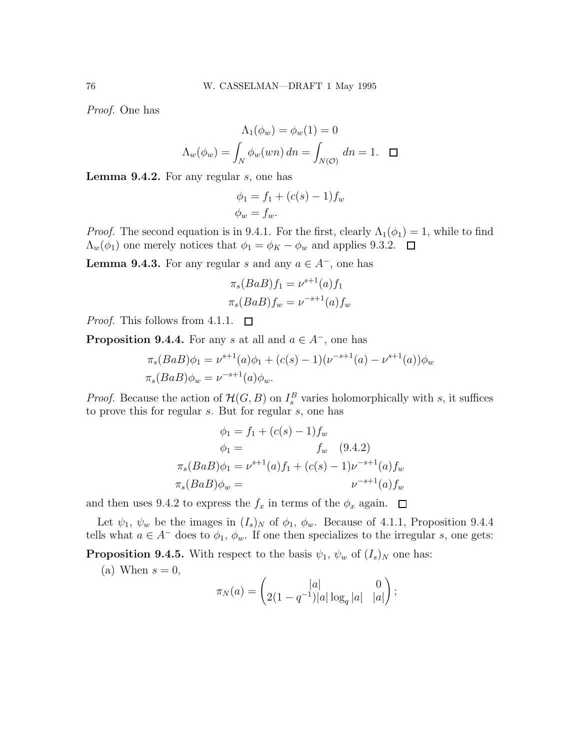Proof. One has

$$
\Lambda_1(\phi_w) = \phi_w(1) = 0
$$
  

$$
\Lambda_w(\phi_w) = \int_N \phi_w(wn) \, dn = \int_{N(\mathcal{O})} dn = 1. \quad \Box
$$

Lemma 9.4.2. For any regular s, one has

$$
\phi_1 = f_1 + (c(s) - 1)f_w
$$
  

$$
\phi_w = f_w.
$$

*Proof.* The second equation is in 9.4.1. For the first, clearly  $\Lambda_1(\phi_1) = 1$ , while to find  $\Lambda_w(\phi_1)$  one merely notices that  $\phi_1 = \phi_K - \phi_w$  and applies 9.3.2.  $\Box$ 

**Lemma 9.4.3.** For any regular s and any  $a \in A^-$ , one has

$$
\pi_s(BaB)f_1 = \nu^{s+1}(a)f_1
$$
  

$$
\pi_s(BaB)f_w = \nu^{-s+1}(a)f_w
$$

*Proof.* This follows from 4.1.1.  $\Box$ 

**Proposition 9.4.4.** For any s at all and  $a \in A^-$ , one has

$$
\pi_s(BaB)\phi_1 = \nu^{s+1}(a)\phi_1 + (c(s)-1)(\nu^{-s+1}(a) - \nu^{s+1}(a))\phi_w
$$
  

$$
\pi_s(BaB)\phi_w = \nu^{-s+1}(a)\phi_w.
$$

*Proof.* Because the action of  $\mathcal{H}(G, B)$  on  $I_s^B$  varies holomorphically with s, it suffices to prove this for regular s. But for regular s, one has

$$
\phi_1 = f_1 + (c(s) - 1)f_w
$$
  

$$
\phi_1 = f_w \quad (9.4.2)
$$
  

$$
\pi_s(BaB)\phi_1 = \nu^{s+1}(a)f_1 + (c(s) - 1)\nu^{-s+1}(a)f_w
$$
  

$$
\pi_s(BaB)\phi_w = \nu^{-s+1}(a)f_w
$$

and then uses 9.4.2 to express the  $f_x$  in terms of the  $\phi_x$  again.  $\Box$ 

Let  $\psi_1$ ,  $\psi_w$  be the images in  $(I_s)_N$  of  $\phi_1$ ,  $\phi_w$ . Because of 4.1.1, Proposition 9.4.4 tells what  $a \in A^-$  does to  $\phi_1$ ,  $\phi_w$ . If one then specializes to the irregular s, one gets:

**Proposition 9.4.5.** With respect to the basis  $\psi_1$ ,  $\psi_w$  of  $(I_s)_N$  one has:

(a) When  $s = 0$ ,

$$
\pi_N(a) = \begin{pmatrix} |a| & 0 \\ 2(1 - q^{-1})|a| \log_q |a| & |a| \end{pmatrix};
$$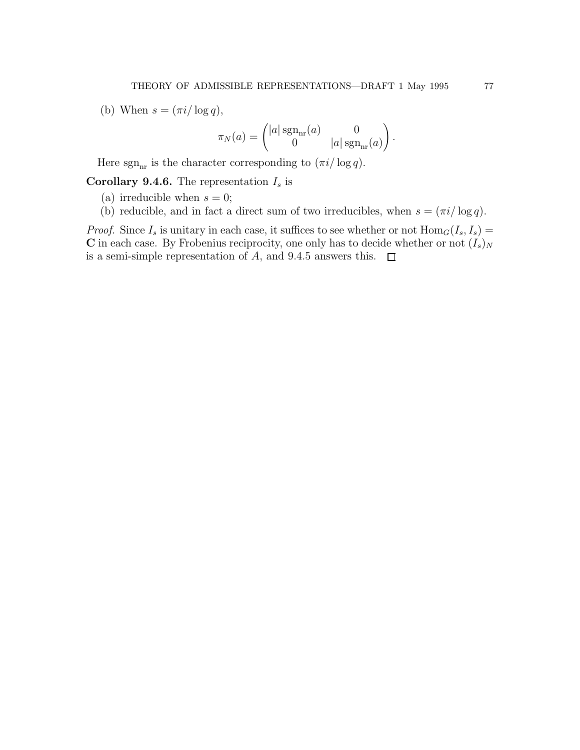(b) When  $s = (\pi i / \log q)$ ,

$$
\pi_N(a) = \begin{pmatrix} |a| \operatorname{sgn}_{\rm nr}(a) & 0 \\ 0 & |a| \operatorname{sgn}_{\rm nr}(a) \end{pmatrix}.
$$

Here sgn<sub>nr</sub> is the character corresponding to  $(\pi i / \log q)$ .

**Corollary 9.4.6.** The representation  $I_s$  is

(a) irreducible when  $s = 0$ ;

(b) reducible, and in fact a direct sum of two irreducibles, when  $s = \frac{\pi i}{\log q}$ .

*Proof.* Since  $I_s$  is unitary in each case, it suffices to see whether or not  $\text{Hom}_G(I_s, I_s)$  = C in each case. By Frobenius reciprocity, one only has to decide whether or not  $(I_s)_N$ is a semi-simple representation of A, and 9.4.5 answers this.  $\Box$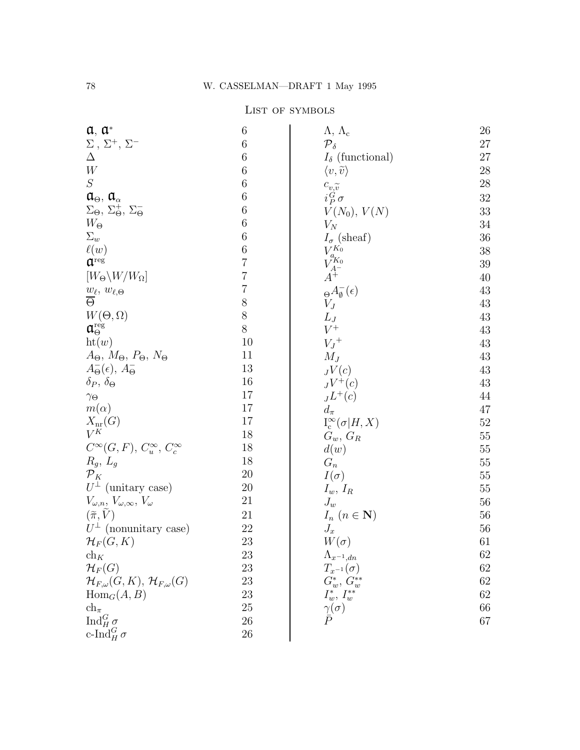## LIST OF SYMBOLS

| $a, a^*$                                                    | 6              | $\Lambda$ , $\Lambda_c$                | 26     |
|-------------------------------------------------------------|----------------|----------------------------------------|--------|
| $\Sigma$ , $\Sigma^{+}$ , $\Sigma^{-}$                      | $\,6$          | ${\cal P}_\delta$                      | 27     |
| $\Delta$                                                    | 6              | $I_{\delta}$ (functional)              | 27     |
| $\ensuremath{W}$                                            | 6              | $\langle v,\tilde{v}\rangle$           | $28\,$ |
| ${\cal S}$                                                  | $\,6$          | $c_{v,\widetilde{v}}$                  | $28\,$ |
| $\mathfrak{a}_{\Theta}$ , $\mathfrak{a}_{\alpha}$           | 6              | $i_P^G \sigma$                         | $32\,$ |
| $\Sigma_{\Theta}, \Sigma_{\Theta}^{+}, \Sigma_{\Theta}^{-}$ | 6              | $V(N_0), V(N)$                         | $33\,$ |
| $W_{\Theta}$                                                | $\,6$          | $V_N$                                  | $34\,$ |
| $\Sigma_w$                                                  | $\,6$          | $I_{\sigma}$ (sheaf)                   | $36\,$ |
| $\ell(w)$                                                   | $\,6$          |                                        | $38\,$ |
| $\mathfrak{a}^{\text{reg}}$                                 | $\overline{7}$ | $V_{a_{K_0}}^{K_0}$<br>$V_{A^-}^{K_0}$ | $39\,$ |
| $[W_{\Theta}\backslash W/W_{\Omega}]$                       | $\overline{7}$ | $\ddot{A^+}$                           | $40\,$ |
| $\frac{w_{\ell},\ w_{\ell,\Theta}}{\Theta}$                 | $\overline{7}$ | $\Theta A_{\emptyset}^{-}(\epsilon)$   | 43     |
|                                                             | $8\,$          | $V_J$                                  | 43     |
| $W(\Theta,\Omega)$                                          | $8\,$          | $L_J$                                  | 43     |
| $\mathfrak{a}_\Theta^{\mathrm{reg}}$                        | $8\,$          | $V^+$                                  | 43     |
| $\mathrm{ht}(w)$                                            | 10             | $V_J^+$                                | 43     |
| $A_{\Theta}$ , $M_{\Theta}$ , $P_{\Theta}$ , $N_{\Theta}$   | 11             | $M_J$                                  | 43     |
| $A_{\Theta}^{-}(\epsilon), A_{\Theta}^{-}$                  | 13             | $_{J}V(c)$                             | 43     |
| $\delta_P, \, \delta_\Theta$                                | 16             | $JV^+(c)$                              | $43\,$ |
| $\gamma_\Theta$                                             | 17             | $J^+(c)$                               | 44     |
| $m(\alpha)$                                                 | 17             | $d_{\pi}$                              | 47     |
| $X_{\text{nr}}(G)$                                          | 17             | $I_c^{\infty}(\sigma H,X)$             | $52\,$ |
| $V^{\overrightarrow{K}}$                                    | 18             | $G_w, G_R$                             | $55\,$ |
| $C^{\infty}(G, F), C^{\infty}_u, C^{\infty}_c$              | 18             | d(w)                                   | $55\,$ |
| $R_g, L_g$                                                  | 18             | $\mathcal{G}_n$                        | $55\,$ |
| ${\cal P}_K$                                                | 20             | $I(\sigma)$                            | $55\,$ |
| $U^{\perp}$ (unitary case)                                  | 20             | $I_w, I_R$                             | $55\,$ |
| $V_{\omega,n}, V_{\omega,\infty}, V_{\omega}$               | 21             | $J_w$                                  | $56\,$ |
| $(\widetilde{\pi},\widetilde{V})$                           | 21             | $I_n$ $(n \in \mathbf{N})$             | $56\,$ |
| $U^{\perp}$ (nonunitary case)                               | 22             | $J_x$                                  | $56\,$ |
| $\mathcal{H}_F(G,K)$                                        | 23             | $W(\sigma)$                            | $61\,$ |
| $\operatorname{ch}_K$                                       | 23             | $\Lambda_{x^{-1},dn}$                  | 62     |
| $\mathcal{H}_F(G)$                                          | 23             | $T_{x^{-1}}(\sigma)$                   | 62     |
| $\mathcal{H}_{F,\omega}(G,K),\,\mathcal{H}_{F,\omega}(G)$   | 23             | $G_w^*, G_w^{**}$                      | $62\,$ |
| $\text{Hom}_G(A, B)$                                        | 23             | $I^*_w, I^{**}_w$                      | 62     |
| $ch_{\pi}$                                                  | 25             | $\frac{\gamma(\sigma)}{\bar{P}}$       | 66     |
| $\operatorname{Ind}_H^G \sigma$                             | 26             |                                        | 67     |
| c-Ind $_G^G \sigma$                                         | 26             |                                        |        |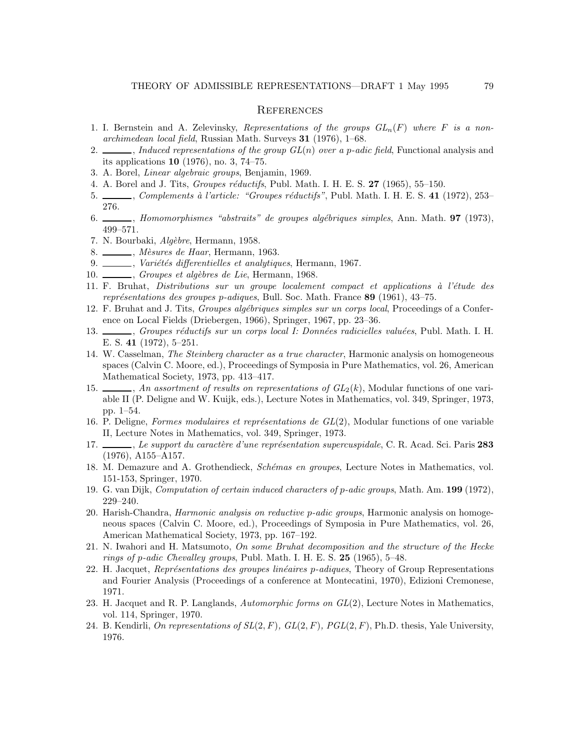## **REFERENCES**

- 1. I. Bernstein and A. Zelevinsky, Representations of the groups  $GL_n(F)$  where F is a nonarchimedean local field, Russian Math. Surveys 31 (1976), 1–68.
- 2.  $\ldots$ , Induced representations of the group  $GL(n)$  over a p-adic field, Functional analysis and its applications 10 (1976), no. 3, 74–75.
- 3. A. Borel, Linear algebraic groups, Benjamin, 1969.
- 4. A. Borel and J. Tits, *Groupes réductifs*, Publ. Math. I. H. E. S.  $27$  (1965), 55–150.
- 5. Complements à l'article: "Groupes réductifs", Publ. Math. I. H. E. S. 41 (1972), 253– 276.
- 6. , Homomorphismes "abstraits" de groupes algébriques simples, Ann. Math. 97 (1973), 499–571.
- 7. N. Bourbaki, Algèbre, Hermann, 1958.
- 8. \_\_\_\_\_\_, *Mèsures de Haar*, Hermann, 1963.
- 9. Variétés differentielles et analytiques, Hermann, 1967.
- 10. Groupes et algèbres de Lie, Hermann, 1968.
- 11. F. Bruhat, Distributions sur un groupe localement compact et applications à l'étude des représentations des groupes p-adiques, Bull. Soc. Math. France 89 (1961), 43–75.
- 12. F. Bruhat and J. Tits, *Groupes algébriques simples sur un corps local*, Proceedings of a Conference on Local Fields (Driebergen, 1966), Springer, 1967, pp. 23–36.
- 13. , Groupes réductifs sur un corps local I: Données radicielles valuées, Publ. Math. I. H. E. S. 41 (1972), 5–251.
- 14. W. Casselman, The Steinberg character as a true character, Harmonic analysis on homogeneous spaces (Calvin C. Moore, ed.), Proceedings of Symposia in Pure Mathematics, vol. 26, American Mathematical Society, 1973, pp. 413–417.
- 15.  $\_\_\_\_\_\$  An assortment of results on representations of  $GL_2(k)$ , Modular functions of one variable II (P. Deligne and W. Kuijk, eds.), Lecture Notes in Mathematics, vol. 349, Springer, 1973, pp. 1–54.
- 16. P. Deligne, Formes modulaires et représentations de  $GL(2)$ , Modular functions of one variable II, Lecture Notes in Mathematics, vol. 349, Springer, 1973.
- 17. Support du caractère d'une représentation supercuspidale, C. R. Acad. Sci. Paris 283 (1976), A155–A157.
- 18. M. Demazure and A. Grothendieck, Schémas en groupes, Lecture Notes in Mathematics, vol. 151-153, Springer, 1970.
- 19. G. van Dijk, Computation of certain induced characters of p-adic groups, Math. Am. 199 (1972), 229–240.
- 20. Harish-Chandra, Harmonic analysis on reductive p-adic groups, Harmonic analysis on homogeneous spaces (Calvin C. Moore, ed.), Proceedings of Symposia in Pure Mathematics, vol. 26, American Mathematical Society, 1973, pp. 167–192.
- 21. N. Iwahori and H. Matsumoto, On some Bruhat decomposition and the structure of the Hecke rings of p-adic Chevalley groups, Publ. Math. I. H. E. S.  $25$  (1965), 5-48.
- 22. H. Jacquet, Représentations des groupes linéaires p-adiques, Theory of Group Representations and Fourier Analysis (Proceedings of a conference at Montecatini, 1970), Edizioni Cremonese, 1971.
- 23. H. Jacquet and R. P. Langlands, Automorphic forms on  $GL(2)$ , Lecture Notes in Mathematics, vol. 114, Springer, 1970.
- 24. B. Kendirli, On representations of  $SL(2, F)$ ,  $GL(2, F)$ ,  $PGL(2, F)$ , Ph.D. thesis, Yale University, 1976.